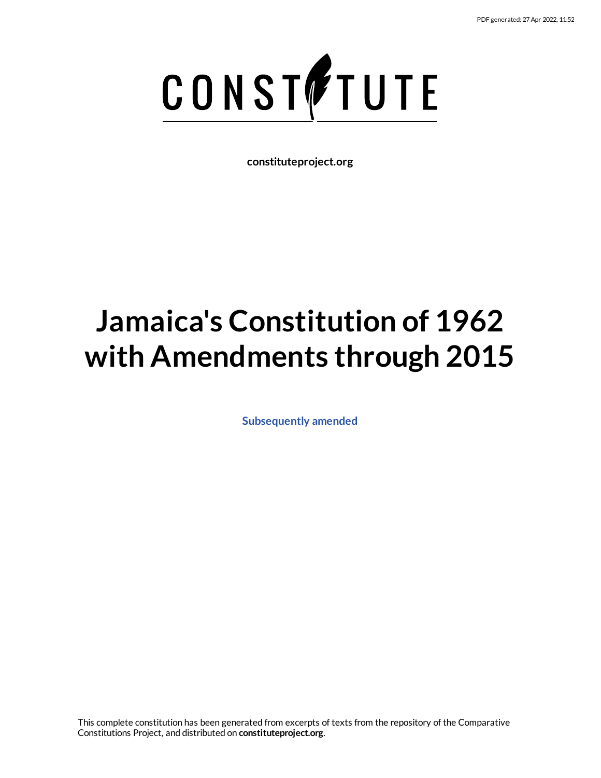

**constituteproject.org**

# **Jamaica's Constitution of 1962 with Amendments through 2015**

**[Subsequently](https://www.constituteproject.org/Americas/Jamaica_2015?lang=en) amended**

This complete constitution has been generated from excerpts of texts from the repository of the Comparative Constitutions Project, and distributed on **constituteproject.org**.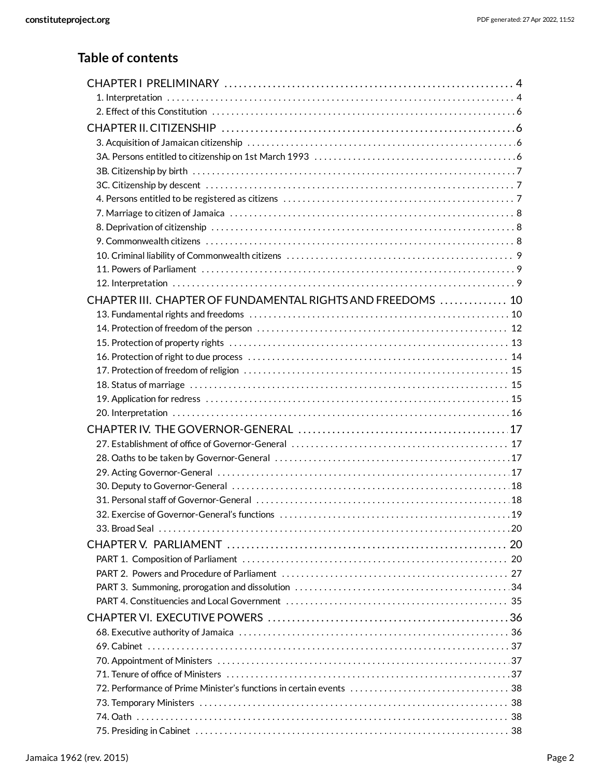### **Table of contents**

| CHAPTER III. CHAPTER OF FUNDAMENTAL RIGHTS AND FREEDOMS  10 |  |
|-------------------------------------------------------------|--|
|                                                             |  |
|                                                             |  |
|                                                             |  |
|                                                             |  |
|                                                             |  |
|                                                             |  |
|                                                             |  |
|                                                             |  |
|                                                             |  |
|                                                             |  |
|                                                             |  |
|                                                             |  |
|                                                             |  |
|                                                             |  |
|                                                             |  |
|                                                             |  |
|                                                             |  |
|                                                             |  |
|                                                             |  |
|                                                             |  |
|                                                             |  |
|                                                             |  |
|                                                             |  |
|                                                             |  |
|                                                             |  |
|                                                             |  |
|                                                             |  |
|                                                             |  |
|                                                             |  |
|                                                             |  |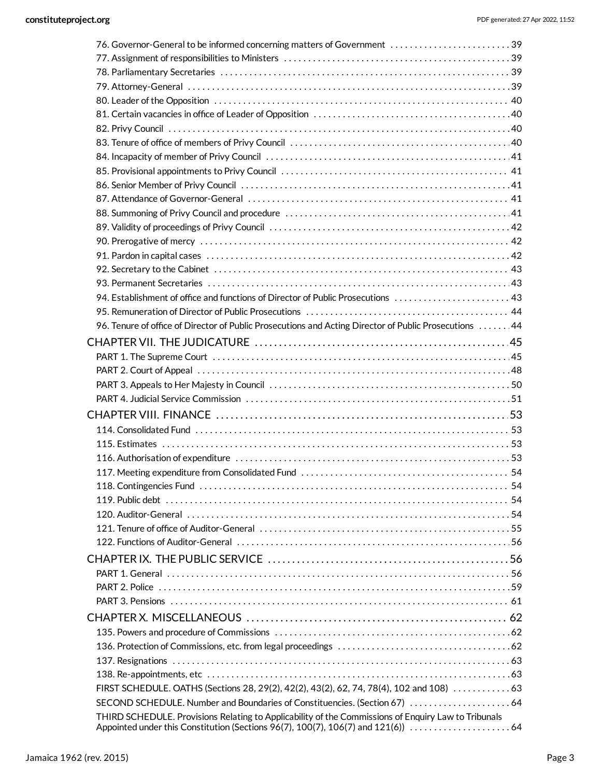| 76. Governor-General to be informed concerning matters of Government 39                                |  |
|--------------------------------------------------------------------------------------------------------|--|
|                                                                                                        |  |
|                                                                                                        |  |
|                                                                                                        |  |
|                                                                                                        |  |
|                                                                                                        |  |
|                                                                                                        |  |
|                                                                                                        |  |
|                                                                                                        |  |
|                                                                                                        |  |
|                                                                                                        |  |
|                                                                                                        |  |
|                                                                                                        |  |
|                                                                                                        |  |
|                                                                                                        |  |
|                                                                                                        |  |
|                                                                                                        |  |
|                                                                                                        |  |
| 94. Establishment of office and functions of Director of Public Prosecutions  43                       |  |
|                                                                                                        |  |
| 96. Tenure of office of Director of Public Prosecutions and Acting Director of Public Prosecutions  44 |  |
|                                                                                                        |  |
|                                                                                                        |  |
|                                                                                                        |  |
|                                                                                                        |  |
|                                                                                                        |  |
|                                                                                                        |  |
|                                                                                                        |  |
|                                                                                                        |  |
|                                                                                                        |  |
|                                                                                                        |  |
|                                                                                                        |  |
|                                                                                                        |  |
|                                                                                                        |  |
|                                                                                                        |  |
|                                                                                                        |  |
|                                                                                                        |  |
|                                                                                                        |  |
|                                                                                                        |  |
|                                                                                                        |  |
|                                                                                                        |  |
|                                                                                                        |  |
|                                                                                                        |  |
|                                                                                                        |  |
|                                                                                                        |  |
|                                                                                                        |  |
| FIRST SCHEDULE. OATHS (Sections 28, 29(2), 42(2), 43(2), 62, 74, 78(4), 102 and 108) 63                |  |
| SECOND SCHEDULE. Number and Boundaries of Constituencies. (Section 67)  64                             |  |
| THIRD SCHEDULE. Provisions Relating to Applicability of the Commissions of Enquiry Law to Tribunals    |  |
|                                                                                                        |  |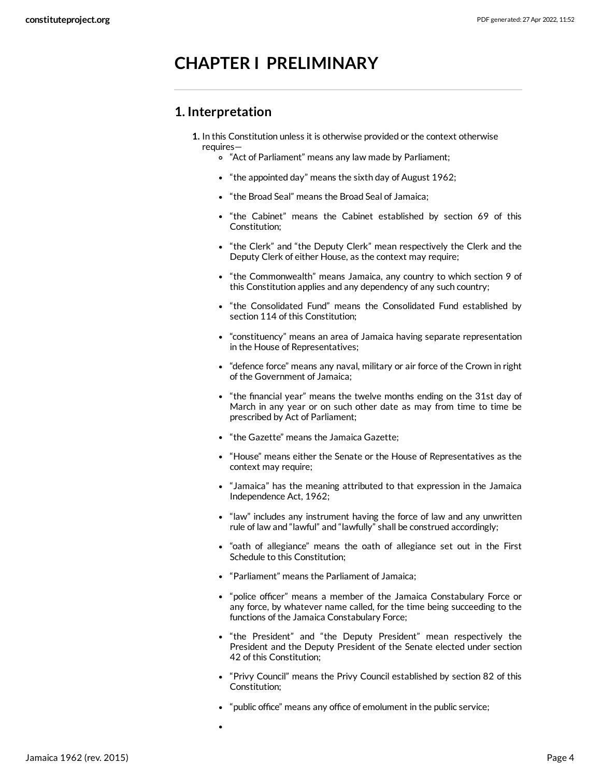# <span id="page-3-0"></span>**CHAPTER I PRELIMINARY**

### <span id="page-3-1"></span>**1. Interpretation**

- **1.** In this Constitution unless it is otherwise provided or the context otherwise requires—
	- "Act of Parliament" means any law made by Parliament;
	- "the appointed day" means the sixth day of August 1962;
	- "the Broad Seal" means the Broad Seal of Jamaica;
	- "the Cabinet" means the Cabinet established by section 69 of this Constitution;
	- "the Clerk" and "the Deputy Clerk" mean respectively the Clerk and the Deputy Clerk of either House, as the context may require;
	- "the Commonwealth" means Jamaica, any country to which section 9 of this Constitution applies and any dependency of any such country;
	- "the Consolidated Fund" means the Consolidated Fund established by section 114 of this Constitution;
	- "constituency" means an area of Jamaica having separate representation in the House of Representatives;
	- "defence force" means any naval, military or air force of the Crown in right of the Government of Jamaica;
	- "the financial year" means the twelve months ending on the 31st day of March in any year or on such other date as may from time to time be prescribed by Act of Parliament;
	- "the Gazette" means the Jamaica Gazette;
	- "House" means either the Senate or the House of Representatives as the context may require;
	- "Jamaica" has the meaning attributed to that expression in the Jamaica Independence Act, 1962;
	- "law" includes any instrument having the force of law and any unwritten rule of law and "lawful" and "lawfully" shall be construed accordingly;
	- "oath of allegiance" means the oath of allegiance set out in the First Schedule to this Constitution;
	- "Parliament" means the Parliament of Jamaica;
	- "police officer" means a member of the Jamaica Constabulary Force or any force, by whatever name called, for the time being succeeding to the functions of the Jamaica Constabulary Force;
	- "the President" and "the Deputy President" mean respectively the President and the Deputy President of the Senate elected under section 42 of this Constitution;
	- "Privy Council" means the Privy Council established by section 82 of this Constitution;
	- "public office" means any office of emolument in the public service;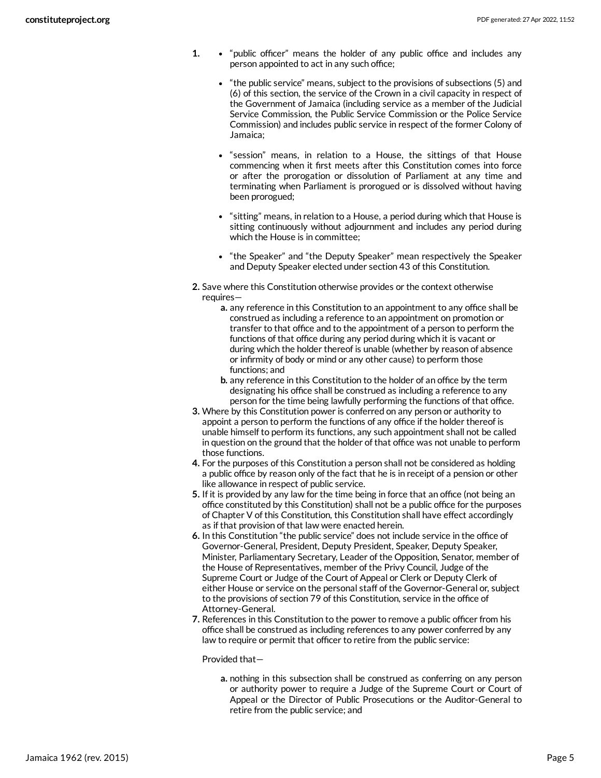- **1.** "public officer" means the holder of any public office and includes any person appointed to act in any such office;
	- "the public service" means, subject to the provisions of subsections (5) and (6) of this section, the service of the Crown in a civil capacity in respect of the Government of Jamaica (including service as a member of the Judicial Service Commission, the Public Service Commission or the Police Service Commission) and includes public service in respect of the former Colony of Jamaica;
	- "session" means, in relation to a House, the sittings of that House commencing when it first meets after this Constitution comes into force or after the prorogation or dissolution of Parliament at any time and terminating when Parliament is prorogued or is dissolved without having been prorogued;
	- "sitting" means, in relation to a House, a period during which that House is sitting continuously without adjournment and includes any period during which the House is in committee;
	- "the Speaker" and "the Deputy Speaker" mean respectively the Speaker and Deputy Speaker elected under section 43 of this Constitution.
- **2.** Save where this Constitution otherwise provides or the context otherwise requires
	- **a.** any reference in this Constitution to an appointment to any office shall be construed as including a reference to an appointment on promotion or transfer to that office and to the appointment of a person to perform the functions of that office during any period during which it is vacant or during which the holder thereof is unable (whether by reason of absence or infirmity of body or mind or any other cause) to perform those functions; and
	- **b.** any reference in this Constitution to the holder of an office by the term designating his office shall be construed as including a reference to any person for the time being lawfully performing the functions of that office.
- **3.** Where by this Constitution power is conferred on any person or authority to appoint a person to perform the functions of any office if the holder thereof is unable himself to perform its functions, any such appointment shall not be called in question on the ground that the holder of that office was not unable to perform those functions.
- **4.** For the purposes of this Constitution a person shall not be considered as holding a public office by reason only of the fact that he is in receipt of a pension or other like allowance in respect of public service.
- **5.** If it is provided by any law for the time being in force that an office (not being an office constituted by this Constitution) shall not be a public office for the purposes of Chapter V of this Constitution, this Constitution shall have effect accordingly as if that provision of that law were enacted herein.
- **6.** In this Constitution "the public service" does not include service in the office of Governor-General, President, Deputy President, Speaker, Deputy Speaker, Minister, Parliamentary Secretary, Leader of the Opposition, Senator, member of the House of Representatives, member of the Privy Council, Judge of the Supreme Court or Judge of the Court of Appeal or Clerk or Deputy Clerk of either House or service on the personal staff of the Governor-General or, subject to the provisions of section 79 of this Constitution, service in the office of Attorney-General.
- **7.** References in this Constitution to the power to remove a public officer from his office shall be construed as including references to any power conferred by any law to require or permit that officer to retire from the public service:

**a.** nothing in this subsection shall be construed as conferring on any person or authority power to require a Judge of the Supreme Court or Court of Appeal or the Director of Public Prosecutions or the Auditor-General to retire from the public service; and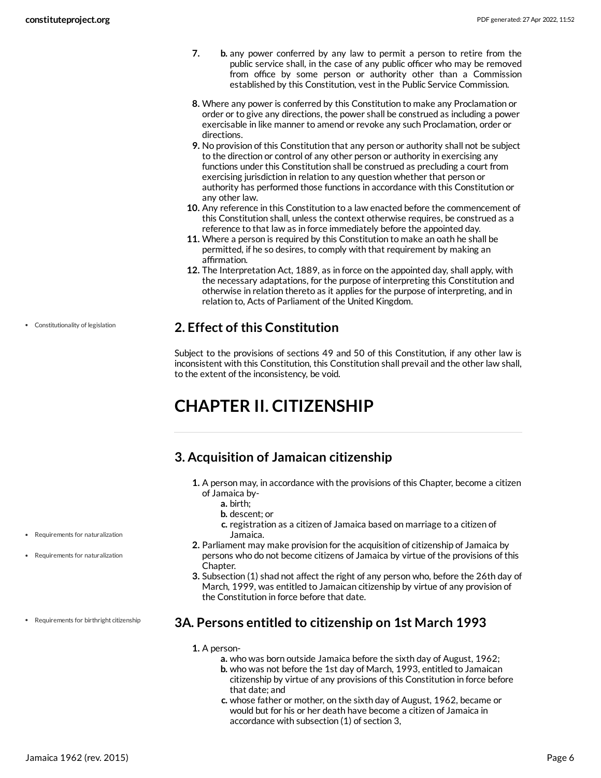- **7. b.** any power conferred by any law to permit a person to retire from the public service shall, in the case of any public officer who may be removed from office by some person or authority other than a Commission established by this Constitution, vest in the Public Service Commission.
- **8.** Where any power is conferred by this Constitution to make any Proclamation or order or to give any directions, the power shall be construed as including a power exercisable in like manner to amend or revoke any such Proclamation, order or directions.
- **9.** No provision of this Constitution that any person or authority shall not be subject to the direction or control of any other person or authority in exercising any functions under this Constitution shall be construed as precluding a court from exercising jurisdiction in relation to any question whether that person or authority has performed those functions in accordance with this Constitution or any other law.
- **10.** Any reference in this Constitution to a law enacted before the commencement of this Constitution shall, unless the context otherwise requires, be construed as a reference to that law as in force immediately before the appointed day.
- **11.** Where a person is required by this Constitution to make an oath he shall be permitted, if he so desires, to comply with that requirement by making an affirmation.
- **12.** The Interpretation Act, 1889, as in force on the appointed day, shall apply, with the necessary adaptations, for the purpose of interpreting this Constitution and otherwise in relation thereto as it applies for the purpose of interpreting, and in relation to, Acts of Parliament of the United Kingdom.

<span id="page-5-0"></span>**2. Effect of this Constitution**

Subject to the provisions of sections 49 and 50 of this Constitution, if any other law is inconsistent with this Constitution, this Constitution shall prevail and the other law shall, to the extent of the inconsistency, be void.

# <span id="page-5-1"></span>**CHAPTER II. CITIZENSHIP**

### <span id="page-5-2"></span>**3. Acquisition of Jamaican citizenship**

- **1.** A person may, in accordance with the provisions of this Chapter, become a citizen of Jamaica by
	- **a.** birth;
	- **b.** descent; or
	- **c.** registration as a citizen of Jamaica based on marriage to a citizen of Jamaica.
- **2.** Parliament may make provision for the acquisition of citizenship of Jamaica by persons who do not become citizens of Jamaica by virtue of the provisions of this Chapter.
- **3.** Subsection (1) shad not affect the right of any person who, before the 26th day of March, 1999, was entitled to Jamaican citizenship by virtue of any provision of the Constitution in force before that date.

### <span id="page-5-3"></span>**3A. Persons entitled to citizenship on 1st March 1993**

#### **1.** A person-

- **a.** who was born outside Jamaica before the sixth day of August, 1962;
- **b.** who was not before the 1st day of March, 1993, entitled to Jamaican citizenship by virtue of any provisions of this Constitution in force before that date; and
- **c.** whose father or mother, on the sixth day of August, 1962, became or would but for his or her death have become a citizen of Jamaica in accordance with subsection (1) of section 3,

Constitutionality of legislation

Requirements for naturalization

Requirements for naturalization

Requirements for birthright citizenship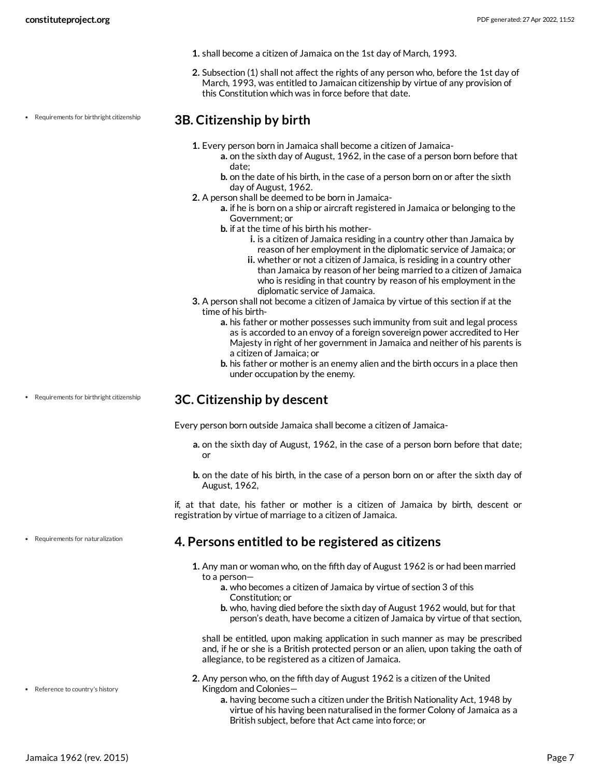- **1.** shall become a citizen of Jamaica on the 1st day of March, 1993.
- **2.** Subsection (1) shall not affect the rights of any person who, before the 1st day of March, 1993, was entitled to Jamaican citizenship by virtue of any provision of this Constitution which was in force before that date.

#### <span id="page-6-0"></span>**3B. Citizenship by birth**

- **1.** Every person born in Jamaica shall become a citizen of Jamaica
	- **a.** on the sixth day of August, 1962, in the case of a person born before that date;
	- **b.** on the date of his birth, in the case of a person born on or after the sixth day of August, 1962.
- **2.** A person shall be deemed to be born in Jamaica
	- **a.** if he is born on a ship or aircraft registered in Jamaica or belonging to the Government; or
	- **b.** if at the time of his birth his mother
		- **i.** is a citizen of Jamaica residing in a country other than Jamaica by reason of her employment in the diplomatic service of Jamaica; or
		- **ii.** whether or not a citizen of Jamaica, is residing in a country other than Jamaica by reason of her being married to a citizen of Jamaica who is residing in that country by reason of his employment in the diplomatic service of Jamaica.
- **3.** A person shall not become a citizen of Jamaica by virtue of this section if at the time of his birth
	- **a.** his father or mother possesses such immunity from suit and legal process as is accorded to an envoy of a foreign sovereign power accredited to Her Majesty in right of her government in Jamaica and neither of his parents is a citizen of Jamaica; or
	- **b.** his father or mother is an enemy alien and the birth occurs in a place then under occupation by the enemy.

#### <span id="page-6-1"></span>**3C. Citizenship by descent**

Every person born outside Jamaica shall become a citizen of Jamaica-

- **a.** on the sixth day of August, 1962, in the case of a person born before that date; or
- **b.** on the date of his birth, in the case of a person born on or after the sixth day of August, 1962,

if, at that date, his father or mother is a citizen of Jamaica by birth, descent or registration by virtue of marriage to a citizen of Jamaica.

### <span id="page-6-2"></span>**4. Persons entitled to be registered as citizens**

- **1.** Any man or woman who, on the fifth day of August 1962 is or had been married to a person
	- **a.** who becomes a citizen of Jamaica by virtue of section 3 of this Constitution; or
	- **b.** who, having died before the sixth day of August 1962 would, but for that person's death, have become a citizen of Jamaica by virtue of that section,

shall be entitled, upon making application in such manner as may be prescribed and, if he or she is a British protected person or an alien, upon taking the oath of allegiance, to be registered as a citizen of Jamaica.

- **2.** Any person who, on the fifth day of August 1962 is a citizen of the United Kingdom and Colonies
	- **a.** having become such a citizen under the British Nationality Act, 1948 by virtue of his having been naturalised in the former Colony of Jamaica as a British subject, before that Act came into force; or

Requirements for birthright citizenship

Requirements for birthright citizenship

• Requirements for naturalization

• Reference to country's history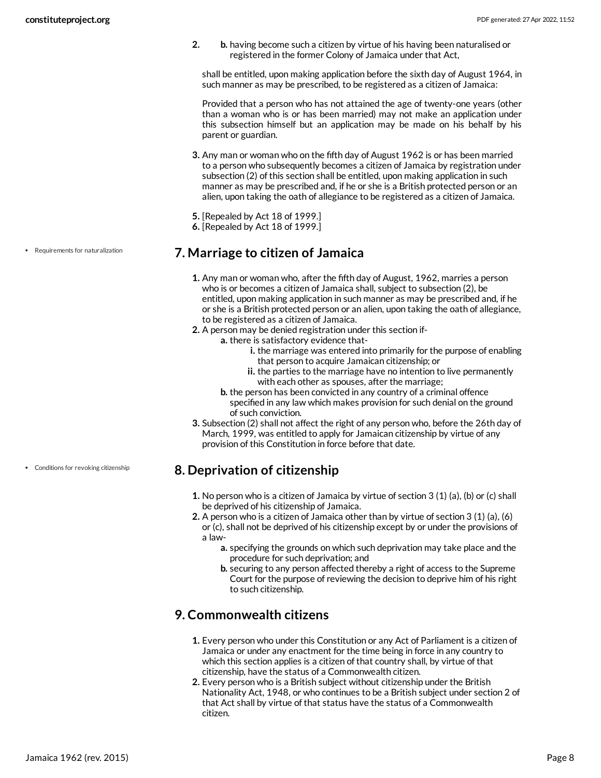**2. b.** having become such a citizen by virtue of his having been naturalised or registered in the former Colony of Jamaica under that Act,

shall be entitled, upon making application before the sixth day of August 1964, in such manner as may be prescribed, to be registered as a citizen of Jamaica:

Provided that a person who has not attained the age of twenty-one years (other than a woman who is or has been married) may not make an application under this subsection himself but an application may be made on his behalf by his parent or guardian.

- **3.** Any man or woman who on the fifth day of August 1962 is or has been married to a person who subsequently becomes a citizen of Jamaica by registration under subsection (2) of this section shall be entitled, upon making application in such manner as may be prescribed and, if he or she is a British protected person or an alien, upon taking the oath of allegiance to be registered as a citizen of Jamaica.
- **5.** [Repealed by Act 18 of 1999.]
- **6.** [Repealed by Act 18 of 1999.]

### <span id="page-7-0"></span>**7. Marriage to citizen of Jamaica**

- **1.** Any man or woman who, after the fifth day of August, 1962, marries a person who is or becomes a citizen of Jamaica shall, subject to subsection (2), be entitled, upon making application in such manner as may be prescribed and, if he or she is a British protected person or an alien, upon taking the oath of allegiance, to be registered as a citizen of Jamaica.
- **2.** A person may be denied registration under this section if
	- **a.** there is satisfactory evidence that
		- **i.** the marriage was entered into primarily for the purpose of enabling that person to acquire Jamaican citizenship; or
		- **ii.** the parties to the marriage have no intention to live permanently with each other as spouses, after the marriage;
	- **b.** the person has been convicted in any country of a criminal offence specified in any law which makes provision for such denial on the ground of such conviction.
- **3.** Subsection (2) shall not affect the right of any person who, before the 26th day of March, 1999, was entitled to apply for Jamaican citizenship by virtue of any provision of this Constitution in force before that date.

### <span id="page-7-1"></span>**8. Deprivation of citizenship**

- **1.** No person who is a citizen of Jamaica by virtue of section 3 (1) (a), (b) or (c) shall be deprived of his citizenship of Jamaica.
- **2.** A person who is a citizen of Jamaica other than by virtue of section 3 (1) (a), (6) or (c), shall not be deprived of his citizenship except by or under the provisions of a law
	- **a.** specifying the grounds on which such deprivation may take place and the procedure for such deprivation; and
	- **b.** securing to any person affected thereby a right of access to the Supreme Court for the purpose of reviewing the decision to deprive him of his right to such citizenship.

### <span id="page-7-2"></span>**9. Commonwealth citizens**

- **1.** Every person who under this Constitution or any Act of Parliament is a citizen of Jamaica or under any enactment for the time being in force in any country to which this section applies is a citizen of that country shall, by virtue of that citizenship, have the status of a Commonwealth citizen.
- **2.** Every person who is a British subject without citizenship under the British Nationality Act, 1948, or who continues to be a British subject under section 2 of that Act shall by virtue of that status have the status of a Commonwealth citizen.

• Requirements for naturalization

Conditions for revoking citizenship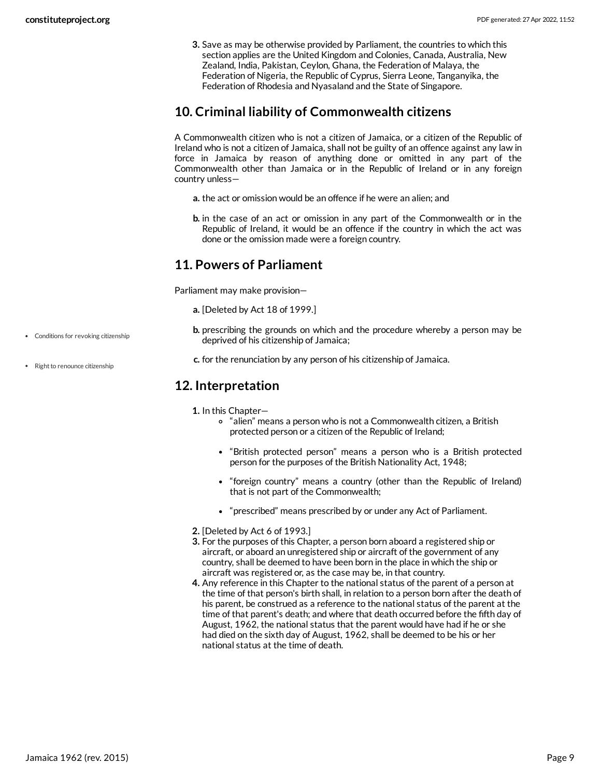**3.** Save as may be otherwise provided by Parliament, the countries to which this section applies are the United Kingdom and Colonies, Canada, Australia, New Zealand, India, Pakistan, Ceylon, Ghana, the Federation of Malaya, the Federation of Nigeria, the Republic of Cyprus, Sierra Leone, Tanganyika, the Federation of Rhodesia and Nyasaland and the State of Singapore.

### <span id="page-8-0"></span>**10. Criminal liability of Commonwealth citizens**

A Commonwealth citizen who is not a citizen of Jamaica, or a citizen of the Republic of Ireland who is not a citizen of Jamaica, shall not be guilty of an offence against any law in force in Jamaica by reason of anything done or omitted in any part of the Commonwealth other than Jamaica or in the Republic of Ireland or in any foreign country unless—

- **a.** the act or omission would be an offence if he were an alien; and
- **b.** in the case of an act or omission in any part of the Commonwealth or in the Republic of Ireland, it would be an offence if the country in which the act was done or the omission made were a foreign country.

### <span id="page-8-1"></span>**11. Powers of Parliament**

<span id="page-8-3"></span>Parliament may make provision—

- **a.** [Deleted by Act 18 of 1999.]
- **b.** prescribing the grounds on which and the procedure whereby a person may be deprived of his citizenship of Jamaica;
- **c.** for the renunciation by any person of his citizenship of Jamaica.

### <span id="page-8-2"></span>**12. Interpretation**

**1.** In this Chapter—

- "alien" means a person who is not a Commonwealth citizen, a British protected person or a citizen of the Republic of Ireland;
- "British protected person" means a person who is a British protected person for the purposes of the British Nationality Act, 1948;
- "foreign country" means a country (other than the Republic of Ireland) that is not part of the Commonwealth;
- "prescribed" means prescribed by or under any Act of Parliament.
- **2.** [Deleted by Act 6 of 1993.]
- **3.** For the purposes of this Chapter, a person born aboard a registered ship or aircraft, or aboard an unregistered ship or aircraft of the government of any country, shall be deemed to have been born in the place in which the ship or aircraft was registered or, as the case may be, in that country.
- **4.** Any reference in this Chapter to the national status of the parent of a person at the time of that person's birth shall, in relation to a person born after the death of his parent, be construed as a reference to the national status of the parent at the time of that parent's death; and where that death occurred before the fifth day of August, 1962, the national status that the parent would have had if he or she had died on the sixth day of August, 1962, shall be deemed to be his or her national status at the time of death.

Conditions for revoking citizenship

• Right to renounce citizenship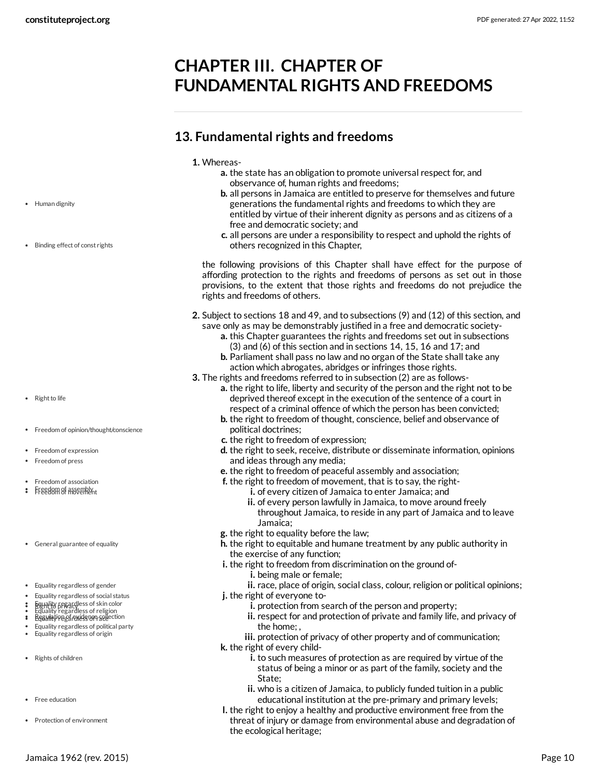## <span id="page-9-0"></span>**CHAPTER III. CHAPTER OF FUNDAMENTAL RIGHTS AND FREEDOMS**

### <span id="page-9-1"></span>**13. Fundamental rights and freedoms**

#### **1.** Whereas-

- **a.** the state has an obligation to promote universal respect for, and observance of, human rights and freedoms;
- **b.** all persons in Jamaica are entitled to preserve for themselves and future generations the fundamental rights and freedoms to which they are entitled by virtue of their inherent dignity as persons and as citizens of a free and democratic society; and
- **c.** all persons are under a responsibility to respect and uphold the rights of others recognized in this Chapter,

the following provisions of this Chapter shall have effect for the purpose of affording protection to the rights and freedoms of persons as set out in those provisions, to the extent that those rights and freedoms do not prejudice the rights and freedoms of others.

- **2.** Subject to sections 18 and 49, and to subsections (9) and (12) of this section, and save only as may be demonstrably justified in a free and democratic society
	- **a.** this Chapter guarantees the rights and freedoms set out in subsections (3) and (6) of this section and in sections 14, 15, 16 and 17; and
	- **b.** Parliament shall pass no law and no organ of the State shall take any action which abrogates, abridges or infringes those rights.
- **3.** The rights and freedoms referred to in subsection (2) are as follows
	- **a.** the right to life, liberty and security of the person and the right not to be deprived thereof except in the execution of the sentence of a court in respect of a criminal offence of which the person has been convicted;
	- **b.** the right to freedom of thought, conscience, belief and observance of political doctrines;
	- **c.** the right to freedom of expression;
	- **d.** the right to seek, receive, distribute or disseminate information, opinions and ideas through any media;
	- **e.** the right to freedom of peaceful assembly and association;
	- **f.** the right to freedom of movement, that is to say, the right
		- **i.** of every citizen of Jamaica to enter Jamaica; and **ii.** of every person lawfully in Jamaica, to move around freely throughout Jamaica, to reside in any part of Jamaica and to leave
	- Jamaica; **g.** the right to equality before the law;
	- **h.** the right to equitable and humane treatment by any public authority in the exercise of any function;
	- **i.** the right to freedom from discrimination on the ground of**i.** being male or female;
	- **ii.** race, place of origin, social class, colour, religion or political opinions; **j.** the right of everyone to
		- **i.** protection from search of the person and property;
		- **ii.** respect for and protection of private and family life, and privacy of the home; ,
	- **iii.** protection of privacy of other property and of communication; **k.** the right of every child
		- **i.** to such measures of protection as are required by virtue of the status of being a minor or as part of the family, society and the State;
		- **ii.** who is a citizen of Jamaica, to publicly funded tuition in a public educational institution at the pre-primary and primary levels;
	- **l.** the right to enjoy a healthy and productive environment free from the threat of injury or damage from environmental abuse and degradation of the ecological heritage;

• Human dignity

Binding effect of const rights

- Right to life
- Freedom of opinion/thought/conscience
- Freedom of expression
- Freedom of press
- Freedom of association
- $F = F$ Freedom of assembly  $F$
- General guarantee of equality
- Equality regardless of gender
- Equality regardless of social status
- **F**eynlity <sub>b</sub>egardless of skin color<br>Equality regardless of religion<br>E<del>quality</del> pe*g*ardless of religion Right to privacy.
- $\bullet$ Regulation of evidence collection
- Equality regardless of political party
- Equality regardless of origin
- Rights of children
- Free education
- Protection of environment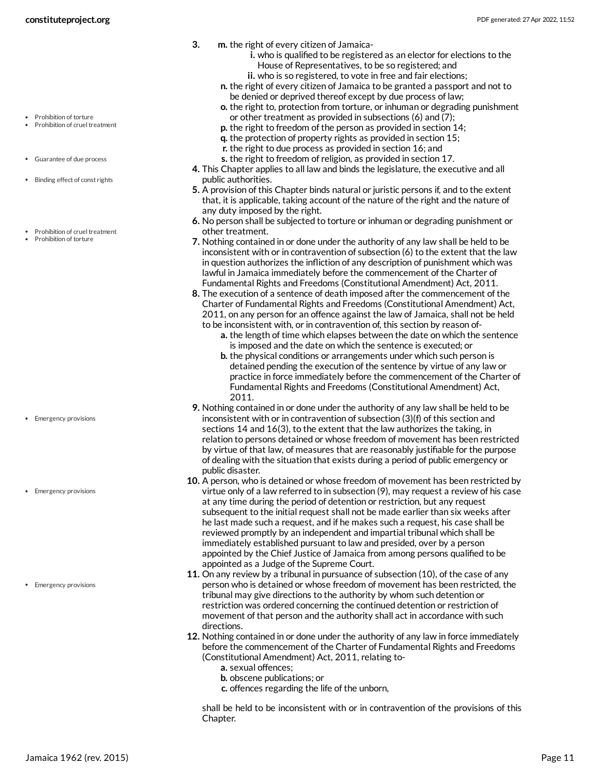- **3. m.** the right of every citizen of Jamaica
	- **i.** who is qualified to be registered as an elector for elections to the House of Representatives, to be so registered; and
	- **ii.** who is so registered, to vote in free and fair elections;
	- **n.** the right of every citizen of Jamaica to be granted a passport and not to be denied or deprived thereof except by due process of law;
	- **o.** the right to, protection from torture, or inhuman or degrading punishment or other treatment as provided in subsections (6) and (7);
	- **p.** the right to freedom of the person as provided in section 14;
	- **q.** the protection of property rights as provided in section 15;
	- **r.** the right to due process as provided in section 16; and
	- **s.** the right to freedom of religion, as provided in section 17.
- **4.** This Chapter applies to all law and binds the legislature, the executive and all public authorities.
- **5.** A provision of this Chapter binds natural or juristic persons if, and to the extent that, it is applicable, taking account of the nature of the right and the nature of any duty imposed by the right.
- **6.** No person shall be subjected to torture or inhuman or degrading punishment or other treatment.
- **7.** Nothing contained in or done under the authority of any law shall be held to be inconsistent with or in contravention of subsection (6) to the extent that the law in question authorizes the infliction of any description of punishment which was lawful in Jamaica immediately before the commencement of the Charter of Fundamental Rights and Freedoms (Constitutional Amendment) Act, 2011.
- **8.** The execution of a sentence of death imposed after the commencement of the Charter of Fundamental Rights and Freedoms (Constitutional Amendment) Act, 2011, on any person for an offence against the law of Jamaica, shall not be held to be inconsistent with, or in contravention of, this section by reason of
	- **a.** the length of time which elapses between the date on which the sentence is imposed and the date on which the sentence is executed; or
	- **b.** the physical conditions or arrangements under which such person is detained pending the execution of the sentence by virtue of any law or practice in force immediately before the commencement of the Charter of Fundamental Rights and Freedoms (Constitutional Amendment) Act, 2011.
- **9.** Nothing contained in or done under the authority of any law shall be held to be inconsistent with or in contravention of subsection (3)(f) of this section and sections 14 and 16(3), to the extent that the law authorizes the taking, in relation to persons detained or whose freedom of movement has been restricted by virtue of that law, of measures that are reasonably justifiable for the purpose of dealing with the situation that exists during a period of public emergency or public disaster.
- **10.** A person, who is detained or whose freedom of movement has been restricted by virtue only of a law referred to in subsection (9), may request a review of his case at any time during the period of detention or restriction, but any request subsequent to the initial request shall not be made earlier than six weeks after he last made such a request, and if he makes such a request, his case shall be reviewed promptly by an independent and impartial tribunal which shall be immediately established pursuant to law and presided, over by a person appointed by the Chief Justice of Jamaica from among persons qualified to be appointed as a Judge of the Supreme Court.
- **11.** On any review by a tribunal in pursuance of subsection (10), of the case of any person who is detained or whose freedom of movement has been restricted, the tribunal may give directions to the authority by whom such detention or restriction was ordered concerning the continued detention or restriction of movement of that person and the authority shall act in accordance with such directions.
- **12.** Nothing contained in or done under the authority of any law in force immediately before the commencement of the Charter of Fundamental Rights and Freedoms (Constitutional Amendment) Act, 2011, relating to
	- **a.** sexual offences;
	- **b.** obscene publications; or
	- **c.** offences regarding the life of the unborn,

shall be held to be inconsistent with or in contravention of the provisions of this Chapter.

- Prohibition of torture
- Prohibition of cruel treatment
- Guarantee of due process
- Binding effect of const rights
- Prohibition of cruel treatment
- Prohibition of torture

- Emergency provisions
- Emergency provisions

• Emergency provisions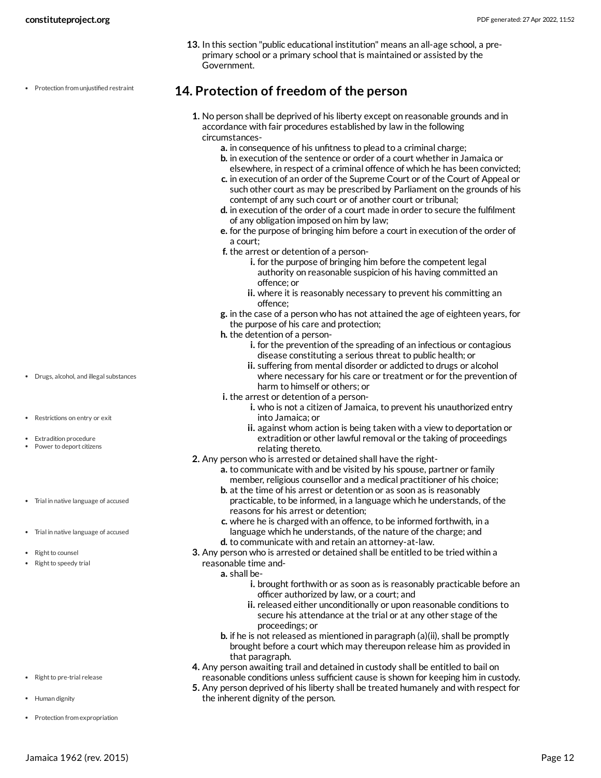• Protection from unjustified restraint

**13.** In this section "public educational institution" means an all-age school, a preprimary school or a primary school that is maintained or assisted by the Government.

### <span id="page-11-0"></span>**14. Protection of freedom of the person**

- **1.** No person shall be deprived of his liberty except on reasonable grounds and in accordance with fair procedures established by law in the following circumstances
	- **a.** in consequence of his unfitness to plead to a criminal charge:
	- **b.** in execution of the sentence or order of a court whether in Jamaica or elsewhere, in respect of a criminal offence of which he has been convicted;
	- **c.** in execution of an order of the Supreme Court or of the Court of Appeal or such other court as may be prescribed by Parliament on the grounds of his contempt of any such court or of another court or tribunal;
	- **d.** in execution of the order of a court made in order to secure the fulfilment of any obligation imposed on him by law;
	- **e.** for the purpose of bringing him before a court in execution of the order of a court;
	- **f.** the arrest or detention of a person
		- **i.** for the purpose of bringing him before the competent legal authority on reasonable suspicion of his having committed an offence; or
		- **ii.** where it is reasonably necessary to prevent his committing an offence;
	- **g.** in the case of a person who has not attained the age of eighteen years, for the purpose of his care and protection;
	- **h.** the detention of a person
		- **i.** for the prevention of the spreading of an infectious or contagious disease constituting a serious threat to public health; or
		- **ii.** suffering from mental disorder or addicted to drugs or alcohol where necessary for his care or treatment or for the prevention of harm to himself or others; or
		- **i.** the arrest or detention of a person
			- **i.** who is not a citizen of Jamaica, to prevent his unauthorized entry into Jamaica; or
				- **ii.** against whom action is being taken with a view to deportation or extradition or other lawful removal or the taking of proceedings relating thereto.
- **2.** Any person who is arrested or detained shall have the right
	- **a.** to communicate with and be visited by his spouse, partner or family member, religious counsellor and a medical practitioner of his choice;
	- **b.** at the time of his arrest or detention or as soon as is reasonably practicable, to be informed, in a language which he understands, of the reasons for his arrest or detention;
	- **c.** where he is charged with an offence, to be informed forthwith, in a language which he understands, of the nature of the charge; and
	- **d.** to communicate with and retain an attorney-at-law.
- **3.** Any person who is arrested or detained shall be entitled to be tried within a reasonable time and
	- **a.** shall be
		- **i.** brought forthwith or as soon as is reasonably practicable before an officer authorized by law, or a court; and
		- **ii.** released either unconditionally or upon reasonable conditions to secure his attendance at the trial or at any other stage of the proceedings; or
	- **b.** if he is not released as mientioned in paragraph (a)(ii), shall be promptly brought before a court which may thereupon release him as provided in that paragraph.
- **4.** Any person awaiting trail and detained in custody shall be entitled to bail on reasonable conditions unless sufficient cause is shown for keeping him in custody.
- <span id="page-11-1"></span>**5.** Any person deprived of his liberty shall be treated humanely and with respect for the inherent dignity of the person.

Drugs, alcohol, and illegal substances

- Restrictions on entry or exit
- Extradition procedure
- Power to deport citizens
- Trial in native language of accused
- Trial in native language of accused
- Right to counsel
- Right to speedy trial

- Right to pre-trial release
- Human dignity
- Protection from expropriation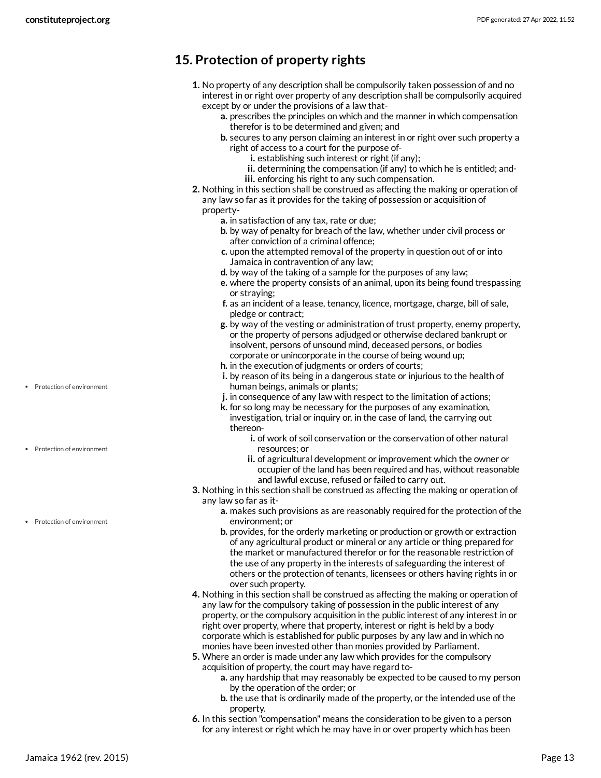### <span id="page-12-0"></span>**15. Protection of property rights**

- **1.** No property of any description shall be compulsorily taken possession of and no interest in or right over property of any description shall be compulsorily acquired except by or under the provisions of a law that
	- **a.** prescribes the principles on which and the manner in which compensation therefor is to be determined and given; and
	- **b.** secures to any person claiming an interest in or right over such property a right of access to a court for the purpose of
		- **i.** establishing such interest or right (if any);
		- **ii.** determining the compensation (if any) to which he is entitled; and**iii.** enforcing his right to any such compensation.
- **2.** Nothing in this section shall be construed as affecting the making or operation of any law so far as it provides for the taking of possession or acquisition of property
	- **a.** in satisfaction of any tax, rate or due;
	- **b.** by way of penalty for breach of the law, whether under civil process or after conviction of a criminal offence;
	- **c.** upon the attempted removal of the property in question out of or into Jamaica in contravention of any law;
	- **d.** by way of the taking of a sample for the purposes of any law;
	- **e.** where the property consists of an animal, upon its being found trespassing or straying;
	- **f.** as an incident of a lease, tenancy, licence, mortgage, charge, bill of sale, pledge or contract;
	- **g.** by way of the vesting or administration of trust property, enemy property, or the property of persons adjudged or otherwise declared bankrupt or insolvent, persons of unsound mind, deceased persons, or bodies corporate or unincorporate in the course of being wound up;
	- **h.** in the execution of judgments or orders of courts;
	- **i.** by reason of its being in a dangerous state or injurious to the health of human beings, animals or plants;
	- **j.** in consequence of any law with respect to the limitation of actions;
	- **k.** for so long may be necessary for the purposes of any examination, investigation, trial or inquiry or, in the case of land, the carrying out thereon
		- **i.** of work of soil conservation or the conservation of other natural resources; or
		- **ii.** of agricultural development or improvement which the owner or occupier of the land has been required and has, without reasonable and lawful excuse, refused or failed to carry out.
- **3.** Nothing in this section shall be construed as affecting the making or operation of any law so far as it
	- **a.** makes such provisions as are reasonably required for the protection of the environment; or
	- **b.** provides, for the orderly marketing or production or growth or extraction of any agricultural product or mineral or any article or thing prepared for the market or manufactured therefor or for the reasonable restriction of the use of any property in the interests of safeguarding the interest of others or the protection of tenants, licensees or others having rights in or over such property.
- **4.** Nothing in this section shall be construed as affecting the making or operation of any law for the compulsory taking of possession in the public interest of any property, or the compulsory acquisition in the public interest of any interest in or right over property, where that property, interest or right is held by a body corporate which is established for public purposes by any law and in which no monies have been invested other than monies provided by Parliament.
- **5.** Where an order is made under any law which provides for the compulsory acquisition of property, the court may have regard to
	- **a.** any hardship that may reasonably be expected to be caused to my person by the operation of the order; or
	- **b.** the use that is ordinarily made of the property, or the intended use of the property.
- **6.** In this section "compensation" means the consideration to be given to a person for any interest or right which he may have in or over property which has been
- Protection of environment
- Protection of environment
- Protection of environment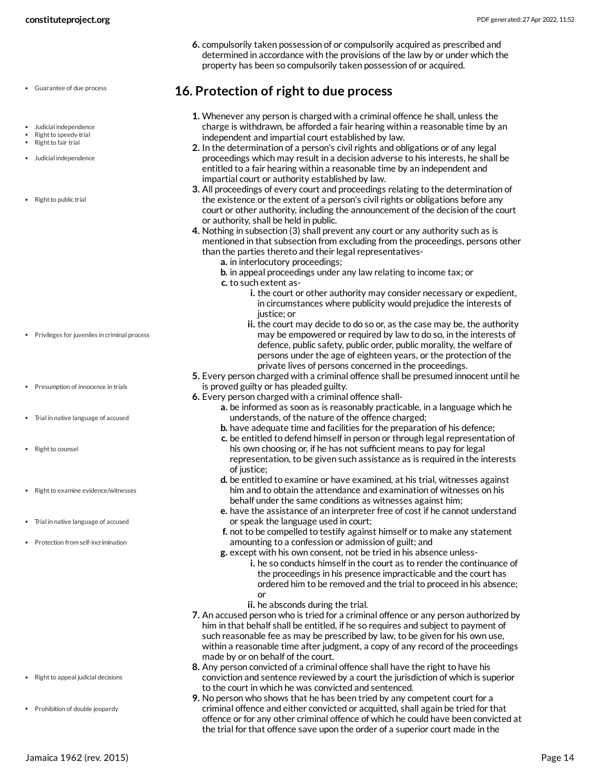- Guarantee of due process
- Judicial independence
- Right to speedy trial Right to fair trial
- Judicial independence
- Right to public trial

- Privileges for juveniles in criminal process
- Presumption of innocence in trials
- Trial in native language of accused
- Right to counsel
- Right to examine evidence/witnesses
- Trial in native language of accused
- Protection from self-incrimination

**6.** compulsorily taken possession of or compulsorily acquired as prescribed and determined in accordance with the provisions of the law by or under which the property has been so compulsorily taken possession of or acquired.

### <span id="page-13-0"></span>**16. Protection of right to due process**

- **1.** Whenever any person is charged with a criminal offence he shall, unless the charge is withdrawn, be afforded a fair hearing within a reasonable time by an independent and impartial court established by law.
- **2.** In the determination of a person's civil rights and obligations or of any legal proceedings which may result in a decision adverse to his interests, he shall be entitled to a fair hearing within a reasonable time by an independent and impartial court or authority established by law.
- **3.** All proceedings of every court and proceedings relating to the determination of the existence or the extent of a person's civil rights or obligations before any court or other authority, including the announcement of the decision of the court or authority, shall be held in public.
- **4.** Nothing in subsection (3) shall prevent any court or any authority such as is mentioned in that subsection from excluding from the proceedings, persons other than the parties thereto and their legal representatives
	- **a.** in interlocutory proceedings;
	- **b.** in appeal proceedings under any law relating to income tax; or
	- **c.** to such extent as
		- **i.** the court or other authority may consider necessary or expedient, in circumstances where publicity would prejudice the interests of justice; or
		- **ii.** the court may decide to do so or, as the case may be, the authority may be empowered or required by law to do so, in the interests of defence, public safety, public order, public morality, the welfare of persons under the age of eighteen years, or the protection of the private lives of persons concerned in the proceedings.
- **5.** Every person charged with a criminal offence shall be presumed innocent until he is proved guilty or has pleaded guilty.
- **6.** Every person charged with a criminal offence shall
	- **a.** be informed as soon as is reasonably practicable, in a language which he understands, of the nature of the offence charged;
	- **b.** have adequate time and facilities for the preparation of his defence;
	- **c.** be entitled to defend himself in person or through legal representation of his own choosing or, if he has not sufficient means to pay for legal representation, to be given such assistance as is required in the interests of justice;
	- **d.** be entitled to examine or have examined, at his trial, witnesses against him and to obtain the attendance and examination of witnesses on his behalf under the same conditions as witnesses against him;
	- **e.** have the assistance of an interpreter free of cost if he cannot understand or speak the language used in court;
	- **f.** not to be compelled to testify against himself or to make any statement amounting to a confession or admission of guilt; and
	- **g.** except with his own consent, not be tried in his absence unless**i.** he so conducts himself in the court as to render the continuance of the proceedings in his presence impracticable and the court has ordered him to be removed and the trial to proceed in his absence; or
		- **ii.** he absconds during the trial.
- **7.** An accused person who is tried for a criminal offence or any person authorized by him in that behalf shall be entitled, if he so requires and subject to payment of such reasonable fee as may be prescribed by law, to be given for his own use, within a reasonable time after judgment, a copy of any record of the proceedings made by or on behalf of the court.
- **8.** Any person convicted of a criminal offence shall have the right to have his conviction and sentence reviewed by a court the jurisdiction of which is superior to the court in which he was convicted and sentenced.
- **9.** No person who shows that he has been tried by any competent court for a criminal offence and either convicted or acquitted, shall again be tried for that offence or for any other criminal offence of which he could have been convicted at the trial for that offence save upon the order of a superior court made in the

• Prohibition of double jeopardy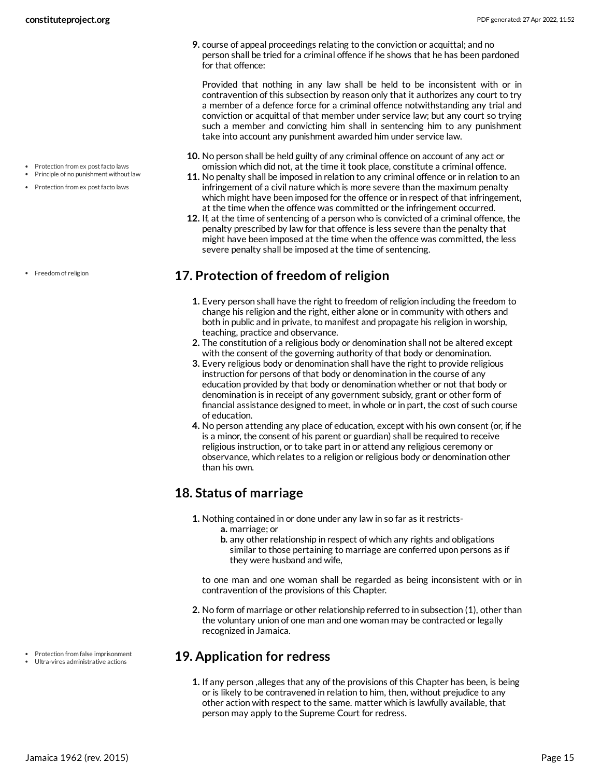Protection from ex post facto laws • Principle of no punishment without law • Protection from ex post facto laws

**9.** course of appeal proceedings relating to the conviction or acquittal; and no person shall be tried for a criminal offence if he shows that he has been pardoned for that offence:

Provided that nothing in any law shall be held to be inconsistent with or in contravention of this subsection by reason only that it authorizes any court to try a member of a defence force for a criminal offence notwithstanding any trial and conviction or acquittal of that member under service law; but any court so trying such a member and convicting him shall in sentencing him to any punishment take into account any punishment awarded him under service law.

- **10.** No person shall be held guilty of any criminal offence on account of any act or omission which did not, at the time it took place, constitute a criminal offence.
- **11.** No penalty shall be imposed in relation to any criminal offence or in relation to an infringement of a civil nature which is more severe than the maximum penalty which might have been imposed for the offence or in respect of that infringement, at the time when the offence was committed or the infringement occurred.
- **12.** If, at the time of sentencing of a person who is convicted of a criminal offence, the penalty prescribed by law for that offence is less severe than the penalty that might have been imposed at the time when the offence was committed, the less severe penalty shall be imposed at the time of sentencing.

### <span id="page-14-0"></span>**17. Protection of freedom of religion**

- **1.** Every person shall have the right to freedom of religion including the freedom to change his religion and the right, either alone or in community with others and both in public and in private, to manifest and propagate his religion in worship, teaching, practice and observance.
- **2.** The constitution of a religious body or denomination shall not be altered except with the consent of the governing authority of that body or denomination.
- **3.** Every religious body or denomination shall have the right to provide religious instruction for persons of that body or denomination in the course of any education provided by that body or denomination whether or not that body or denomination is in receipt of any government subsidy, grant or other form of financial assistance designed to meet, in whole or in part, the cost of such course of education.
- **4.** No person attending any place of education, except with his own consent (or, if he is a minor, the consent of his parent or guardian) shall be required to receive religious instruction, or to take part in or attend any religious ceremony or observance, which relates to a religion or religious body or denomination other than his own.

### <span id="page-14-1"></span>**18. Status of marriage**

**1.** Nothing contained in or done under any law in so far as it restricts**a.** marriage; or

> **b.** any other relationship in respect of which any rights and obligations similar to those pertaining to marriage are conferred upon persons as if they were husband and wife,

to one man and one woman shall be regarded as being inconsistent with or in contravention of the provisions of this Chapter.

**2.** No form of marriage or other relationship referred to in subsection (1), other than the voluntary union of one man and one woman may be contracted or legally recognized in Jamaica.

### <span id="page-14-2"></span>**19. Application for redress**

**1.** If any person ,alleges that any of the provisions of this Chapter has been, is being or is likely to be contravened in relation to him, then, without prejudice to any other action with respect to the same. matter which is lawfully available, that person may apply to the Supreme Court for redress.

• Freedom of religion

Protection from false imprisonment Ultra-vires administrative actions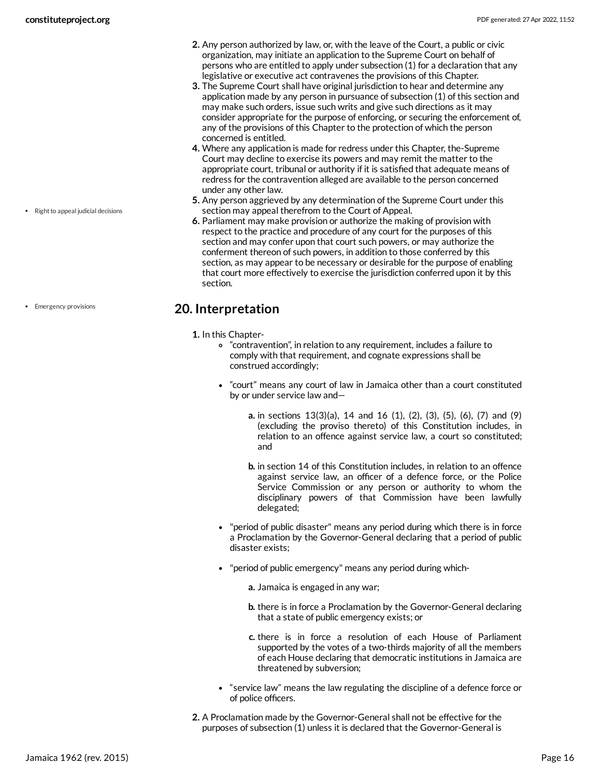- **2.** Any person authorized by law, or, with the leave of the Court, a public or civic organization, may initiate an application to the Supreme Court on behalf of persons who are entitled to apply under subsection (1) for a declaration that any legislative or executive act contravenes the provisions of this Chapter.
- **3.** The Supreme Court shall have original jurisdiction to hear and determine any application made by any person in pursuance of subsection (1) of this section and may make such orders, issue such writs and give such directions as it may consider appropriate for the purpose of enforcing, or securing the enforcement of, any of the provisions of this Chapter to the protection of which the person concerned is entitled.
- **4.** Where any application is made for redress under this Chapter, the-Supreme Court may decline to exercise its powers and may remit the matter to the appropriate court, tribunal or authority if it is satisfied that adequate means of redress for the contravention alleged are available to the person concerned under any other law.
- **5.** Any person aggrieved by any determination of the Supreme Court under this section may appeal therefrom to the Court of Appeal.
- **6.** Parliament may make provision or authorize the making of provision with respect to the practice and procedure of any court for the purposes of this section and may confer upon that court such powers, or may authorize the conferment thereon of such powers, in addition to those conferred by this section, as may appear to be necessary or desirable for the purpose of enabling that court more effectively to exercise the jurisdiction conferred upon it by this section.

#### • Emergency provisions

 $\cdot$  Right to appeal judicial decisions

#### <span id="page-15-0"></span>**20. Interpretation**

**1.** In this Chapter-

- "contravention", in relation to any requirement, includes a failure to comply with that requirement, and cognate expressions shall be construed accordingly;
- "court" means any court of law in Jamaica other than a court constituted by or under service law and
	- **a.** in sections 13(3)(a), 14 and 16 (1), (2), (3), (5), (6), (7) and (9) (excluding the proviso thereto) of this Constitution includes, in relation to an offence against service law, a court so constituted; and
	- **b.** in section 14 of this Constitution includes, in relation to an offence against service law, an officer of a defence force, or the Police Service Commission or any person or authority to whom the disciplinary powers of that Commission have been lawfully delegated;
- "period of public disaster" means any period during which there is in force a Proclamation by the Governor-General declaring that a period of public disaster exists;
- "period of public emergency" means any period during which
	- **a.** Jamaica is engaged in any war;
	- **b.** there is in force a Proclamation by the Governor-General declaring that a state of public emergency exists; or
	- **c.** there is in force a resolution of each House of Parliament supported by the votes of a two-thirds majority of all the members of each House declaring that democratic institutions in Jamaica are threatened by subversion;
- "service law" means the law regulating the discipline of a defence force or of police officers.
- **2.** A Proclamation made by the Governor-General shall not be effective for the purposes of subsection (1) unless it is declared that the Governor-General is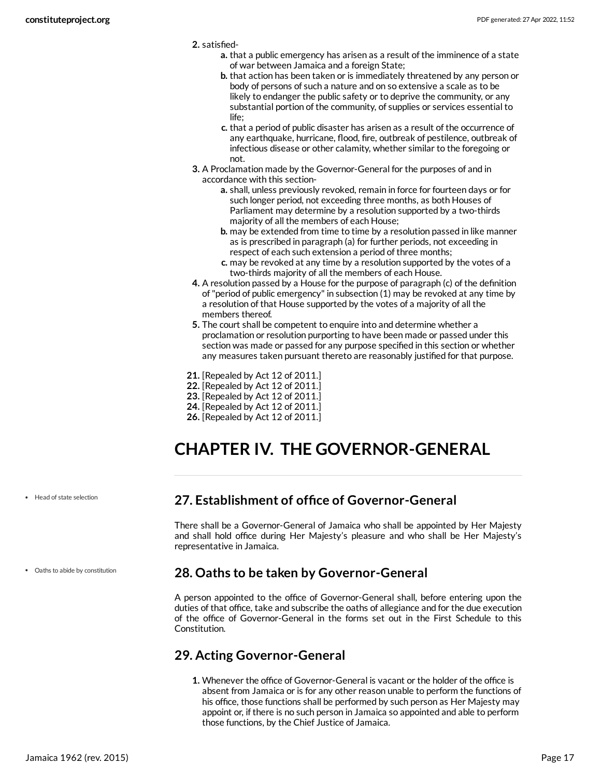- **2.** satisfied
	- **a.** that a public emergency has arisen as a result of the imminence of a state of war between Jamaica and a foreign State;
	- **b.** that action has been taken or is immediately threatened by any person or body of persons of such a nature and on so extensive a scale as to be likely to endanger the public safety or to deprive the community, or any substantial portion of the community, of supplies or services essential to life;
	- **c.** that a period of public disaster has arisen as a result of the occurrence of any earthquake, hurricane, flood, fire, outbreak of pestilence, outbreak of infectious disease or other calamity, whether similar to the foregoing or not.
- **3.** A Proclamation made by the Governor-General for the purposes of and in accordance with this section
	- **a.** shall, unless previously revoked, remain in force for fourteen days or for such longer period, not exceeding three months, as both Houses of Parliament may determine by a resolution supported by a two-thirds majority of all the members of each House;
	- **b.** may be extended from time to time by a resolution passed in like manner as is prescribed in paragraph (a) for further periods, not exceeding in respect of each such extension a period of three months;
	- **c.** may be revoked at any time by a resolution supported by the votes of a two-thirds majority of all the members of each House.
- **4.** A resolution passed by a House for the purpose of paragraph (c) of the definition of"period of public emergency" in subsection (1) may be revoked at any time by a resolution of that House supported by the votes of a majority of all the members thereof.
- **5.** The court shall be competent to enquire into and determine whether a proclamation or resolution purporting to have been made or passed under this section was made or passed for any purpose specified in this section or whether any measures taken pursuant thereto are reasonably justified for that purpose.
- **21.** [Repealed by Act 12 of 2011.]
- **22.** [Repealed by Act 12 of 2011.]
- **23.** [Repealed by Act 12 of 2011.]
- **24.** [Repealed by Act 12 of 2011.] **26.** [Repealed by Act 12 of 2011.]
- <span id="page-16-0"></span>**CHAPTER IV. THE GOVERNOR-GENERAL**

• Head of state selection

### <span id="page-16-1"></span>**27. Establishment of office of Governor-General**

There shall be a Governor-General of Jamaica who shall be appointed by Her Majesty and shall hold office during Her Majesty's pleasure and who shall be Her Majesty's representative in Jamaica.

Oaths to abide by constitution

### <span id="page-16-2"></span>**28. Oaths to be taken by Governor-General**

A person appointed to the office of Governor-General shall, before entering upon the duties of that office, take and subscribe the oaths of allegiance and for the due execution of the office of Governor-General in the forms set out in the First Schedule to this Constitution.

### <span id="page-16-3"></span>**29. Acting Governor-General**

**1.** Whenever the office of Governor-General is vacant or the holder of the office is absent from Jamaica or is for any other reason unable to perform the functions of his office, those functions shall be performed by such person as Her Majesty may appoint or, if there is no such person in Jamaica so appointed and able to perform those functions, by the Chief Justice of Jamaica.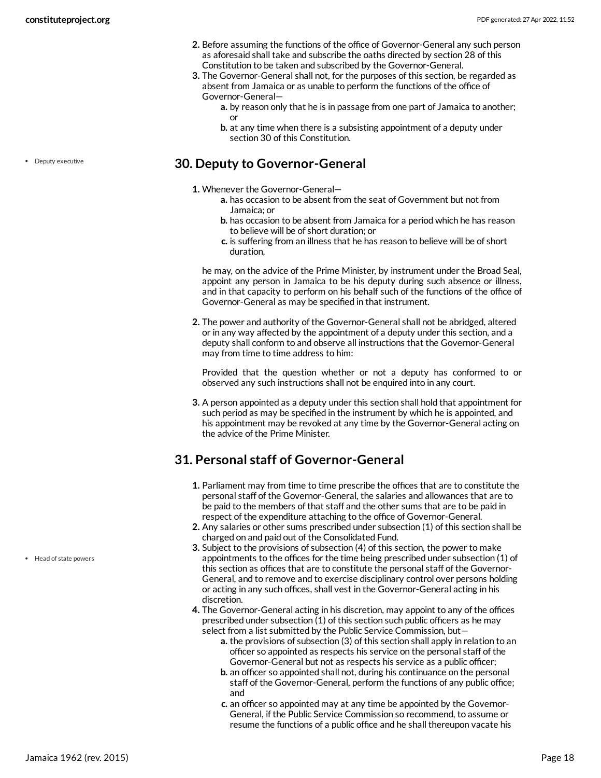- **2.** Before assuming the functions of the office of Governor-General any such person as aforesaid shall take and subscribe the oaths directed by section 28 of this Constitution to be taken and subscribed by the Governor-General.
- **3.** The Governor-General shall not, for the purposes of this section, be regarded as absent from Jamaica or as unable to perform the functions of the office of Governor-General
	- **a.** by reason only that he is in passage from one part of Jamaica to another; or
	- **b.** at any time when there is a subsisting appointment of a deputy under section 30 of this Constitution.

#### <span id="page-17-0"></span>**30. Deputy to Governor-General**

- **1.** Whenever the Governor-General
	- **a.** has occasion to be absent from the seat of Government but not from Jamaica; or
	- **b.** has occasion to be absent from Jamaica for a period which he has reason to believe will be of short duration; or
	- **c.** is suffering from an illness that he has reason to believe will be of short duration,

he may, on the advice of the Prime Minister, by instrument under the Broad Seal, appoint any person in Jamaica to be his deputy during such absence or illness, and in that capacity to perform on his behalf such of the functions of the office of Governor-General as may be specified in that instrument.

**2.** The power and authority of the Governor-General shall not be abridged, altered or in any way affected by the appointment of a deputy under this section, and a deputy shall conform to and observe all instructions that the Governor-General may from time to time address to him:

Provided that the question whether or not a deputy has conformed to or observed any such instructions shall not be enquired into in any court.

**3.** A person appointed as a deputy under this section shall hold that appointment for such period as may be specified in the instrument by which he is appointed, and his appointment may be revoked at any time by the Governor-General acting on the advice of the Prime Minister.

### <span id="page-17-1"></span>**31. Personal staff of Governor-General**

- **1.** Parliament may from time to time prescribe the offices that are to constitute the personal staff of the Governor-General, the salaries and allowances that are to be paid to the members of that staff and the other sums that are to be paid in respect of the expenditure attaching to the office of Governor-General.
- **2.** Any salaries or other sums prescribed under subsection (1) of this section shall be charged on and paid out of the Consolidated Fund.
- **3.** Subject to the provisions of subsection (4) of this section, the power to make appointments to the offices for the time being prescribed under subsection (1) of this section as offices that are to constitute the personal staff of the Governor-General, and to remove and to exercise disciplinary control over persons holding or acting in any such offices, shall vest in the Governor-General acting in his discretion.
- **4.** The Governor-General acting in his discretion, may appoint to any of the offices prescribed under subsection (1) of this section such public officers as he may select from a list submitted by the Public Service Commission, but
	- **a.** the provisions of subsection (3) of this section shall apply in relation to an officer so appointed as respects his service on the personal staff of the Governor-General but not as respects his service as a public officer;
	- **b.** an officer so appointed shall not, during his continuance on the personal staff of the Governor-General, perform the functions of any public office; and
	- **c.** an officer so appointed may at any time be appointed by the Governor-General, if the Public Service Commission so recommend, to assume or resume the functions of a public office and he shall thereupon vacate his

• Deputy executive

• Head of state powers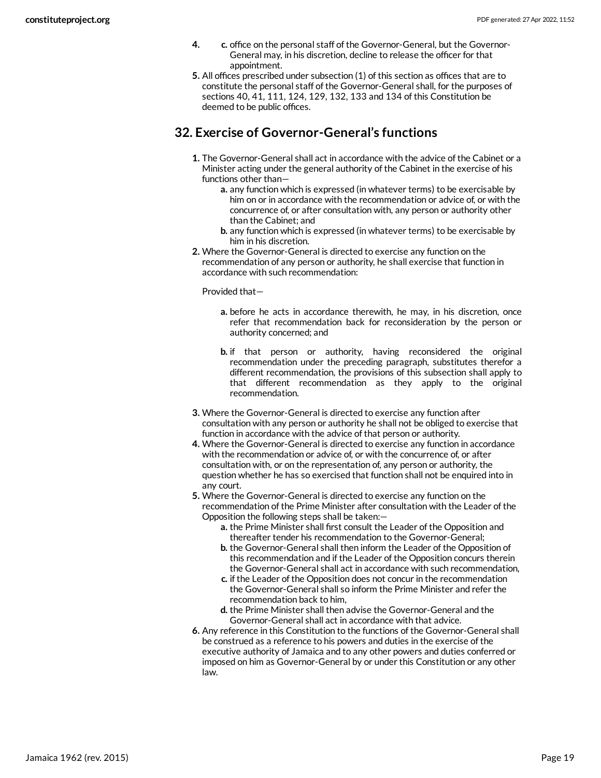- **4. c.** office on the personal staff of the Governor-General, but the Governor-General may, in his discretion, decline to release the officer for that appointment.
- **5.** All offices prescribed under subsection (1) of this section as offices that are to constitute the personal staff of the Governor-General shall, for the purposes of sections 40, 41, 111, 124, 129, 132, 133 and 134 of this Constitution be deemed to be public offices.

### <span id="page-18-0"></span>**32. Exercise of Governor-General's functions**

- **1.** The Governor-General shall act in accordance with the advice of the Cabinet or a Minister acting under the general authority of the Cabinet in the exercise of his functions other than
	- **a.** any function which is expressed (in whatever terms) to be exercisable by him on or in accordance with the recommendation or advice of, or with the concurrence of, or after consultation with, any person or authority other than the Cabinet; and
	- **b.** any function which is expressed (in whatever terms) to be exercisable by him in his discretion.
- **2.** Where the Governor-General is directed to exercise any function on the recommendation of any person or authority, he shall exercise that function in accordance with such recommendation:

Provided that—

- **a.** before he acts in accordance therewith, he may, in his discretion, once refer that recommendation back for reconsideration by the person or authority concerned; and
- **b.** if that person or authority, having reconsidered the original recommendation under the preceding paragraph, substitutes therefor a different recommendation, the provisions of this subsection shall apply to that different recommendation as they apply to the original recommendation.
- **3.** Where the Governor-General is directed to exercise any function after consultation with any person or authority he shall not be obliged to exercise that function in accordance with the advice of that person or authority.
- **4.** Where the Governor-General is directed to exercise any function in accordance with the recommendation or advice of, or with the concurrence of, or after consultation with, or on the representation of, any person or authority, the question whether he has so exercised that function shall not be enquired into in any court.
- **5.** Where the Governor-General is directed to exercise any function on the recommendation of the Prime Minister after consultation with the Leader of the Opposition the following steps shall be taken:
	- **a.** the Prime Minister shall first consult the Leader of the Opposition and thereafter tender his recommendation to the Governor-General;
	- **b.** the Governor-General shall then inform the Leader of the Opposition of this recommendation and if the Leader of the Opposition concurs therein the Governor-General shall act in accordance with such recommendation,
	- **c.** if the Leader of the Opposition does not concur in the recommendation the Governor-General shall so inform the Prime Minister and refer the recommendation back to him,
	- **d.** the Prime Minister shall then advise the Governor-General and the Governor-General shall act in accordance with that advice.
- **6.** Any reference in this Constitution to the functions of the Governor-General shall be construed as a reference to his powers and duties in the exercise of the executive authority of Jamaica and to any other powers and duties conferred or imposed on him as Governor-General by or under this Constitution or any other law.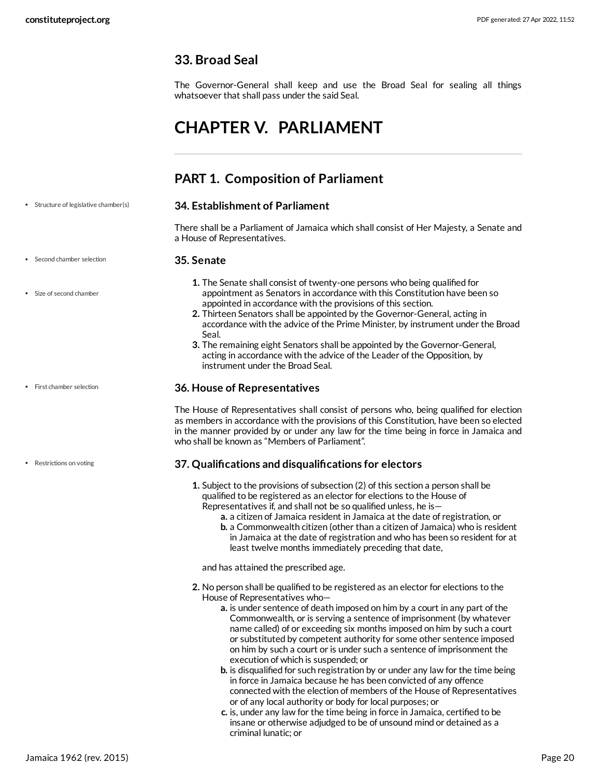### <span id="page-19-0"></span>**33. Broad Seal**

The Governor-General shall keep and use the Broad Seal for sealing all things whatsoever that shall pass under the said Seal.

# <span id="page-19-1"></span>**CHAPTER V. PARLIAMENT**

### <span id="page-19-2"></span>**PART 1. Composition of Parliament**

#### <span id="page-19-6"></span>**34. Establishment of Parliament**

There shall be a Parliament of Jamaica which shall consist of Her Majesty, a Senate and a House of Representatives.

#### **35. Senate** • Second chamber selection

• Size of second chamber

• Structure of legislative chamber(s)

• First chamber selection

• Restrictions on voting

- <span id="page-19-5"></span>**1.** The Senate shall consist of twenty-one persons who being qualified for appointment as Senators in accordance with this Constitution have been so
- appointed in accordance with the provisions of this section. **2.** Thirteen Senators shall be appointed by the Governor-General, acting in accordance with the advice of the Prime Minister, by instrument under the Broad Seal.
- **3.** The remaining eight Senators shall be appointed by the Governor-General, acting in accordance with the advice of the Leader of the Opposition, by instrument under the Broad Seal.

#### <span id="page-19-3"></span>**36. House of Representatives**

The House of Representatives shall consist of persons who, being qualified for election as members in accordance with the provisions of this Constitution, have been so elected in the manner provided by or under any law for the time being in force in Jamaica and who shall be known as "Members of Parliament".

#### <span id="page-19-4"></span>**37. Qualifications and disqualifications for electors**

- **1.** Subject to the provisions of subsection (2) of this section a person shall be qualified to be registered as an elector for elections to the House of Representatives if, and shall not be so qualified unless, he is
	- **a.** a citizen of Jamaica resident in Jamaica at the date of registration, or
	- **b.** a Commonwealth citizen (other than a citizen of Jamaica) who is resident in Jamaica at the date of registration and who has been so resident for at least twelve months immediately preceding that date,

and has attained the prescribed age.

- **2.** No person shall be qualified to be registered as an elector for elections to the House of Representatives who
	- **a.** is under sentence of death imposed on him by a court in any part of the Commonwealth, or is serving a sentence of imprisonment (by whatever name called) of or exceeding six months imposed on him by such a court or substituted by competent authority for some other sentence imposed on him by such a court or is under such a sentence of imprisonment the execution of which is suspended; or
	- **b.** is disqualified for such registration by or under any law for the time being in force in Jamaica because he has been convicted of any offence connected with the election of members of the House of Representatives or of any local authority or body for local purposes; or
	- **c.** is, under any law for the time being in force in Jamaica, certified to be insane or otherwise adjudged to be of unsound mind or detained as a criminal lunatic; or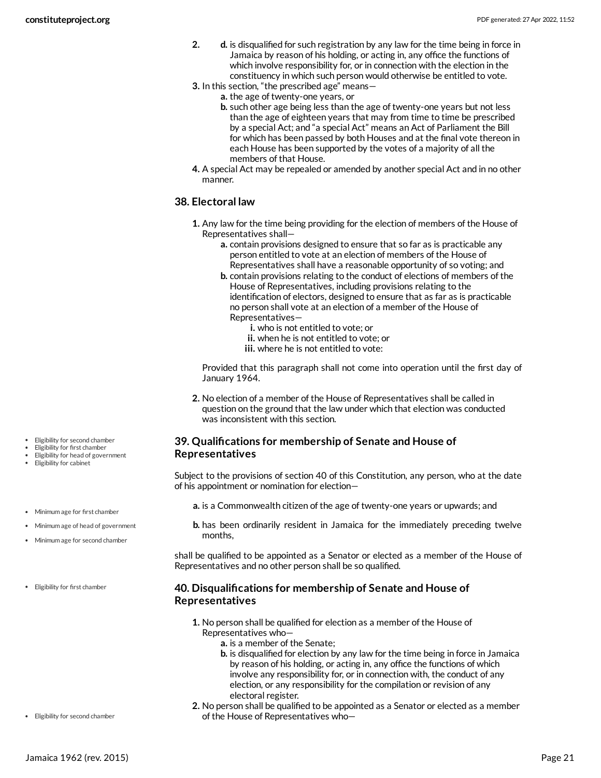- **2. d.** is disqualified for such registration by any law for the time being in force in Jamaica by reason of his holding, or acting in, any office the functions of which involve responsibility for, or in connection with the election in the constituency in which such person would otherwise be entitled to vote.
- **3.** In this section, "the prescribed age" means
	- **a.** the age of twenty-one years, or
	- **b.** such other age being less than the age of twenty-one years but not less than the age of eighteen years that may from time to time be prescribed by a special Act; and "a special Act" means an Act of Parliament the Bill for which has been passed by both Houses and at the final vote thereon in each House has been supported by the votes of a majority of all the members of that House.
- **4.** A special Act may be repealed or amended by another special Act and in no other manner.

#### **38. Electoral law**

- **1.** Any law for the time being providing for the election of members of the House of Representatives shall
	- **a.** contain provisions designed to ensure that so far as is practicable any person entitled to vote at an election of members of the House of Representatives shall have a reasonable opportunity of so voting; and
	- **b.** contain provisions relating to the conduct of elections of members of the House of Representatives, including provisions relating to the identification of electors, designed to ensure that as far as is practicable no person shall vote at an election of a member of the House of Representatives
		- **i.** who is not entitled to vote; or
		- **ii.** when he is not entitled to vote; or
		- **iii.** where he is not entitled to vote:

Provided that this paragraph shall not come into operation until the first day of January 1964.

**2.** No election of a member of the House of Representatives shall be called in question on the ground that the law under which that election was conducted was inconsistent with this section.

#### <span id="page-20-0"></span>**39. Qualifications for membership of Senate and House of Representatives**

<span id="page-20-1"></span>Subject to the provisions of section 40 of this Constitution, any person, who at the date of his appointment or nomination for election—

- **a.** is a Commonwealth citizen of the age of twenty-one years or upwards; and
- **b.** has been ordinarily resident in Jamaica for the immediately preceding twelve months,

shall be qualified to be appointed as a Senator or elected as a member of the House of Representatives and no other person shall be so qualified.

#### <span id="page-20-2"></span>**40. Disqualifications for membership of Senate and House of Representatives**

- **1.** No person shall be qualified for election as a member of the House of Representatives who
	- **a.** is a member of the Senate;
	- **b.** is disqualified for election by any law for the time being in force in Jamaica by reason of his holding, or acting in, any office the functions of which involve any responsibility for, or in connection with, the conduct of any election, or any responsibility for the compilation or revision of any electoral register.
- **2.** No person shall be qualified to be appointed as a Senator or elected as a member of the House of Representatives who—
- Eligibility for second chamber Eligibility for first chamber
- Eligibility for head of government
- Eligibility for cabinet
- Minimum age for first chamber
- Minimum age of head of government
- Minimum age for second chamber
- Eligibility for first chamber

Jamaica 1962 (rev. 2015) Page 21

Eligibility for second chamber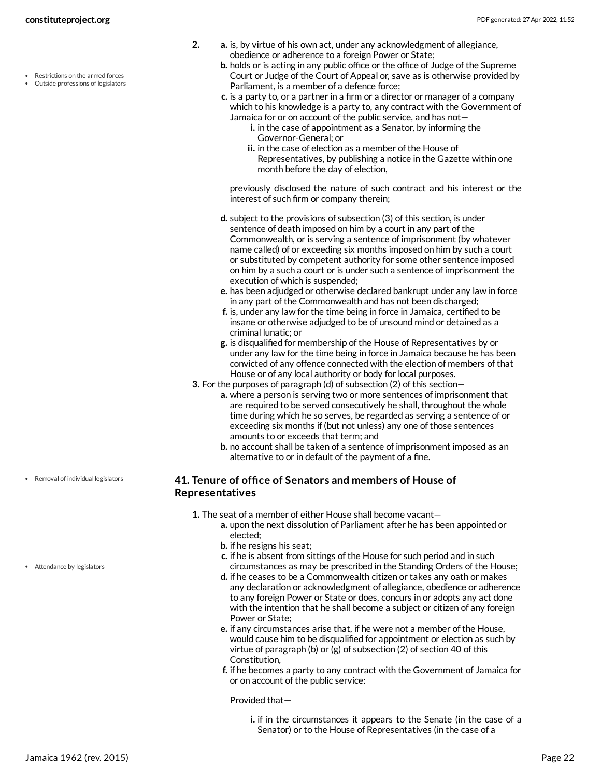- Restrictions on the armed forces
- Outside professions of legislators
- **2. a.** is, by virtue of his own act, under any acknowledgment of allegiance, obedience or adherence to a foreign Power or State;
	- **b.** holds or is acting in any public office or the office of Judge of the Supreme Court or Judge of the Court of Appeal or, save as is otherwise provided by Parliament, is a member of a defence force;
	- **c.** is a party to, or a partner in a firm or a director or manager of a company which to his knowledge is a party to, any contract with the Government of Jamaica for or on account of the public service, and has not
		- **i.** in the case of appointment as a Senator, by informing the Governor-General; or
		- **ii.** in the case of election as a member of the House of Representatives, by publishing a notice in the Gazette within one month before the day of election,

previously disclosed the nature of such contract and his interest or the interest of such firm or company therein;

- **d.** subject to the provisions of subsection (3) of this section, is under sentence of death imposed on him by a court in any part of the Commonwealth, or is serving a sentence of imprisonment (by whatever name called) of or exceeding six months imposed on him by such a court or substituted by competent authority for some other sentence imposed on him by a such a court or is under such a sentence of imprisonment the execution of which is suspended;
- **e.** has been adjudged or otherwise declared bankrupt under any law in force in any part of the Commonwealth and has not been discharged;
- **f.** is, under any law for the time being in force in Jamaica, certified to be insane or otherwise adjudged to be of unsound mind or detained as a criminal lunatic; or
- **g.** is disqualified for membership of the House of Representatives by or under any law for the time being in force in Jamaica because he has been convicted of any offence connected with the election of members of that House or of any local authority or body for local purposes.
- **3.** For the purposes of paragraph (d) of subsection (2) of this section
	- **a.** where a person is serving two or more sentences of imprisonment that are required to be served consecutively he shall, throughout the whole time during which he so serves, be regarded as serving a sentence of or exceeding six months if (but not unless) any one of those sentences amounts to or exceeds that term; and
	- **b.** no account shall be taken of a sentence of imprisonment imposed as an alternative to or in default of the payment of a fine.

#### <span id="page-21-0"></span>**41. Tenure of office of Senators and members of House of Representatives**

- **1.** The seat of a member of either House shall become vacant
	- **a.** upon the next dissolution of Parliament after he has been appointed or elected;
	- **b.** if he resigns his seat;
	- **c.** if he is absent from sittings of the House for such period and in such circumstances as may be prescribed in the Standing Orders of the House;
	- **d.** if he ceases to be a Commonwealth citizen or takes any oath or makes any declaration or acknowledgment of allegiance, obedience or adherence to any foreign Power or State or does, concurs in or adopts any act done with the intention that he shall become a subject or citizen of any foreign Power or State;
	- **e.** if any circumstances arise that, if he were not a member of the House, would cause him to be disqualified for appointment or election as such by virtue of paragraph (b) or (g) of subsection (2) of section 40 of this Constitution,
	- **f.** if he becomes a party to any contract with the Government of Jamaica for or on account of the public service:

Provided that—

**i.** if in the circumstances it appears to the Senate (in the case of a Senator) or to the House of Representatives (in the case of a

• Removal of individual legislators

Attendance by legislators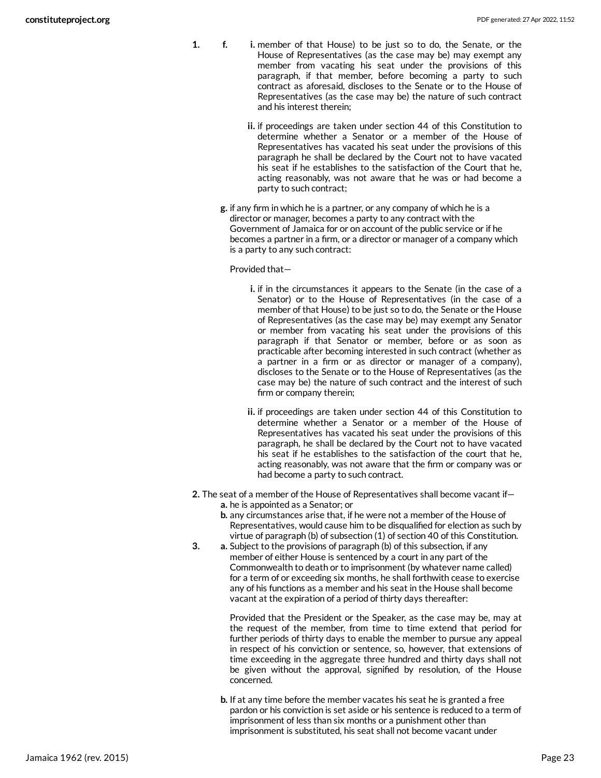- **1. f. i.** member of that House) to be just so to do, the Senate, or the House of Representatives (as the case may be) may exempt any member from vacating his seat under the provisions of this paragraph, if that member, before becoming a party to such contract as aforesaid, discloses to the Senate or to the House of Representatives (as the case may be) the nature of such contract and his interest therein;
	- **ii.** if proceedings are taken under section 44 of this Constitution to determine whether a Senator or a member of the House of Representatives has vacated his seat under the provisions of this paragraph he shall be declared by the Court not to have vacated his seat if he establishes to the satisfaction of the Court that he, acting reasonably, was not aware that he was or had become a party to such contract;
	- **g.** if any firm in which he is a partner, or any company of which he is a director or manager, becomes a party to any contract with the Government of Jamaica for or on account of the public service or if he becomes a partner in a firm, or a director or manager of a company which is a party to any such contract:

- **i.** if in the circumstances it appears to the Senate (in the case of a Senator) or to the House of Representatives (in the case of a member of that House) to be just so to do, the Senate or the House of Representatives (as the case may be) may exempt any Senator or member from vacating his seat under the provisions of this paragraph if that Senator or member, before or as soon as practicable after becoming interested in such contract (whether as a partner in a firm or as director or manager of a company), discloses to the Senate or to the House of Representatives (as the case may be) the nature of such contract and the interest of such firm or company therein;
- **ii.** if proceedings are taken under section 44 of this Constitution to determine whether a Senator or a member of the House of Representatives has vacated his seat under the provisions of this paragraph, he shall be declared by the Court not to have vacated his seat if he establishes to the satisfaction of the court that he, acting reasonably, was not aware that the firm or company was or had become a party to such contract.
- **2.** The seat of a member of the House of Representatives shall become vacant if **a.** he is appointed as a Senator; or
	- **b.** any circumstances arise that, if he were not a member of the House of Representatives, would cause him to be disqualified for election as such by virtue of paragraph (b) of subsection (1) of section 40 of this Constitution.
- **3. a.** Subject to the provisions of paragraph (b) of this subsection, if any member of either House is sentenced by a court in any part of the Commonwealth to death or to imprisonment (by whatever name called) for a term of or exceeding six months, he shall forthwith cease to exercise any of his functions as a member and his seat in the House shall become vacant at the expiration of a period of thirty days thereafter:

Provided that the President or the Speaker, as the case may be, may at the request of the member, from time to time extend that period for further periods of thirty days to enable the member to pursue any appeal in respect of his conviction or sentence, so, however, that extensions of time exceeding in the aggregate three hundred and thirty days shall not be given without the approval, signified by resolution, of the House concerned.

**b.** If at any time before the member vacates his seat he is granted a free pardon or his conviction is set aside or his sentence is reduced to a term of imprisonment of less than six months or a punishment other than imprisonment is substituted, his seat shall not become vacant under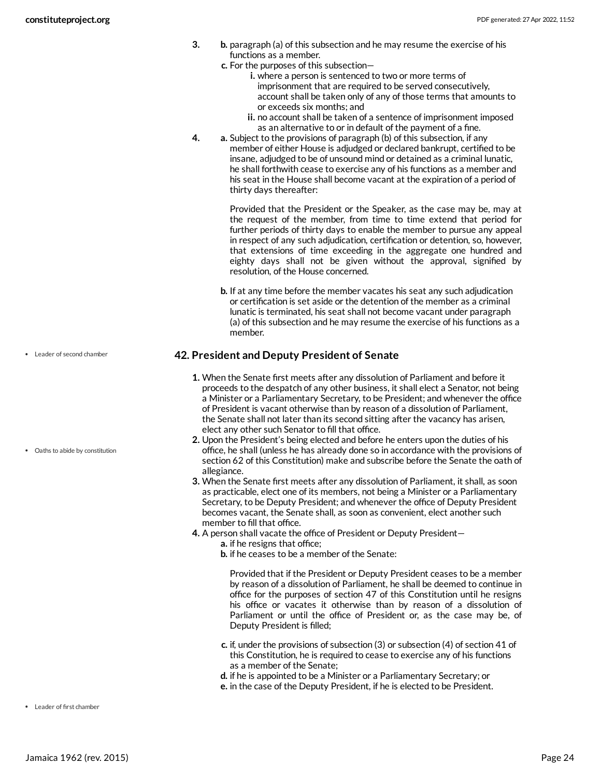- **3. b.** paragraph (a) of this subsection and he may resume the exercise of his functions as a member.
	- **c.** For the purposes of this subsection
		- **i.** where a person is sentenced to two or more terms of imprisonment that are required to be served consecutively, account shall be taken only of any of those terms that amounts to or exceeds six months; and
		- **ii.** no account shall be taken of a sentence of imprisonment imposed as an alternative to or in default of the payment of a fine.
- **4. a.** Subject to the provisions of paragraph (b) of this subsection, if any member of either House is adjudged or declared bankrupt, certified to be insane, adjudged to be of unsound mind or detained as a criminal lunatic, he shall forthwith cease to exercise any of his functions as a member and his seat in the House shall become vacant at the expiration of a period of thirty days thereafter:

Provided that the President or the Speaker, as the case may be, may at the request of the member, from time to time extend that period for further periods of thirty days to enable the member to pursue any appeal in respect of any such adjudication, certification or detention, so, however, that extensions of time exceeding in the aggregate one hundred and eighty days shall not be given without the approval, signified by resolution, of the House concerned.

**b.** If at any time before the member vacates his seat any such adjudication or certification is set aside or the detention of the member as a criminal lunatic is terminated, his seat shall not become vacant under paragraph (a) of this subsection and he may resume the exercise of his functions as a member.

#### <span id="page-23-1"></span>**42. President and Deputy President of Senate**

- **1.** When the Senate first meets after any dissolution of Parliament and before it proceeds to the despatch of any other business, it shall elect a Senator, not being a Minister or a Parliamentary Secretary, to be President; and whenever the office of President is vacant otherwise than by reason of a dissolution of Parliament, the Senate shall not later than its second sitting after the vacancy has arisen, elect any other such Senator to fill that office.
- **2.** Upon the President's being elected and before he enters upon the duties of his office, he shall (unless he has already done so in accordance with the provisions of section 62 of this Constitution) make and subscribe before the Senate the oath of allegiance.
- **3.** When the Senate first meets after any dissolution of Parliament, it shall, as soon as practicable, elect one of its members, not being a Minister or a Parliamentary Secretary, to be Deputy President; and whenever the office of Deputy President becomes vacant, the Senate shall, as soon as convenient, elect another such member to fill that office.
- **4.** A person shall vacate the office of President or Deputy President
	- **a.** if he resigns that office;
		- **b.** if he ceases to be a member of the Senate:

Provided that if the President or Deputy President ceases to be a member by reason of a dissolution of Parliament, he shall be deemed to continue in office for the purposes of section 47 of this Constitution until he resigns his office or vacates it otherwise than by reason of a dissolution of Parliament or until the office of President or, as the case may be, of Deputy President is filled;

- **c.** if, under the provisions of subsection (3) or subsection (4) of section 41 of this Constitution, he is required to cease to exercise any of his functions as a member of the Senate;
- **d.** if he is appointed to be a Minister or a Parliamentary Secretary; or
- <span id="page-23-0"></span>**e.** in the case of the Deputy President, if he is elected to be President.

Leader of second chamber

Oaths to abide by constitution

Leader of first chamber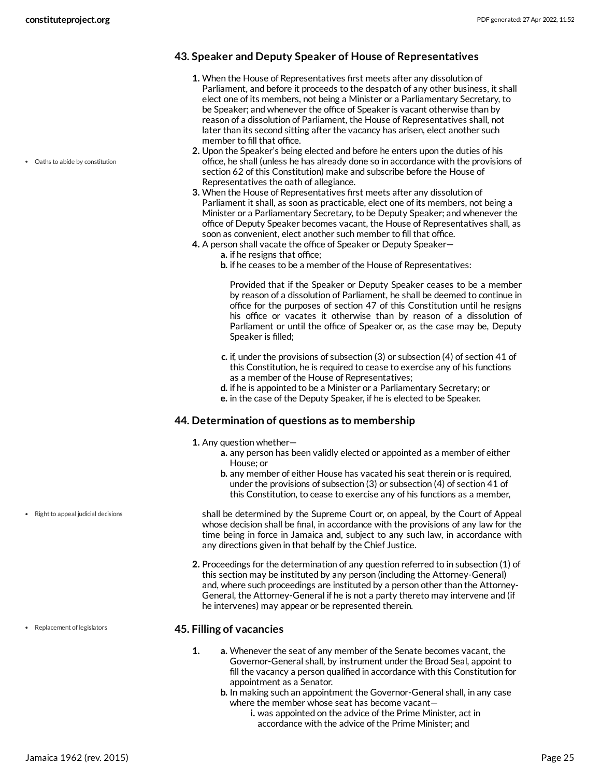- **43. Speaker and Deputy Speaker of House of Representatives**
	- **1.** When the House of Representatives first meets after any dissolution of Parliament, and before it proceeds to the despatch of any other business, it shall elect one of its members, not being a Minister or a Parliamentary Secretary, to be Speaker; and whenever the office of Speaker is vacant otherwise than by reason of a dissolution of Parliament, the House of Representatives shall, not later than its second sitting after the vacancy has arisen, elect another such member to fill that office.
	- **2.** Upon the Speaker's being elected and before he enters upon the duties of his office, he shall (unless he has already done so in accordance with the provisions of section 62 of this Constitution) make and subscribe before the House of Representatives the oath of allegiance.
	- **3.** When the House of Representatives first meets after any dissolution of Parliament it shall, as soon as practicable, elect one of its members, not being a Minister or a Parliamentary Secretary, to be Deputy Speaker; and whenever the office of Deputy Speaker becomes vacant, the House of Representatives shall, as soon as convenient, elect another such member to fill that office.
	- **4.** A person shall vacate the office of Speaker or Deputy Speaker
		- **a.** if he resigns that office;
			- **b.** if he ceases to be a member of the House of Representatives:

Provided that if the Speaker or Deputy Speaker ceases to be a member by reason of a dissolution of Parliament, he shall be deemed to continue in office for the purposes of section 47 of this Constitution until he resigns his office or vacates it otherwise than by reason of a dissolution of Parliament or until the office of Speaker or, as the case may be, Deputy Speaker is filled;

- **c.** if, under the provisions of subsection (3) or subsection (4) of section 41 of this Constitution, he is required to cease to exercise any of his functions as a member of the House of Representatives;
- **d.** if he is appointed to be a Minister or a Parliamentary Secretary; or
- **e.** in the case of the Deputy Speaker, if he is elected to be Speaker.

#### **44. Determination of questions as to membership**

- **1.** Any question whether
	- **a.** any person has been validly elected or appointed as a member of either House; or
	- **b.** any member of either House has vacated his seat therein or is required, under the provisions of subsection (3) or subsection (4) of section 41 of this Constitution, to cease to exercise any of his functions as a member,

<span id="page-24-1"></span>shall be determined by the Supreme Court or, on appeal, by the Court of Appeal whose decision shall be final, in accordance with the provisions of any law for the time being in force in Jamaica and, subject to any such law, in accordance with any directions given in that behalf by the Chief Justice.

**2.** Proceedings for the determination of any question referred to in subsection (1) of this section may be instituted by any person (including the Attorney-General) and, where such proceedings are instituted by a person other than the Attorney-General, the Attorney-General if he is not a party thereto may intervene and (if he intervenes) may appear or be represented therein.

#### <span id="page-24-0"></span>**45. Filling of vacancies**

- **1. a.** Whenever the seat of any member of the Senate becomes vacant, the Governor-General shall, by instrument under the Broad Seal, appoint to fill the vacancy a person qualified in accordance with this Constitution for appointment as a Senator.
	- **b.** In making such an appointment the Governor-General shall, in any case where the member whose seat has become vacant
		- **i.** was appointed on the advice of the Prime Minister, act in accordance with the advice of the Prime Minister; and

Oaths to abide by constitution

 $\bullet$  Right to appeal judicial decisions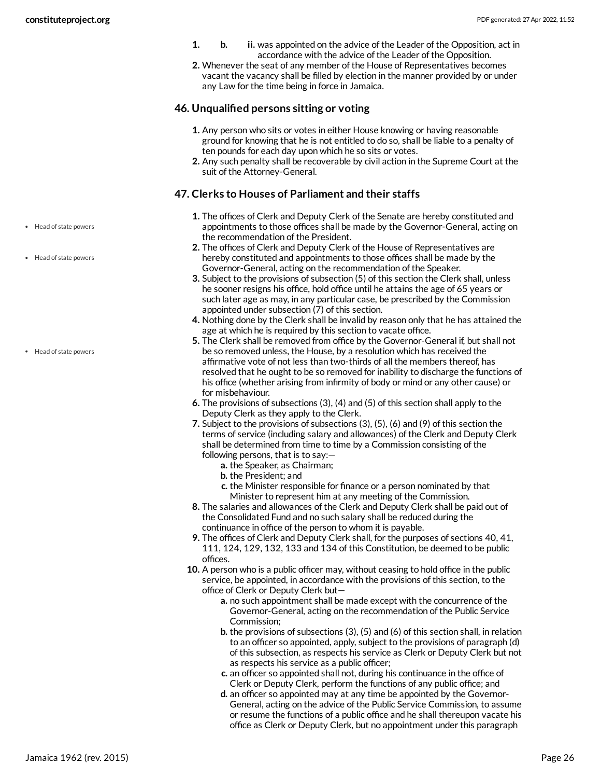- **1. b. ii.** was appointed on the advice of the Leader of the Opposition, act in accordance with the advice of the Leader of the Opposition.
- **2.** Whenever the seat of any member of the House of Representatives becomes vacant the vacancy shall be filled by election in the manner provided by or under any Law for the time being in force in Jamaica.

#### **46. Unqualified persons sitting or voting**

- **1.** Any person who sits or votes in either House knowing or having reasonable ground for knowing that he is not entitled to do so, shall be liable to a penalty of ten pounds for each day upon which he so sits or votes.
- **2.** Any such penalty shall be recoverable by civil action in the Supreme Court at the suit of the Attorney-General.

#### <span id="page-25-0"></span>**47. Clerks to Houses of Parliament and their staffs**

- **1.** The offices of Clerk and Deputy Clerk of the Senate are hereby constituted and appointments to those offices shall be made by the Governor-General, acting on the recommendation of the President.
- **2.** The offices of Clerk and Deputy Clerk of the House of Representatives are hereby constituted and appointments to those offices shall be made by the Governor-General, acting on the recommendation of the Speaker.
- **3.** Subject to the provisions of subsection (5) of this section the Clerk shall, unless he sooner resigns his office, hold office until he attains the age of 65 years or such later age as may, in any particular case, be prescribed by the Commission appointed under subsection (7) of this section.
- **4.** Nothing done by the Clerk shall be invalid by reason only that he has attained the age at which he is required by this section to vacate office.
- **5.** The Clerk shall be removed from office by the Governor-General if, but shall not be so removed unless, the House, by a resolution which has received the affirmative vote of not less than two-thirds of all the members thereof, has resolved that he ought to be so removed for inability to discharge the functions of his office (whether arising from infirmity of body or mind or any other cause) or for misbehaviour.
- **6.** The provisions of subsections (3), (4) and (5) of this section shall apply to the Deputy Clerk as they apply to the Clerk.
- **7.** Subject to the provisions of subsections (3), (5), (6) and (9) of this section the terms of service (including salary and allowances) of the Clerk and Deputy Clerk shall be determined from time to time by a Commission consisting of the following persons, that is to say:
	- **a.** the Speaker, as Chairman;
	- **b.** the President; and
	- **c.** the Minister responsible for finance or a person nominated by that Minister to represent him at any meeting of the Commission.
- **8.** The salaries and allowances of the Clerk and Deputy Clerk shall be paid out of the Consolidated Fund and no such salary shall be reduced during the continuance in office of the person to whom it is payable.
- **9.** The offices of Clerk and Deputy Clerk shall, for the purposes of sections 40, 41, 111, 124, 129, 132, 133 and 134 of this Constitution, be deemed to be public offices.
- **10.** A person who is a public officer may, without ceasing to hold office in the public service, be appointed, in accordance with the provisions of this section, to the office of Clerk or Deputy Clerk but
	- **a.** no such appointment shall be made except with the concurrence of the Governor-General, acting on the recommendation of the Public Service Commission;
	- **b.** the provisions of subsections (3), (5) and (6) of this section shall, in relation to an officer so appointed, apply, subject to the provisions of paragraph (d) of this subsection, as respects his service as Clerk or Deputy Clerk but not as respects his service as a public officer;
	- **c.** an officer so appointed shall not, during his continuance in the office of Clerk or Deputy Clerk, perform the functions of any public office; and
	- **d.** an officer so appointed may at any time be appointed by the Governor-General, acting on the advice of the Public Service Commission, to assume or resume the functions of a public office and he shall thereupon vacate his office as Clerk or Deputy Clerk, but no appointment under this paragraph
- Head of state powers
- Head of state powers

• Head of state powers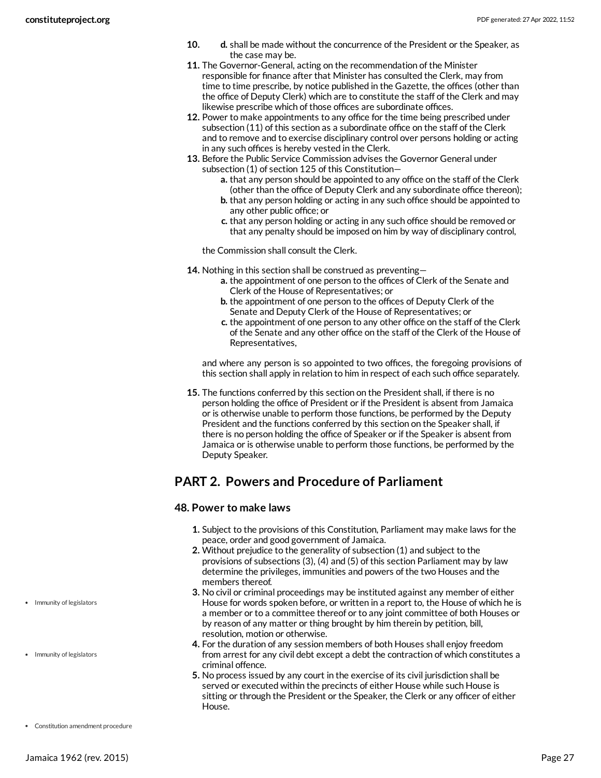- **10. d.** shall be made without the concurrence of the President or the Speaker, as the case may be.
- **11.** The Governor-General, acting on the recommendation of the Minister responsible for finance after that Minister has consulted the Clerk, may from time to time prescribe, by notice published in the Gazette, the offices (other than the office of Deputy Clerk) which are to constitute the staff of the Clerk and may likewise prescribe which of those offices are subordinate offices.
- **12.** Power to make appointments to any office for the time being prescribed under subsection (11) of this section as a subordinate office on the staff of the Clerk and to remove and to exercise disciplinary control over persons holding or acting in any such offices is hereby vested in the Clerk.
- **13.** Before the Public Service Commission advises the Governor General under subsection (1) of section 125 of this Constitution
	- **a.** that any person should be appointed to any office on the staff of the Clerk (other than the office of Deputy Clerk and any subordinate office thereon);
	- **b.** that any person holding or acting in any such office should be appointed to any other public office; or
	- **c.** that any person holding or acting in any such office should be removed or that any penalty should be imposed on him by way of disciplinary control,

the Commission shall consult the Clerk.

- **14.** Nothing in this section shall be construed as preventing
	- **a.** the appointment of one person to the offices of Clerk of the Senate and Clerk of the House of Representatives; or
	- **b.** the appointment of one person to the offices of Deputy Clerk of the Senate and Deputy Clerk of the House of Representatives; or
	- **c.** the appointment of one person to any other office on the staff of the Clerk of the Senate and any other office on the staff of the Clerk of the House of Representatives,

and where any person is so appointed to two offices, the foregoing provisions of this section shall apply in relation to him in respect of each such office separately.

**15.** The functions conferred by this section on the President shall, if there is no person holding the office of President or if the President is absent from Jamaica or is otherwise unable to perform those functions, be performed by the Deputy President and the functions conferred by this section on the Speaker shall, if there is no person holding the office of Speaker or if the Speaker is absent from Jamaica or is otherwise unable to perform those functions, be performed by the Deputy Speaker.

### <span id="page-26-0"></span>**PART 2. Powers and Procedure of Parliament**

#### <span id="page-26-2"></span>**48. Power to make laws**

- **1.** Subject to the provisions of this Constitution, Parliament may make laws for the peace, order and good government of Jamaica.
- **2.** Without prejudice to the generality of subsection (1) and subject to the provisions of subsections (3), (4) and (5) of this section Parliament may by law determine the privileges, immunities and powers of the two Houses and the members thereof.
- **3.** No civil or criminal proceedings may be instituted against any member of either House for words spoken before, or written in a report to, the House of which he is a member or to a committee thereof or to any joint committee of both Houses or by reason of any matter or thing brought by him therein by petition, bill, resolution, motion or otherwise.
- **4.** For the duration of any session members of both Houses shall enjoy freedom from arrest for any civil debt except a debt the contraction of which constitutes a criminal offence.
- <span id="page-26-1"></span>**5.** No process issued by any court in the exercise of its civil jurisdiction shall be served or executed within the precincts of either House while such House is sitting or through the President or the Speaker, the Clerk or any officer of either House.

• Immunity of legislators

- Immunity of legislators
- Constitution amendment procedure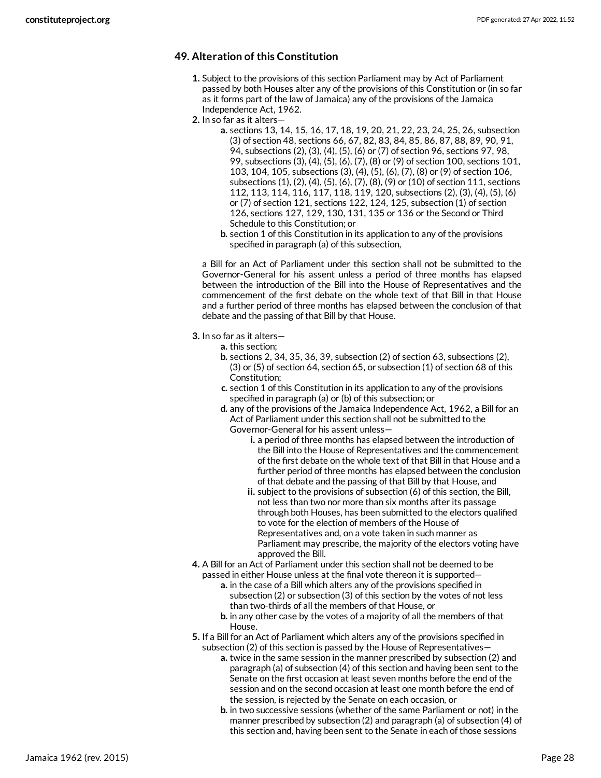#### **49. Alteration of this Constitution**

- **1.** Subject to the provisions of this section Parliament may by Act of Parliament passed by both Houses alter any of the provisions of this Constitution or (in so far as it forms part of the law of Jamaica) any of the provisions of the Jamaica Independence Act, 1962.
- **2.** In so far as it alters
	- **a.** sections 13, 14, 15, 16, 17, 18, 19, 20, 21, 22, 23, 24, 25, 26, subsection (3) of section 48, sections 66, 67, 82, 83, 84, 85, 86, 87, 88, 89, 90, 91, 94, subsections (2), (3), (4), (5), (6) or (7) of section 96, sections 97, 98, 99, subsections (3), (4), (5), (6), (7), (8) or (9) of section 100, sections 101, 103, 104, 105, subsections (3), (4), (5), (6), (7), (8) or (9) of section 106, subsections (1), (2), (4), (5), (6), (7), (8), (9) or (10) of section 111, sections 112, 113, 114, 116, 117, 118, 119, 120, subsections (2), (3), (4), (5), (6) or (7) of section 121, sections 122, 124, 125, subsection (1) of section 126, sections 127, 129, 130, 131, 135 or 136 or the Second or Third Schedule to this Constitution; or
	- **b.** section 1 of this Constitution in its application to any of the provisions specified in paragraph (a) of this subsection,

a Bill for an Act of Parliament under this section shall not be submitted to the Governor-General for his assent unless a period of three months has elapsed between the introduction of the Bill into the House of Representatives and the commencement of the first debate on the whole text of that Bill in that House and a further period of three months has elapsed between the conclusion of that debate and the passing of that Bill by that House.

**3.** In so far as it alters—

**a.** this section;

- **b.** sections 2, 34, 35, 36, 39, subsection (2) of section 63, subsections (2), (3) or (5) of section 64, section 65, or subsection (1) of section 68 of this Constitution;
- **c.** section 1 of this Constitution in its application to any of the provisions specified in paragraph (a) or (b) of this subsection; or
- **d.** any of the provisions of the Jamaica Independence Act, 1962, a Bill for an Act of Parliament under this section shall not be submitted to the Governor-General for his assent unless
	- **i.** a period of three months has elapsed between the introduction of the Bill into the House of Representatives and the commencement of the first debate on the whole text of that Bill in that House and a further period of three months has elapsed between the conclusion of that debate and the passing of that Bill by that House, and
	- **ii.** subject to the provisions of subsection (6) of this section, the Bill, not less than two nor more than six months after its passage through both Houses, has been submitted to the electors qualified to vote for the election of members of the House of Representatives and, on a vote taken in such manner as Parliament may prescribe, the majority of the electors voting have approved the Bill.
- **4.** A Bill for an Act of Parliament under this section shall not be deemed to be passed in either House unless at the final vote thereon it is supported
	- **a.** in the case of a Bill which alters any of the provisions specified in subsection (2) or subsection (3) of this section by the votes of not less than two-thirds of all the members of that House, or
	- **b.** in any other case by the votes of a majority of all the members of that House.
- **5.** If a Bill for an Act of Parliament which alters any of the provisions specified in subsection (2) of this section is passed by the House of Representatives
	- **a.** twice in the same session in the manner prescribed by subsection (2) and paragraph (a) of subsection (4) of this section and having been sent to the Senate on the first occasion at least seven months before the end of the session and on the second occasion at least one month before the end of the session, is rejected by the Senate on each occasion, or
	- **b.** in two successive sessions (whether of the same Parliament or not) in the manner prescribed by subsection (2) and paragraph (a) of subsection (4) of this section and, having been sent to the Senate in each of those sessions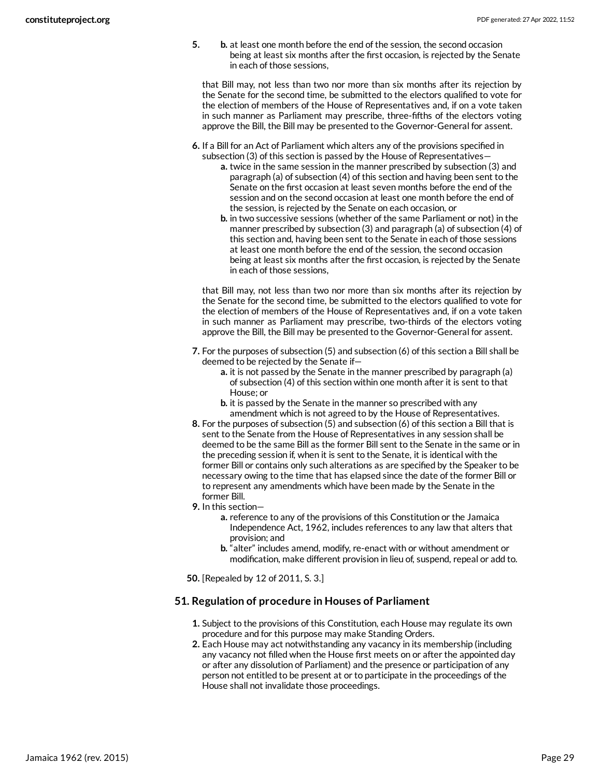**5. b.** at least one month before the end of the session, the second occasion being at least six months after the first occasion, is rejected by the Senate in each of those sessions,

that Bill may, not less than two nor more than six months after its rejection by the Senate for the second time, be submitted to the electors qualified to vote for the election of members of the House of Representatives and, if on a vote taken in such manner as Parliament may prescribe, three-fifths of the electors voting approve the Bill, the Bill may be presented to the Governor-General for assent.

- **6.** If a Bill for an Act of Parliament which alters any of the provisions specified in subsection (3) of this section is passed by the House of Representatives
	- **a.** twice in the same session in the manner prescribed by subsection (3) and paragraph (a) of subsection (4) of this section and having been sent to the Senate on the first occasion at least seven months before the end of the session and on the second occasion at least one month before the end of the session, is rejected by the Senate on each occasion, or
	- **b.** in two successive sessions (whether of the same Parliament or not) in the manner prescribed by subsection (3) and paragraph (a) of subsection (4) of this section and, having been sent to the Senate in each of those sessions at least one month before the end of the session, the second occasion being at least six months after the first occasion, is rejected by the Senate in each of those sessions,

that Bill may, not less than two nor more than six months after its rejection by the Senate for the second time, be submitted to the electors qualified to vote for the election of members of the House of Representatives and, if on a vote taken in such manner as Parliament may prescribe, two-thirds of the electors voting approve the Bill, the Bill may be presented to the Governor-General for assent.

- **7.** For the purposes of subsection (5) and subsection (6) of this section a Bill shall be deemed to be rejected by the Senate if
	- **a.** it is not passed by the Senate in the manner prescribed by paragraph (a) of subsection (4) of this section within one month after it is sent to that House; or
	- **b.** it is passed by the Senate in the manner so prescribed with any amendment which is not agreed to by the House of Representatives.
- **8.** For the purposes of subsection (5) and subsection (6) of this section a Bill that is sent to the Senate from the House of Representatives in any session shall be deemed to be the same Bill as the former Bill sent to the Senate in the same or in the preceding session if, when it is sent to the Senate, it is identical with the former Bill or contains only such alterations as are specified by the Speaker to be necessary owing to the time that has elapsed since the date of the former Bill or to represent any amendments which have been made by the Senate in the former Bill.
- **9.** In this section
	- **a.** reference to any of the provisions of this Constitution or the Jamaica Independence Act, 1962, includes references to any law that alters that provision; and
	- **b.** "alter" includes amend, modify, re-enact with or without amendment or modification, make different provision in lieu of, suspend, repeal or add to.
- **50.** [Repealed by 12 of 2011, S. 3.]

#### **51. Regulation of procedure in Houses of Parliament**

- **1.** Subject to the provisions of this Constitution, each House may regulate its own procedure and for this purpose may make Standing Orders.
- <span id="page-28-0"></span>**2.** Each House may act notwithstanding any vacancy in its membership (including any vacancy not filled when the House first meets on or after the appointed day or after any dissolution of Parliament) and the presence or participation of any person not entitled to be present at or to participate in the proceedings of the House shall not invalidate those proceedings.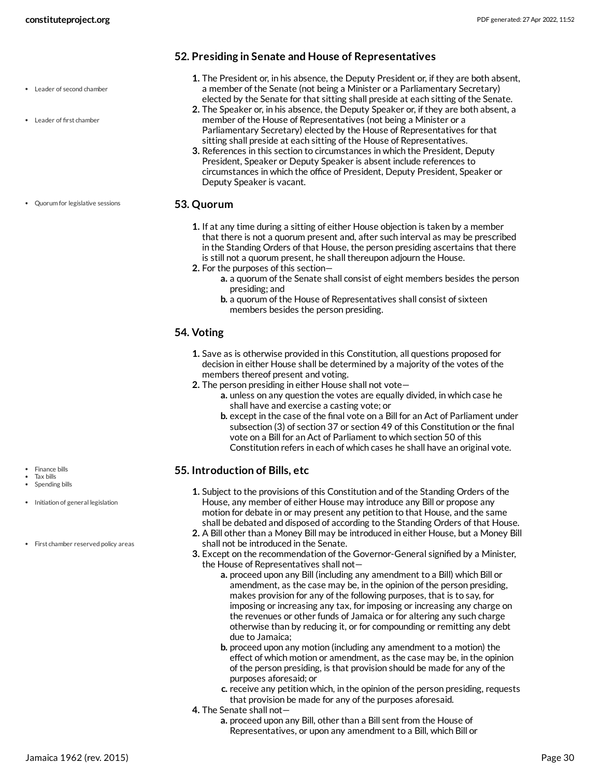- Leader of second chamber
- Leader of first chamber
- Quorum for legislative sessions

#### <span id="page-29-1"></span>**53. Quorum**

**1.** If at any time during a sitting of either House objection is taken by a member that there is not a quorum present and, after such interval as may be prescribed in the Standing Orders of that House, the person presiding ascertains that there is still not a quorum present, he shall thereupon adjourn the House.

**1.** The President or, in his absence, the Deputy President or, if they are both absent, a member of the Senate (not being a Minister or a Parliamentary Secretary) elected by the Senate for that sitting shall preside at each sitting of the Senate. **2.** The Speaker or, in his absence, the Deputy Speaker or, if they are both absent, a

member of the House of Representatives (not being a Minister or a Parliamentary Secretary) elected by the House of Representatives for that sitting shall preside at each sitting of the House of Representatives. **3.** References in this section to circumstances in which the President, Deputy President, Speaker or Deputy Speaker is absent include references to circumstances in which the office of President, Deputy President, Speaker or

**2.** For the purposes of this section—

Deputy Speaker is vacant.

- **a.** a quorum of the Senate shall consist of eight members besides the person presiding; and
- **b.** a quorum of the House of Representatives shall consist of sixteen members besides the person presiding.

#### **54. Voting**

- **1.** Save as is otherwise provided in this Constitution, all questions proposed for decision in either House shall be determined by a majority of the votes of the members thereof present and voting.
- **2.** The person presiding in either House shall not vote—

**52. Presiding in Senate and House of Representatives**

- **a.** unless on any question the votes are equally divided, in which case he shall have and exercise a casting vote; or
- **b.** except in the case of the final vote on a Bill for an Act of Parliament under subsection (3) of section 37 or section 49 of this Constitution or the final vote on a Bill for an Act of Parliament to which section 50 of this Constitution refers in each of which cases he shall have an original vote.

#### <span id="page-29-0"></span>**55. Introduction of Bills, etc**

- **1.** Subject to the provisions of this Constitution and of the Standing Orders of the House, any member of either House may introduce any Bill or propose any motion for debate in or may present any petition to that House, and the same shall be debated and disposed of according to the Standing Orders of that House.
- **2.** A Bill other than a Money Bill may be introduced in either House, but a Money Bill shall not be introduced in the Senate.
- **3.** Except on the recommendation of the Governor-General signified by a Minister, the House of Representatives shall not
	- **a.** proceed upon any Bill (including any amendment to a Bill) which Bill or amendment, as the case may be, in the opinion of the person presiding, makes provision for any of the following purposes, that is to say, for imposing or increasing any tax, for imposing or increasing any charge on the revenues or other funds of Jamaica or for altering any such charge otherwise than by reducing it, or for compounding or remitting any debt due to Jamaica;
	- **b.** proceed upon any motion (including any amendment to a motion) the effect of which motion or amendment, as the case may be, in the opinion of the person presiding, is that provision should be made for any of the purposes aforesaid; or
	- **c.** receive any petition which, in the opinion of the person presiding, requests that provision be made for any of the purposes aforesaid.
- **4.** The Senate shall not
	- **a.** proceed upon any Bill, other than a Bill sent from the House of Representatives, or upon any amendment to a Bill, which Bill or
- Finance bills Tax bills
- Spending bills
- Initiation of general legislation
- First chamber reserved policy areas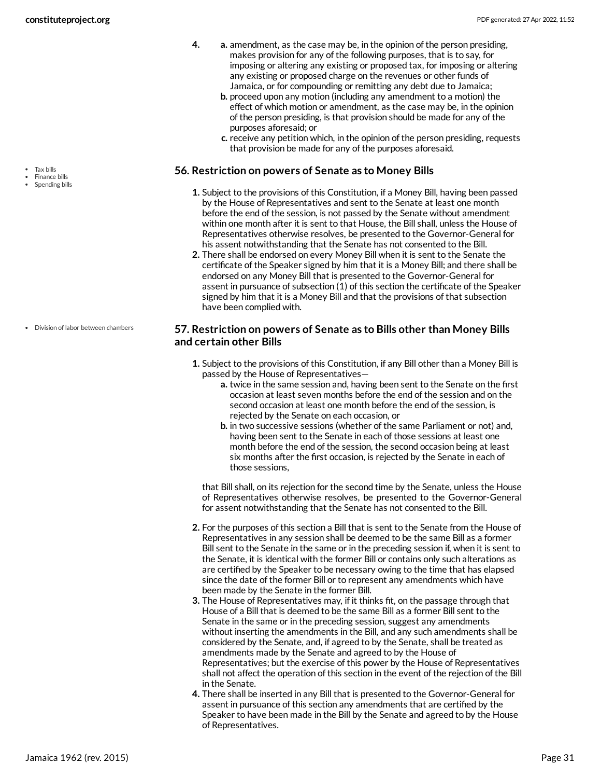- Finance bills
- Spending bills

Division of labor between chambers

- **4. a.** amendment, as the case may be, in the opinion of the person presiding, makes provision for any of the following purposes, that is to say, for imposing or altering any existing or proposed tax, for imposing or altering any existing or proposed charge on the revenues or other funds of Jamaica, or for compounding or remitting any debt due to Jamaica;
	- **b.** proceed upon any motion (including any amendment to a motion) the effect of which motion or amendment, as the case may be, in the opinion of the person presiding, is that provision should be made for any of the purposes aforesaid; or
	- **c.** receive any petition which, in the opinion of the person presiding, requests that provision be made for any of the purposes aforesaid.

#### <span id="page-30-1"></span>**56. Restriction on powers of Senate as to Money Bills**

- **1.** Subject to the provisions of this Constitution, if a Money Bill, having been passed by the House of Representatives and sent to the Senate at least one month before the end of the session, is not passed by the Senate without amendment within one month after it is sent to that House, the Bill shall, unless the House of Representatives otherwise resolves, be presented to the Governor-General for his assent notwithstanding that the Senate has not consented to the Bill.
- **2.** There shall be endorsed on every Money Bill when it is sent to the Senate the certificate of the Speaker signed by him that it is a Money Bill; and there shall be endorsed on any Money Bill that is presented to the Governor-General for assent in pursuance of subsection (1) of this section the certificate of the Speaker signed by him that it is a Money Bill and that the provisions of that subsection have been complied with.

#### <span id="page-30-0"></span>**57. Restriction on powers of Senate as to Bills other than Money Bills and certain other Bills**

- **1.** Subject to the provisions of this Constitution, if any Bill other than a Money Bill is passed by the House of Representatives
	- **a.** twice in the same session and, having been sent to the Senate on the first occasion at least seven months before the end of the session and on the second occasion at least one month before the end of the session, is rejected by the Senate on each occasion, or
	- **b.** in two successive sessions (whether of the same Parliament or not) and, having been sent to the Senate in each of those sessions at least one month before the end of the session, the second occasion being at least six months after the first occasion, is rejected by the Senate in each of those sessions,

that Bill shall, on its rejection for the second time by the Senate, unless the House of Representatives otherwise resolves, be presented to the Governor-General for assent notwithstanding that the Senate has not consented to the Bill.

- **2.** For the purposes of this section a Bill that is sent to the Senate from the House of Representatives in any session shall be deemed to be the same Bill as a former Bill sent to the Senate in the same or in the preceding session if, when it is sent to the Senate, it is identical with the former Bill or contains only such alterations as are certified by the Speaker to be necessary owing to the time that has elapsed since the date of the former Bill or to represent any amendments which have been made by the Senate in the former Bill.
- **3.** The House of Representatives may, if it thinks fit, on the passage through that House of a Bill that is deemed to be the same Bill as a former Bill sent to the Senate in the same or in the preceding session, suggest any amendments without inserting the amendments in the Bill, and any such amendments shall be considered by the Senate, and, if agreed to by the Senate, shall be treated as amendments made by the Senate and agreed to by the House of Representatives; but the exercise of this power by the House of Representatives shall not affect the operation of this section in the event of the rejection of the Bill in the Senate.
- **4.** There shall be inserted in any Bill that is presented to the Governor-General for assent in pursuance of this section any amendments that are certified by the Speaker to have been made in the Bill by the Senate and agreed to by the House of Representatives.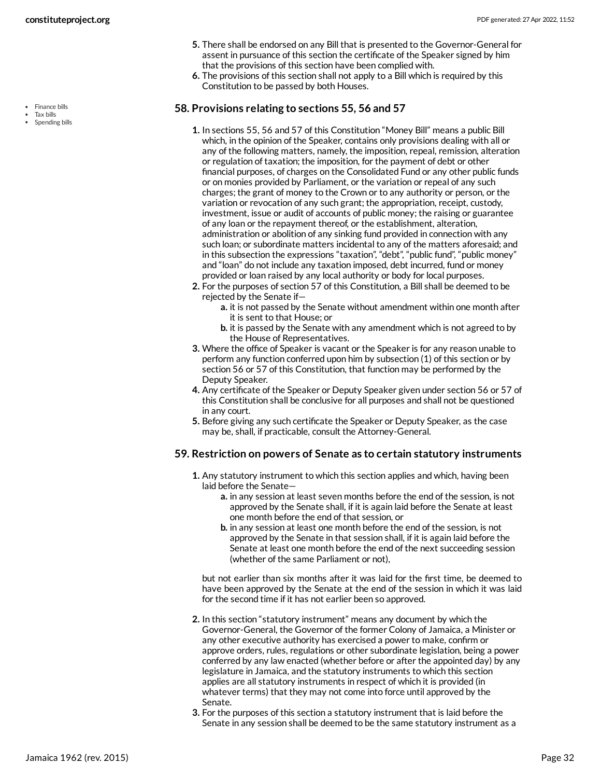- **5.** There shall be endorsed on any Bill that is presented to the Governor-General for assent in pursuance of this section the certificate of the Speaker signed by him that the provisions of this section have been complied with.
- **6.** The provisions of this section shall not apply to a Bill which is required by this Constitution to be passed by both Houses.

#### <span id="page-31-0"></span>**58. Provisions relating to sections 55, 56 and 57**

- **1.** In sections 55, 56 and 57 of this Constitution "Money Bill" means a public Bill which, in the opinion of the Speaker, contains only provisions dealing with all or any of the following matters, namely, the imposition, repeal, remission, alteration or regulation of taxation; the imposition, for the payment of debt or other financial purposes, of charges on the Consolidated Fund or any other public funds or on monies provided by Parliament, or the variation or repeal of any such charges; the grant of money to the Crown or to any authority or person, or the variation or revocation of any such grant; the appropriation, receipt, custody, investment, issue or audit of accounts of public money; the raising or guarantee of any loan or the repayment thereof, or the establishment, alteration, administration or abolition of any sinking fund provided in connection with any such loan; or subordinate matters incidental to any of the matters aforesaid; and in this subsection the expressions "taxation", "debt", "public fund", "public money" and "loan" do not include any taxation imposed, debt incurred, fund or money provided or loan raised by any local authority or body for local purposes.
- **2.** For the purposes of section 57 of this Constitution, a Bill shall be deemed to be rejected by the Senate if
	- **a.** it is not passed by the Senate without amendment within one month after it is sent to that House; or
	- **b.** it is passed by the Senate with any amendment which is not agreed to by the House of Representatives.
- **3.** Where the office of Speaker is vacant or the Speaker is for any reason unable to perform any function conferred upon him by subsection (1) of this section or by section 56 or 57 of this Constitution, that function may be performed by the Deputy Speaker.
- **4.** Any certificate of the Speaker or Deputy Speaker given under section 56 or 57 of this Constitution shall be conclusive for all purposes and shall not be questioned in any court.
- **5.** Before giving any such certificate the Speaker or Deputy Speaker, as the case may be, shall, if practicable, consult the Attorney-General.

#### **59. Restriction on powers of Senate as to certain statutory instruments**

- **1.** Any statutory instrument to which this section applies and which, having been laid before the Senate
	- **a.** in any session at least seven months before the end of the session, is not approved by the Senate shall, if it is again laid before the Senate at least one month before the end of that session, or
	- **b.** in any session at least one month before the end of the session, is not approved by the Senate in that session shall, if it is again laid before the Senate at least one month before the end of the next succeeding session (whether of the same Parliament or not),

but not earlier than six months after it was laid for the first time, be deemed to have been approved by the Senate at the end of the session in which it was laid for the second time if it has not earlier been so approved.

- **2.** In this section "statutory instrument" means any document by which the Governor-General, the Governor of the former Colony of Jamaica, a Minister or any other executive authority has exercised a power to make, confirm or approve orders, rules, regulations or other subordinate legislation, being a power conferred by any law enacted (whether before or after the appointed day) by any legislature in Jamaica, and the statutory instruments to which this section applies are all statutory instruments in respect of which it is provided (in whatever terms) that they may not come into force until approved by the Senate.
- **3.** For the purposes of this section a statutory instrument that is laid before the Senate in any session shall be deemed to be the same statutory instrument as a
- Tax bills
- Spending bills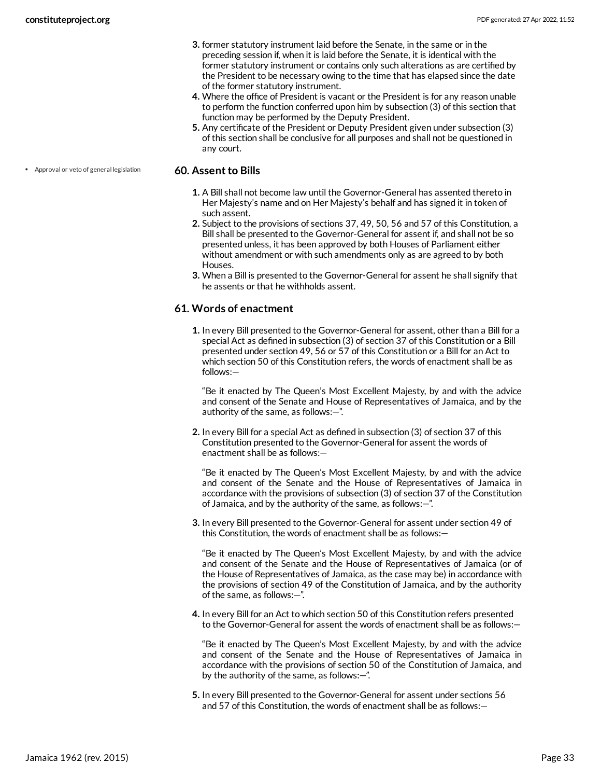- **3.** former statutory instrument laid before the Senate, in the same or in the preceding session if, when it is laid before the Senate, it is identical with the former statutory instrument or contains only such alterations as are certified by the President to be necessary owing to the time that has elapsed since the date of the former statutory instrument.
- **4.** Where the office of President is vacant or the President is for any reason unable to perform the function conferred upon him by subsection (3) of this section that function may be performed by the Deputy President.
- **5.** Any certificate of the President or Deputy President given under subsection (3) of this section shall be conclusive for all purposes and shall not be questioned in any court.

#### Approval or veto of general legislation

#### <span id="page-32-0"></span>**60. Assent to Bills**

- **1.** A Bill shall not become law until the Governor-General has assented thereto in Her Majesty's name and on Her Majesty's behalf and has signed it in token of such assent.
- **2.** Subject to the provisions of sections 37, 49, 50, 56 and 57 of this Constitution, a Bill shall be presented to the Governor-General for assent if, and shall not be so presented unless, it has been approved by both Houses of Parliament either without amendment or with such amendments only as are agreed to by both Houses.
- **3.** When a Bill is presented to the Governor-General for assent he shall signify that he assents or that he withholds assent.

#### **61. Words of enactment**

**1.** In every Bill presented to the Governor-General for assent, other than a Bill for a special Act as defined in subsection (3) of section 37 of this Constitution or a Bill presented under section 49, 56 or 57 of this Constitution or a Bill for an Act to which section 50 of this Constitution refers, the words of enactment shall be as follows:—

"Be it enacted by The Queen's Most Excellent Majesty, by and with the advice and consent of the Senate and House of Representatives of Jamaica, and by the authority of the same, as follows:—".

**2.** In every Bill for a special Act as defined in subsection (3) of section 37 of this Constitution presented to the Governor-General for assent the words of enactment shall be as follows:—

"Be it enacted by The Queen's Most Excellent Majesty, by and with the advice and consent of the Senate and the House of Representatives of Jamaica in accordance with the provisions of subsection (3) of section 37 of the Constitution of Jamaica, and by the authority of the same, as follows:—".

**3.** In every Bill presented to the Governor-General for assent under section 49 of this Constitution, the words of enactment shall be as follows:—

"Be it enacted by The Queen's Most Excellent Majesty, by and with the advice and consent of the Senate and the House of Representatives of Jamaica (or of the House of Representatives of Jamaica, as the case may be) in accordance with the provisions of section 49 of the Constitution of Jamaica, and by the authority of the same, as follows:—".

**4.** In every Bill for an Act to which section 50 of this Constitution refers presented to the Governor-General for assent the words of enactment shall be as follows:—

"Be it enacted by The Queen's Most Excellent Majesty, by and with the advice and consent of the Senate and the House of Representatives of Jamaica in accordance with the provisions of section 50 of the Constitution of Jamaica, and by the authority of the same, as follows:—".

**5.** In every Bill presented to the Governor-General for assent under sections 56 and 57 of this Constitution, the words of enactment shall be as follows:—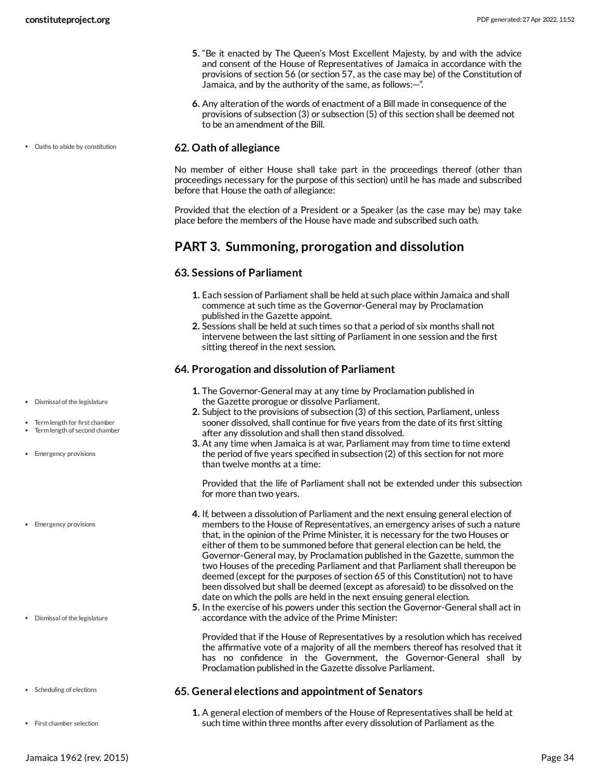- **5.** "Be it enacted by The Queen's Most Excellent Majesty, by and with the advice and consent of the House of Representatives of Jamaica in accordance with the provisions of section 56 (or section 57, as the case may be) of the Constitution of Jamaica, and by the authority of the same, as follows:—".
- **6.** Any alteration of the words of enactment of a Bill made in consequence of the provisions of subsection (3) or subsection (5) of this section shall be deemed not to be an amendment of the Bill.

#### <span id="page-33-3"></span>**62. Oath of allegiance**

No member of either House shall take part in the proceedings thereof (other than proceedings necessary for the purpose of this section) until he has made and subscribed before that House the oath of allegiance:

Provided that the election of a President or a Speaker (as the case may be) may take place before the members of the House have made and subscribed such oath.

### <span id="page-33-0"></span>**PART 3. Summoning, prorogation and dissolution**

#### **63. Sessions of Parliament**

- **1.** Each session of Parliament shall be held at such place within Jamaica and shall commence at such time as the Governor-General may by Proclamation published in the Gazette appoint.
- **2.** Sessions shall be held at such times so that a period of six months shall not intervene between the last sitting of Parliament in one session and the first sitting thereof in the next session.

#### <span id="page-33-1"></span>**64. Prorogation and dissolution of Parliament**

- **1.** The Governor-General may at any time by Proclamation published in the Gazette prorogue or dissolve Parliament.
- **2.** Subject to the provisions of subsection (3) of this section, Parliament, unless sooner dissolved, shall continue for five years from the date of its first sitting after any dissolution and shall then stand dissolved.
- **3.** At any time when Jamaica is at war, Parliament may from time to time extend the period of five years specified in subsection (2) of this section for not more than twelve months at a time:

Provided that the life of Parliament shall not be extended under this subsection for more than two years.

- **4.** If, between a dissolution of Parliament and the next ensuing general election of members to the House of Representatives, an emergency arises of such a nature that, in the opinion of the Prime Minister, it is necessary for the two Houses or either of them to be summoned before that general election can be held, the Governor-General may, by Proclamation published in the Gazette, summon the two Houses of the preceding Parliament and that Parliament shall thereupon be deemed (except for the purposes of section 65 of this Constitution) not to have been dissolved but shall be deemed (except as aforesaid) to be dissolved on the date on which the polls are held in the next ensuing general election.
- **5.** In the exercise of his powers under this section the Governor-General shall act in accordance with the advice of the Prime Minister:

Provided that if the House of Representatives by a resolution which has received the affirmative vote of a majority of all the members thereof has resolved that it has no confidence in the Government, the Governor-General shall by Proclamation published in the Gazette dissolve Parliament.

#### <span id="page-33-2"></span>**65. General elections and appointment of Senators**

**1.** A general election of members of the House of Representatives shall be held at such time within three months after every dissolution of Parliament as the

Oaths to abide by constitution

Dismissal of the legislature

- Term length for first chamber
- Term length of second chamber
- Emergency provisions
- Emergency provisions

Dismissal of the legislature

• Scheduling of elections

First chamber selection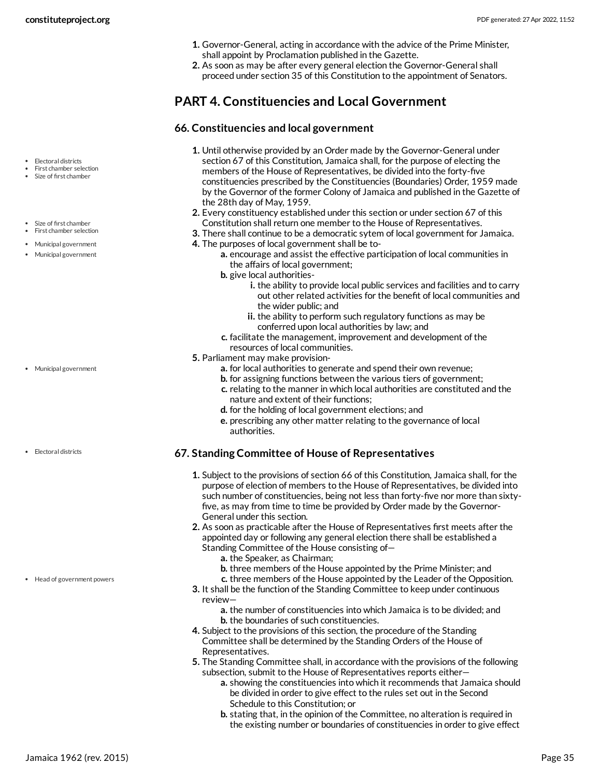- **1.** Governor-General, acting in accordance with the advice of the Prime Minister, shall appoint by Proclamation published in the Gazette.
- **2.** As soon as may be after every general election the Governor-General shall proceed under section 35 of this Constitution to the appointment of Senators.

### <span id="page-34-0"></span>**PART 4. Constituencies and Local Government**

#### <span id="page-34-1"></span>**66. Constituencies and local government**

- **1.** Until otherwise provided by an Order made by the Governor-General under section 67 of this Constitution, Jamaica shall, for the purpose of electing the members of the House of Representatives, be divided into the forty-five constituencies prescribed by the Constituencies (Boundaries) Order, 1959 made by the Governor of the former Colony of Jamaica and published in the Gazette of the 28th day of May, 1959.
- **2.** Every constituency established under this section or under section 67 of this Constitution shall return one member to the House of Representatives.
- **3.** There shall continue to be a democratic sytem of local government for Jamaica.
- **4.** The purposes of local government shall be to
	- **a.** encourage and assist the effective participation of local communities in the affairs of local government;
	- **b.** give local authorities
		- **i.** the ability to provide local public services and facilities and to carry out other related activities for the benefit of local communities and the wider public; and
		- **ii.** the ability to perform such regulatory functions as may be conferred upon local authorities by law; and
	- **c.** facilitate the management, improvement and development of the resources of local communities.
- **5.** Parliament may make provision
	- **a.** for local authorities to generate and spend their own revenue;
	- **b.** for assigning functions between the various tiers of government;
	- **c.** relating to the manner in which local authorities are constituted and the nature and extent of their functions;
	- **d.** for the holding of local government elections; and
	- **e.** prescribing any other matter relating to the governance of local authorities.

#### <span id="page-34-2"></span>**67. Standing Committee of House of Representatives**

- **1.** Subject to the provisions of section 66 of this Constitution, Jamaica shall, for the purpose of election of members to the House of Representatives, be divided into such number of constituencies, being not less than forty-five nor more than sixty five, as may from time to time be provided by Order made by the Governor-General under this section.
- **2.** As soon as practicable after the House of Representatives first meets after the appointed day or following any general election there shall be established a Standing Committee of the House consisting of
	- **a.** the Speaker, as Chairman;
	- **b.** three members of the House appointed by the Prime Minister; and
	- **c.** three members of the House appointed by the Leader of the Opposition.
- **3.** It shall be the function of the Standing Committee to keep under continuous review
	- **a.** the number of constituencies into which Jamaica is to be divided; and **b.** the boundaries of such constituencies.
- **4.** Subject to the provisions of this section, the procedure of the Standing Committee shall be determined by the Standing Orders of the House of Representatives.
- **5.** The Standing Committee shall, in accordance with the provisions of the following subsection, submit to the House of Representatives reports either
	- **a.** showing the constituencies into which it recommends that Jamaica should be divided in order to give effect to the rules set out in the Second Schedule to this Constitution; or
	- **b.** stating that, in the opinion of the Committee, no alteration is required in the existing number or boundaries of constituencies in order to give effect
- Electoral districts
- First chamber selection Size of first chamber
- Size of first chamber First chamber selection
- Municipal government
- Municipal government

- Municipal government
- Electoral districts

Head of government powers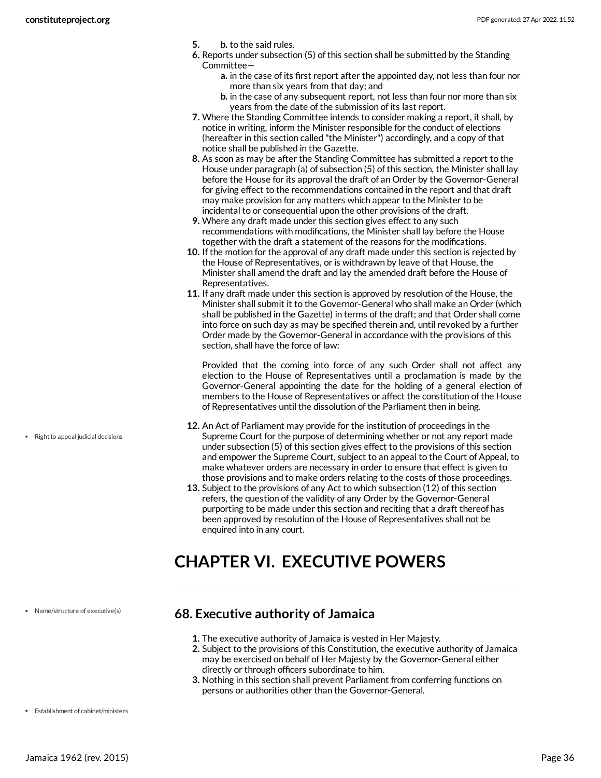- **5. b.** to the said rules.
- **6.** Reports under subsection (5) of this section shall be submitted by the Standing Committee
	- **a.** in the case of its first report after the appointed day, not less than four nor more than six years from that day; and
	- **b.** in the case of any subsequent report, not less than four nor more than six years from the date of the submission of its last report.
- **7.** Where the Standing Committee intends to consider making a report, it shall, by notice in writing, inform the Minister responsible for the conduct of elections (hereafter in this section called "the Minister") accordingly, and a copy of that notice shall be published in the Gazette.
- **8.** As soon as may be after the Standing Committee has submitted a report to the House under paragraph (a) of subsection (5) of this section, the Minister shall lay before the House for its approval the draft of an Order by the Governor-General for giving effect to the recommendations contained in the report and that draft may make provision for any matters which appear to the Minister to be incidental to or consequential upon the other provisions of the draft.
- **9.** Where any draft made under this section gives effect to any such recommendations with modifications, the Minister shall lay before the House together with the draft a statement of the reasons for the modifications.
- **10.** If the motion for the approval of any draft made under this section is rejected by the House of Representatives, or is withdrawn by leave of that House, the Minister shall amend the draft and lay the amended draft before the House of Representatives.
- **11.** If any draft made under this section is approved by resolution of the House, the Minister shall submit it to the Governor-General who shall make an Order (which shall be published in the Gazette) in terms of the draft; and that Order shall come into force on such day as may be specified therein and, until revoked by a further Order made by the Governor-General in accordance with the provisions of this section, shall have the force of law:

Provided that the coming into force of any such Order shall not affect any election to the House of Representatives until a proclamation is made by the Governor-General appointing the date for the holding of a general election of members to the House of Representatives or affect the constitution of the House of Representatives until the dissolution of the Parliament then in being.

- **12.** An Act of Parliament may provide for the institution of proceedings in the Supreme Court for the purpose of determining whether or not any report made under subsection (5) of this section gives effect to the provisions of this section and empower the Supreme Court, subject to an appeal to the Court of Appeal, to make whatever orders are necessary in order to ensure that effect is given to those provisions and to make orders relating to the costs of those proceedings.
- **13.** Subject to the provisions of any Act to which subsection (12) of this section refers, the question of the validity of any Order by the Governor-General purporting to be made under this section and reciting that a draft thereof has been approved by resolution of the House of Representatives shall not be enquired into in any court.

# <span id="page-35-0"></span>**CHAPTER VI. EXECUTIVE POWERS**

Name/structure of executive(s)

• Right to appeal judicial decisions

### <span id="page-35-1"></span>**68. Executive authority of Jamaica**

- **1.** The executive authority of Jamaica is vested in Her Majesty.
- **2.** Subject to the provisions of this Constitution, the executive authority of Jamaica may be exercised on behalf of Her Majesty by the Governor-General either directly or through officers subordinate to him.
- <span id="page-35-2"></span>**3.** Nothing in this section shall prevent Parliament from conferring functions on persons or authorities other than the Governor-General.

Establishment of cabinet/ministers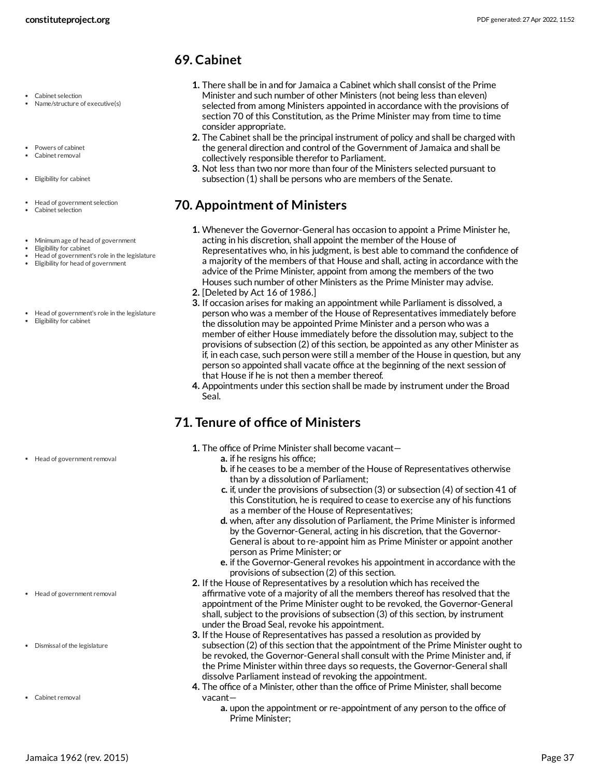### <span id="page-36-0"></span>**69. Cabinet**

- Cabinet selection
- Name/structure of executive(s)
- Powers of cabinet
- Cabinet removal
- Eligibility for cabinet
- Head of government selection
- Cabinet selection
- $\bullet$ Minimum age of head of government
- Eligibility for cabinet
- Head of government's role in the legislature Eligibility for head of government
- Head of government's role in the legislature
- Eligibility for cabinet

Head of government removal

- Head of government removal
- Dismissal of the legislature
- Cabinet removal
- **1.** There shall be in and for Jamaica a Cabinet which shall consist of the Prime Minister and such number of other Ministers (not being less than eleven) selected from among Ministers appointed in accordance with the provisions of section 70 of this Constitution, as the Prime Minister may from time to time consider appropriate.
- **2.** The Cabinet shall be the principal instrument of policy and shall be charged with the general direction and control of the Government of Jamaica and shall be collectively responsible therefor to Parliament.
- **3.** Not less than two nor more than four of the Ministers selected pursuant to subsection (1) shall be persons who are members of the Senate.

### <span id="page-36-1"></span>**70. Appointment of Ministers**

- **1.** Whenever the Governor-General has occasion to appoint a Prime Minister he, acting in his discretion, shall appoint the member of the House of Representatives who, in his judgment, is best able to command the confidence of a majority of the members of that House and shall, acting in accordance with the advice of the Prime Minister, appoint from among the members of the two Houses such number of other Ministers as the Prime Minister may advise.
- **2.** [Deleted by Act 16 of 1986.]
- **3.** If occasion arises for making an appointment while Parliament is dissolved, a person who was a member of the House of Representatives immediately before the dissolution may be appointed Prime Minister and a person who was a member of either House immediately before the dissolution may, subject to the provisions of subsection (2) of this section, be appointed as any other Minister as if, in each case, such person were still a member of the House in question, but any person so appointed shall vacate office at the beginning of the next session of that House if he is not then a member thereof.
- **4.** Appointments under this section shall be made by instrument under the Broad Seal.

### <span id="page-36-2"></span>**71. Tenure of office of Ministers**

- **1.** The office of Prime Minister shall become vacant
	- **a.** if he resigns his office;
		- **b.** if he ceases to be a member of the House of Representatives otherwise than by a dissolution of Parliament;
		- **c.** if, under the provisions of subsection (3) or subsection (4) of section 41 of this Constitution, he is required to cease to exercise any of his functions as a member of the House of Representatives;
		- **d.** when, after any dissolution of Parliament, the Prime Minister is informed by the Governor-General, acting in his discretion, that the Governor-General is about to re-appoint him as Prime Minister or appoint another person as Prime Minister; or
		- **e.** if the Governor-General revokes his appointment in accordance with the provisions of subsection (2) of this section.
- **2.** If the House of Representatives by a resolution which has received the affirmative vote of a majority of all the members thereof has resolved that the appointment of the Prime Minister ought to be revoked, the Governor-General shall, subject to the provisions of subsection (3) of this section, by instrument under the Broad Seal, revoke his appointment.
- **3.** If the House of Representatives has passed a resolution as provided by subsection (2) of this section that the appointment of the Prime Minister ought to be revoked, the Governor-General shall consult with the Prime Minister and, if the Prime Minister within three days so requests, the Governor-General shall dissolve Parliament instead of revoking the appointment.
- **4.** The office of a Minister, other than the office of Prime Minister, shall become vacant
	- **a.** upon the appointment or re-appointment of any person to the office of Prime Minister;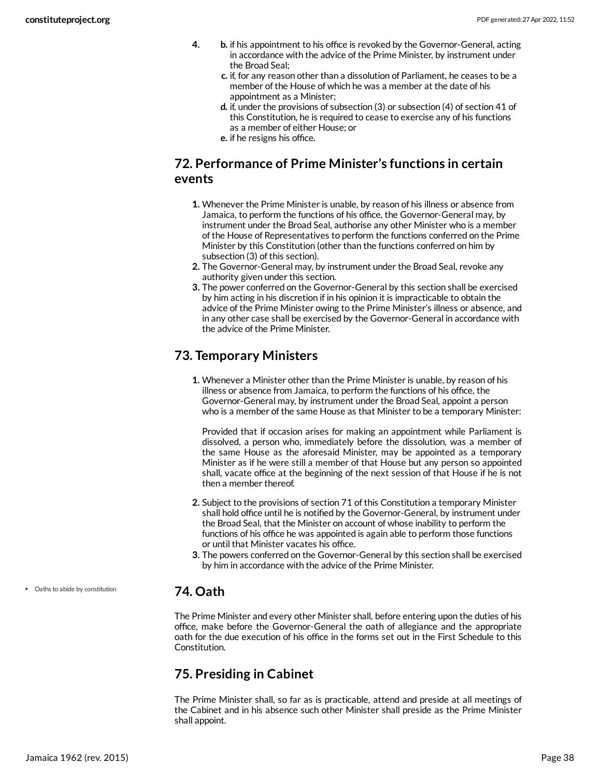- **4. b.** if his appointment to his office is revoked by the Governor-General, acting in accordance with the advice of the Prime Minister, by instrument under the Broad Seal;
	- **c.** if, for any reason other than a dissolution of Parliament, he ceases to be a member of the House of which he was a member at the date of his appointment as a Minister;
	- **d.** if, under the provisions of subsection (3) or subsection (4) of section 41 of this Constitution, he is required to cease to exercise any of his functions as a member of either House; or
	- **e.** if he resigns his office.

### <span id="page-37-0"></span>**72. Performance of Prime Minister's functions in certain events**

- **1.** Whenever the Prime Minister is unable, by reason of his illness or absence from Jamaica, to perform the functions of his office, the Governor-General may, by instrument under the Broad Seal, authorise any other Minister who is a member of the House of Representatives to perform the functions conferred on the Prime Minister by this Constitution (other than the functions conferred on him by subsection (3) of this section).
- **2.** The Governor-General may, by instrument under the Broad Seal, revoke any authority given under this section.
- **3.** The power conferred on the Governor-General by this section shall be exercised by him acting in his discretion if in his opinion it is impracticable to obtain the advice of the Prime Minister owing to the Prime Minister's illness or absence, and in any other case shall be exercised by the Governor-General in accordance with the advice of the Prime Minister.

### <span id="page-37-1"></span>**73. Temporary Ministers**

**1.** Whenever a Minister other than the Prime Minister is unable, by reason of his illness or absence from Jamaica, to perform the functions of his office, the Governor-General may, by instrument under the Broad Seal, appoint a person who is a member of the same House as that Minister to be a temporary Minister:

Provided that if occasion arises for making an appointment while Parliament is dissolved, a person who, immediately before the dissolution, was a member of the same House as the aforesaid Minister, may be appointed as a temporary Minister as if he were still a member of that House but any person so appointed shall, vacate office at the beginning of the next session of that House if he is not then a member thereof.

- **2.** Subject to the provisions of section 71 of this Constitution a temporary Minister shall hold office until he is notified by the Governor-General, by instrument under the Broad Seal, that the Minister on account of whose inability to perform the functions of his office he was appointed is again able to perform those functions or until that Minister vacates his office.
- **3.** The powers conferred on the Governor-General by this section shall be exercised by him in accordance with the advice of the Prime Minister.

#### **74. Oath**

<span id="page-37-2"></span>The Prime Minister and every other Minister shall, before entering upon the duties of his office, make before the Governor-General the oath of allegiance and the appropriate oath for the due execution of his office in the forms set out in the First Schedule to this Constitution.

### <span id="page-37-3"></span>**75. Presiding in Cabinet**

The Prime Minister shall, so far as is practicable, attend and preside at all meetings of the Cabinet and in his absence such other Minister shall preside as the Prime Minister shall appoint.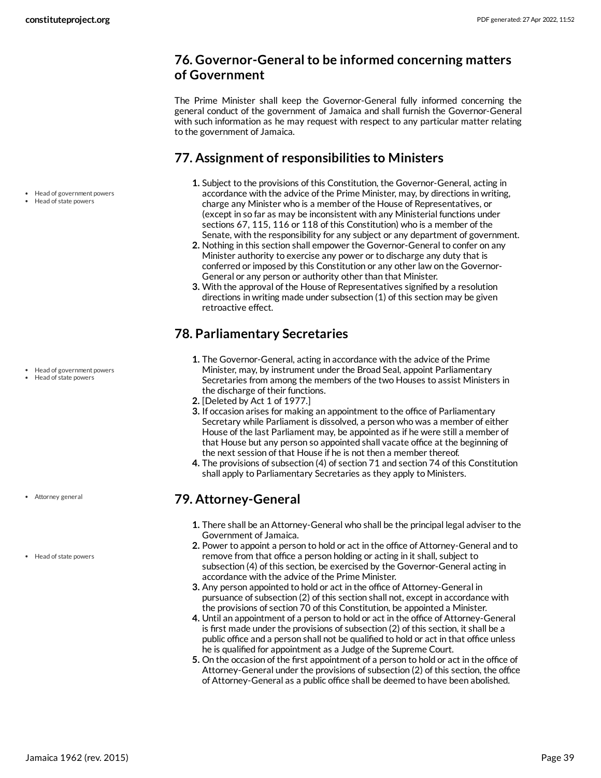### <span id="page-38-0"></span>**76. Governor-General to be informed concerning matters of Government**

The Prime Minister shall keep the Governor-General fully informed concerning the general conduct of the government of Jamaica and shall furnish the Governor-General with such information as he may request with respect to any particular matter relating to the government of Jamaica.

### <span id="page-38-1"></span>**77. Assignment of responsibilities to Ministers**

- **1.** Subject to the provisions of this Constitution, the Governor-General, acting in accordance with the advice of the Prime Minister, may, by directions in writing, charge any Minister who is a member of the House of Representatives, or (except in so far as may be inconsistent with any Ministerial functions under sections 67, 115, 116 or 118 of this Constitution) who is a member of the Senate, with the responsibility for any subject or any department of government.
- **2.** Nothing in this section shall empower the Governor-General to confer on any Minister authority to exercise any power or to discharge any duty that is conferred or imposed by this Constitution or any other law on the Governor-General or any person or authority other than that Minister.
- **3.** With the approval of the House of Representatives signified by a resolution directions in writing made under subsection (1) of this section may be given retroactive effect.

### <span id="page-38-2"></span>**78. Parliamentary Secretaries**

- **1.** The Governor-General, acting in accordance with the advice of the Prime Minister, may, by instrument under the Broad Seal, appoint Parliamentary Secretaries from among the members of the two Houses to assist Ministers in the discharge of their functions.
- **2.** [Deleted by Act 1 of 1977.]
- **3.** If occasion arises for making an appointment to the office of Parliamentary Secretary while Parliament is dissolved, a person who was a member of either House of the last Parliament may, be appointed as if he were still a member of that House but any person so appointed shall vacate office at the beginning of the next session of that House if he is not then a member thereof.
- **4.** The provisions of subsection (4) of section 71 and section 74 of this Constitution shall apply to Parliamentary Secretaries as they apply to Ministers.

### <span id="page-38-3"></span>**79. Attorney-General**

- **1.** There shall be an Attorney-General who shall be the principal legal adviser to the Government of Jamaica.
- **2.** Power to appoint a person to hold or act in the office of Attorney-General and to remove from that office a person holding or acting in it shall, subject to subsection (4) of this section, be exercised by the Governor-General acting in accordance with the advice of the Prime Minister.
- **3.** Any person appointed to hold or act in the office of Attorney-General in pursuance of subsection (2) of this section shall not, except in accordance with the provisions of section 70 of this Constitution, be appointed a Minister.
- **4.** Until an appointment of a person to hold or act in the office of Attorney-General is first made under the provisions of subsection (2) of this section, it shall be a public office and a person shall not be qualified to hold or act in that office unless he is qualified for appointment as a Judge of the Supreme Court.
- **5.** On the occasion of the first appointment of a person to hold or act in the office of Attorney-General under the provisions of subsection (2) of this section, the office of Attorney-General as a public office shall be deemed to have been abolished.

Head of government powers Head of state powers

Head of government powers Head of state powers

Attorney general

Head of state powers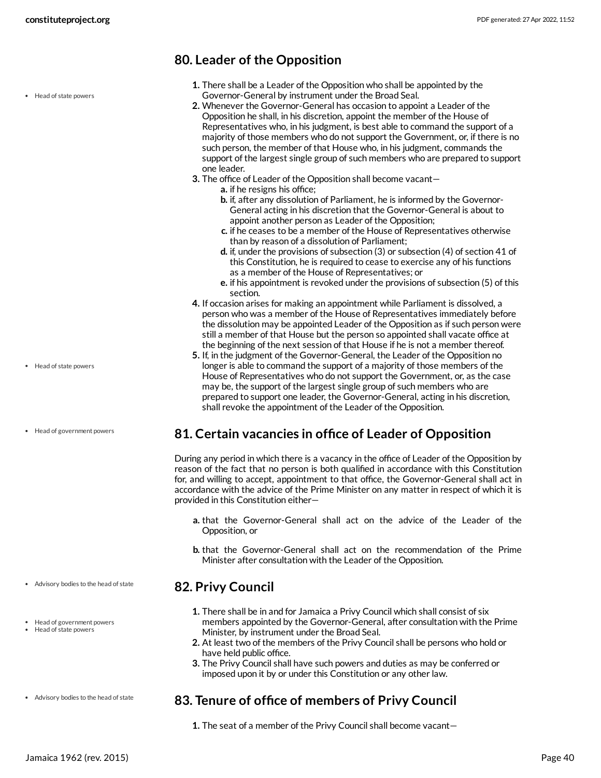### <span id="page-39-0"></span>**80. Leader of the Opposition**

- **1.** There shall be a Leader of the Opposition who shall be appointed by the Governor-General by instrument under the Broad Seal.
- **2.** Whenever the Governor-General has occasion to appoint a Leader of the Opposition he shall, in his discretion, appoint the member of the House of Representatives who, in his judgment, is best able to command the support of a majority of those members who do not support the Government, or, if there is no such person, the member of that House who, in his judgment, commands the support of the largest single group of such members who are prepared to support one leader.
- **3.** The office of Leader of the Opposition shall become vacant
	- **a.** if he resigns his office;
		- **b.** if, after any dissolution of Parliament, he is informed by the Governor-General acting in his discretion that the Governor-General is about to appoint another person as Leader of the Opposition;
		- **c.** if he ceases to be a member of the House of Representatives otherwise than by reason of a dissolution of Parliament;
		- **d.** if, under the provisions of subsection (3) or subsection (4) of section 41 of this Constitution, he is required to cease to exercise any of his functions as a member of the House of Representatives; or
		- **e.** if his appointment is revoked under the provisions of subsection (5) of this section.
- **4.** If occasion arises for making an appointment while Parliament is dissolved, a person who was a member of the House of Representatives immediately before the dissolution may be appointed Leader of the Opposition as if such person were still a member of that House but the person so appointed shall vacate office at the beginning of the next session of that House if he is not a member thereof.
- **5.** If, in the judgment of the Governor-General, the Leader of the Opposition no longer is able to command the support of a majority of those members of the House of Representatives who do not support the Government, or, as the case may be, the support of the largest single group of such members who are prepared to support one leader, the Governor-General, acting in his discretion, shall revoke the appointment of the Leader of the Opposition.

### <span id="page-39-1"></span>**81. Certain vacancies in office of Leader of Opposition**

During any period in which there is a vacancy in the office of Leader of the Opposition by reason of the fact that no person is both qualified in accordance with this Constitution for, and willing to accept, appointment to that office, the Governor-General shall act in accordance with the advice of the Prime Minister on any matter in respect of which it is provided in this Constitution either—

- **a.** that the Governor-General shall act on the advice of the Leader of the Opposition, or
- **b.** that the Governor-General shall act on the recommendation of the Prime Minister after consultation with the Leader of the Opposition.

### <span id="page-39-2"></span>**82. Privy Council**

- **1.** There shall be in and for Jamaica a Privy Council which shall consist of six members appointed by the Governor-General, after consultation with the Prime Minister, by instrument under the Broad Seal.
- **2.** At least two of the members of the Privy Council shall be persons who hold or have held public office.
- **3.** The Privy Council shall have such powers and duties as may be conferred or imposed upon it by or under this Constitution or any other law.

### <span id="page-39-3"></span>**83. Tenure of office of members of Privy Council**

**1.** The seat of a member of the Privy Council shall become vacant—

• Head of state powers

- Head of state powers
- Head of government powers

- Advisory bodies to the head of state
- Head of government powers
- Head of state powers

Advisory bodies to the head of state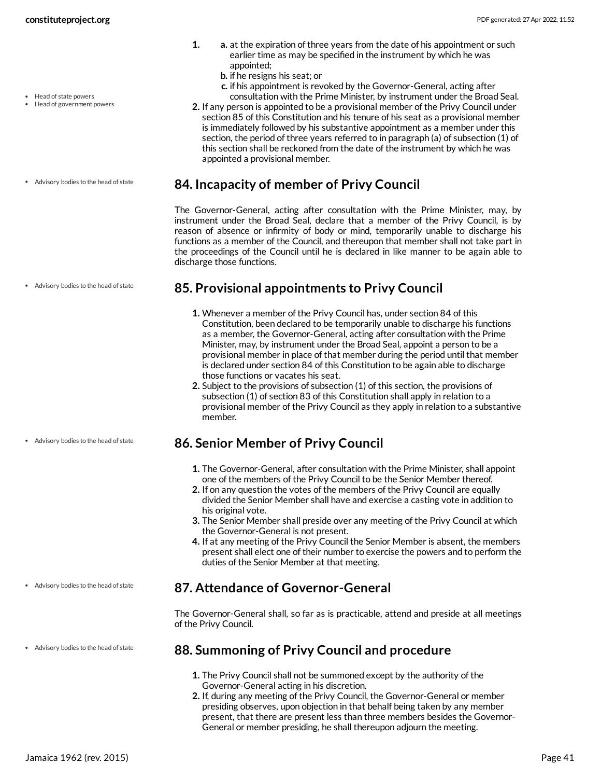- Head of state powers
- Head of government powers
- Advisory bodies to the head of state

Advisory bodies to the head of state

Advisory bodies to the head of state

- Advisory bodies to the head of state
- Advisory bodies to the head of state
- **1. a.** at the expiration of three years from the date of his appointment or such earlier time as may be specified in the instrument by which he was appointed;
	- **b.** if he resigns his seat; or
	- **c.** if his appointment is revoked by the Governor-General, acting after consultation with the Prime Minister, by instrument under the Broad Seal.
- **2.** If any person is appointed to be a provisional member of the Privy Council under section 85 of this Constitution and his tenure of his seat as a provisional member is immediately followed by his substantive appointment as a member under this section, the period of three years referred to in paragraph (a) of subsection (1) of this section shall be reckoned from the date of the instrument by which he was appointed a provisional member.

### <span id="page-40-0"></span>**84. Incapacity of member of Privy Council**

The Governor-General, acting after consultation with the Prime Minister, may, by instrument under the Broad Seal, declare that a member of the Privy Council, is by reason of absence or infirmity of body or mind, temporarily unable to discharge his functions as a member of the Council, and thereupon that member shall not take part in the proceedings of the Council until he is declared in like manner to be again able to discharge those functions.

### <span id="page-40-1"></span>**85. Provisional appointments to Privy Council**

- **1.** Whenever a member of the Privy Council has, under section 84 of this Constitution, been declared to be temporarily unable to discharge his functions as a member, the Governor-General, acting after consultation with the Prime Minister, may, by instrument under the Broad Seal, appoint a person to be a provisional member in place of that member during the period until that member is declared under section 84 of this Constitution to be again able to discharge those functions or vacates his seat.
- **2.** Subject to the provisions of subsection (1) of this section, the provisions of subsection (1) of section 83 of this Constitution shall apply in relation to a provisional member of the Privy Council as they apply in relation to a substantive member.

### <span id="page-40-2"></span>**86. Senior Member of Privy Council**

- **1.** The Governor-General, after consultation with the Prime Minister, shall appoint one of the members of the Privy Council to be the Senior Member thereof.
- **2.** If on any question the votes of the members of the Privy Council are equally divided the Senior Member shall have and exercise a casting vote in addition to his original vote.
- **3.** The Senior Member shall preside over any meeting of the Privy Council at which the Governor-General is not present.
- **4.** If at any meeting of the Privy Council the Senior Member is absent, the members present shall elect one of their number to exercise the powers and to perform the duties of the Senior Member at that meeting.

### <span id="page-40-3"></span>**87. Attendance of Governor-General**

The Governor-General shall, so far as is practicable, attend and preside at all meetings of the Privy Council.

### <span id="page-40-4"></span>**88. Summoning of Privy Council and procedure**

- **1.** The Privy Council shall not be summoned except by the authority of the Governor-General acting in his discretion.
- **2.** If, during any meeting of the Privy Council, the Governor-General or member presiding observes, upon objection in that behalf being taken by any member present, that there are present less than three members besides the Governor-General or member presiding, he shall thereupon adjourn the meeting.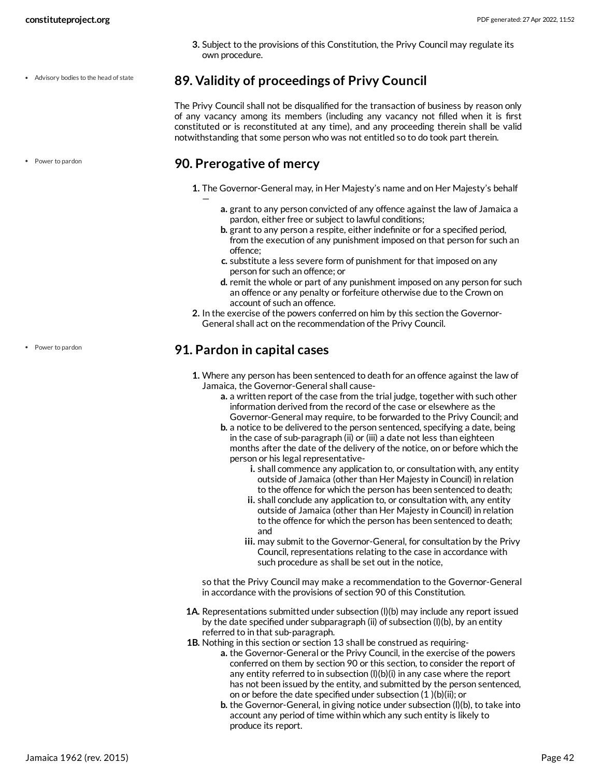**3.** Subject to the provisions of this Constitution, the Privy Council may regulate its own procedure.

The Privy Council shall not be disqualified for the transaction of business by reason only of any vacancy among its members (including any vacancy not filled when it is first constituted or is reconstituted at any time), and any proceeding therein shall be valid notwithstanding that some person who was not entitled so to do took part therein.

<span id="page-41-0"></span>**89. Validity of proceedings of Privy Council**

#### Advisory bodies to the head of state

• Power to pardon

#### <span id="page-41-1"></span>**90. Prerogative of mercy**

- **1.** The Governor-General may, in Her Majesty's name and on Her Majesty's behalf
	- **a.** grant to any person convicted of any offence against the law of Jamaica a pardon, either free or subject to lawful conditions;
	- **b.** grant to any person a respite, either indefinite or for a specified period, from the execution of any punishment imposed on that person for such an offence;
	- **c.** substitute a less severe form of punishment for that imposed on any person for such an offence; or
	- **d.** remit the whole or part of any punishment imposed on any person for such an offence or any penalty or forfeiture otherwise due to the Crown on account of such an offence.
- **2.** In the exercise of the powers conferred on him by this section the Governor-General shall act on the recommendation of the Privy Council.

#### <span id="page-41-2"></span>**91. Pardon in capital cases**

- **1.** Where any person has been sentenced to death for an offence against the law of Jamaica, the Governor-General shall cause
	- **a.** a written report of the case from the trial judge, together with such other information derived from the record of the case or elsewhere as the Governor-General may require, to be forwarded to the Privy Council; and
	- **b.** a notice to be delivered to the person sentenced, specifying a date, being in the case of sub-paragraph (ii) or (iii) a date not less than eighteen months after the date of the delivery of the notice, on or before which the person or his legal representative
		- **i.** shall commence any application to, or consultation with, any entity outside of Jamaica (other than Her Majesty in Council) in relation to the offence for which the person has been sentenced to death;
		- **ii.** shall conclude any application to, or consultation with, any entity outside of Jamaica (other than Her Majesty in Council) in relation to the offence for which the person has been sentenced to death; and
		- **iii.** may submit to the Governor-General, for consultation by the Privy Council, representations relating to the case in accordance with such procedure as shall be set out in the notice,

so that the Privy Council may make a recommendation to the Governor-General in accordance with the provisions of section 90 of this Constitution.

- **1A.** Representations submitted under subsection (I)(b) may include any report issued by the date specified under subparagraph (ii) of subsection (l)(b), by an entity referred to in that sub-paragraph.
- **1B.** Nothing in this section or section 13 shall be construed as requiring
	- **a.** the Governor-General or the Privy Council, in the exercise of the powers conferred on them by section 90 or this section, to consider the report of any entity referred to in subsection (l)(b)(i) in any case where the report has not been issued by the entity, and submitted by the person sentenced, on or before the date specified under subsection (1 )(b)(ii); or
	- **b.** the Governor-General, in giving notice under subsection (l)(b), to take into account any period of time within which any such entity is likely to produce its report.

Power to pardon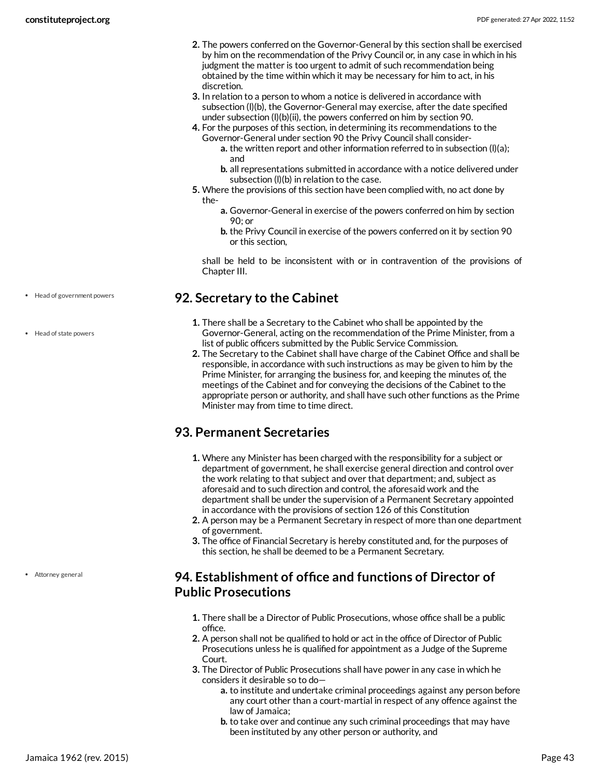- **2.** The powers conferred on the Governor-General by this section shall be exercised by him on the recommendation of the Privy Council or, in any case in which in his judgment the matter is too urgent to admit of such recommendation being obtained by the time within which it may be necessary for him to act, in his discretion.
- **3.** In relation to a person to whom a notice is delivered in accordance with subsection (l)(b), the Governor-General may exercise, after the date specified under subsection (l)(b)(ii), the powers conferred on him by section 90.
- **4.** For the purposes of this section, in determining its recommendations to the Governor-General under section 90 the Privy Council shall consider
	- **a.** the written report and other information referred to in subsection (l)(a); and
	- **b.** all representations submitted in accordance with a notice delivered under subsection (l)(b) in relation to the case.
- **5.** Where the provisions of this section have been complied with, no act done by the
	- **a.** Governor-General in exercise of the powers conferred on him by section 90; or
	- **b.** the Privy Council in exercise of the powers conferred on it by section 90 or this section,

shall be held to be inconsistent with or in contravention of the provisions of Chapter III.

### <span id="page-42-0"></span>**92. Secretary to the Cabinet**

- **1.** There shall be a Secretary to the Cabinet who shall be appointed by the Governor-General, acting on the recommendation of the Prime Minister, from a list of public officers submitted by the Public Service Commission.
- **2.** The Secretary to the Cabinet shall have charge of the Cabinet Office and shall be responsible, in accordance with such instructions as may be given to him by the Prime Minister, for arranging the business for, and keeping the minutes of, the meetings of the Cabinet and for conveying the decisions of the Cabinet to the appropriate person or authority, and shall have such other functions as the Prime Minister may from time to time direct.

### <span id="page-42-1"></span>**93. Permanent Secretaries**

- **1.** Where any Minister has been charged with the responsibility for a subject or department of government, he shall exercise general direction and control over the work relating to that subject and over that department; and, subject as aforesaid and to such direction and control, the aforesaid work and the department shall be under the supervision of a Permanent Secretary appointed in accordance with the provisions of section 126 of this Constitution
- **2.** A person may be a Permanent Secretary in respect of more than one department of government.
- **3.** The office of Financial Secretary is hereby constituted and, for the purposes of this section, he shall be deemed to be a Permanent Secretary.

### <span id="page-42-2"></span>**94. Establishment of office and functions of Director of Public Prosecutions**

- **1.** There shall be a Director of Public Prosecutions, whose office shall be a public office.
- **2.** A person shall not be qualified to hold or act in the office of Director of Public Prosecutions unless he is qualified for appointment as a Judge of the Supreme Court.
- **3.** The Director of Public Prosecutions shall have power in any case in which he considers it desirable so to do
	- **a.** to institute and undertake criminal proceedings against any person before any court other than a court-martial in respect of any offence against the law of Jamaica;
	- **b.** to take over and continue any such criminal proceedings that may have been instituted by any other person or authority, and
- Head of government powers
- Head of state powers

Attorney general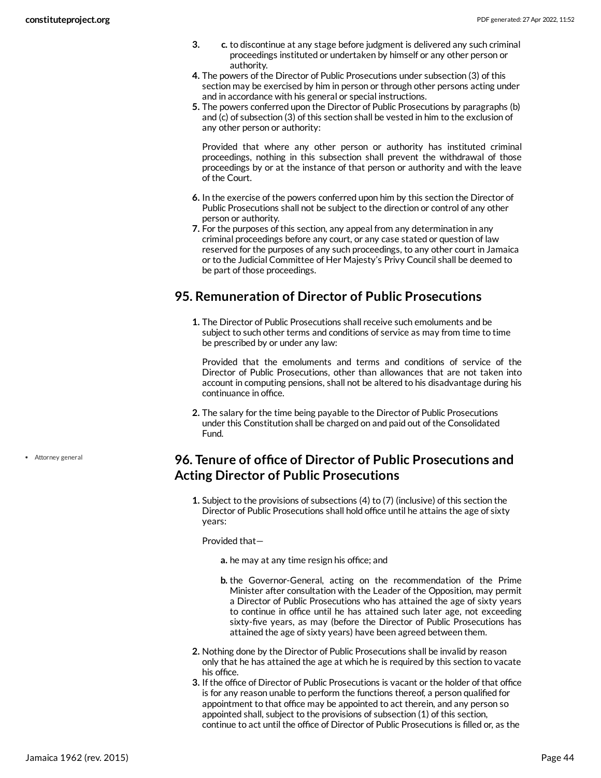- **3. c.** to discontinue at any stage before judgment is delivered any such criminal proceedings instituted or undertaken by himself or any other person or authority.
- **4.** The powers of the Director of Public Prosecutions under subsection (3) of this section may be exercised by him in person or through other persons acting under and in accordance with his general or special instructions.
- **5.** The powers conferred upon the Director of Public Prosecutions by paragraphs (b) and (c) of subsection (3) of this section shall be vested in him to the exclusion of any other person or authority:

Provided that where any other person or authority has instituted criminal proceedings, nothing in this subsection shall prevent the withdrawal of those proceedings by or at the instance of that person or authority and with the leave of the Court.

- **6.** In the exercise of the powers conferred upon him by this section the Director of Public Prosecutions shall not be subject to the direction or control of any other person or authority.
- **7.** For the purposes of this section, any appeal from any determination in any criminal proceedings before any court, or any case stated or question of law reserved for the purposes of any such proceedings, to any other court in Jamaica or to the Judicial Committee of Her Majesty's Privy Council shall be deemed to be part of those proceedings.

### <span id="page-43-0"></span>**95. Remuneration of Director of Public Prosecutions**

**1.** The Director of Public Prosecutions shall receive such emoluments and be subject to such other terms and conditions of service as may from time to time be prescribed by or under any law:

Provided that the emoluments and terms and conditions of service of the Director of Public Prosecutions, other than allowances that are not taken into account in computing pensions, shall not be altered to his disadvantage during his continuance in office.

**2.** The salary for the time being payable to the Director of Public Prosecutions under this Constitution shall be charged on and paid out of the Consolidated Fund.

### <span id="page-43-1"></span>**96. Tenure of office of Director of Public Prosecutions and Acting Director of Public Prosecutions**

**1.** Subject to the provisions of subsections (4) to (7) (inclusive) of this section the Director of Public Prosecutions shall hold office until he attains the age of sixty years:

Provided that—

- **a.** he may at any time resign his office; and
- **b.** the Governor-General, acting on the recommendation of the Prime Minister after consultation with the Leader of the Opposition, may permit a Director of Public Prosecutions who has attained the age of sixty years to continue in office until he has attained such later age, not exceeding sixty-five years, as may (before the Director of Public Prosecutions has attained the age of sixty years) have been agreed between them.
- **2.** Nothing done by the Director of Public Prosecutions shall be invalid by reason only that he has attained the age at which he is required by this section to vacate his office.
- **3.** If the office of Director of Public Prosecutions is vacant or the holder of that office is for any reason unable to perform the functions thereof, a person qualified for appointment to that office may be appointed to act therein, and any person so appointed shall, subject to the provisions of subsection (1) of this section, continue to act until the office of Director of Public Prosecutions is filled or, as the

Attorney general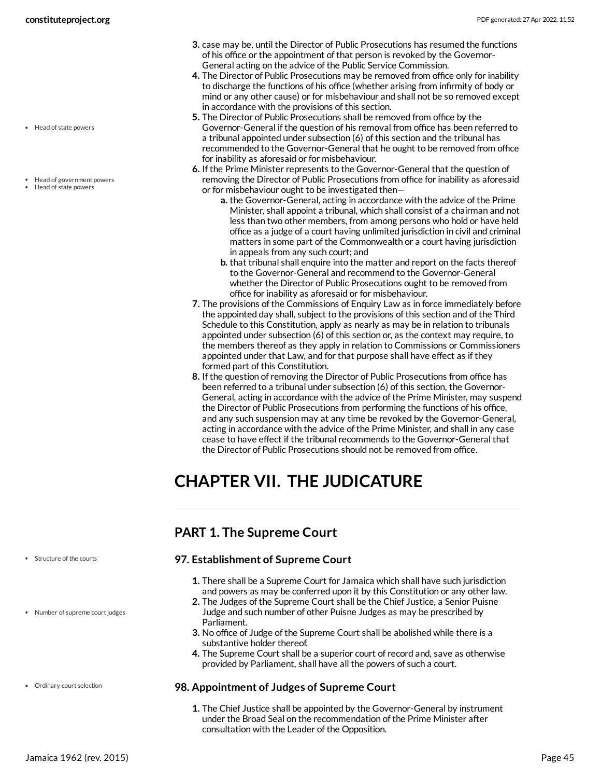- Head of government powers
- Head of state powers
- **3.** case may be, until the Director of Public Prosecutions has resumed the functions of his office or the appointment of that person is revoked by the Governor-General acting on the advice of the Public Service Commission.
- **4.** The Director of Public Prosecutions may be removed from office only for inability to discharge the functions of his office (whether arising from infirmity of body or mind or any other cause) or for misbehaviour and shall not be so removed except in accordance with the provisions of this section.
- **5.** The Director of Public Prosecutions shall be removed from office by the Governor-General if the question of his removal from office has been referred to a tribunal appointed under subsection (6) of this section and the tribunal has recommended to the Governor-General that he ought to be removed from office for inability as aforesaid or for misbehaviour.
- **6.** If the Prime Minister represents to the Governor-General that the question of removing the Director of Public Prosecutions from office for inability as aforesaid or for misbehaviour ought to be investigated then
	- **a.** the Governor-General, acting in accordance with the advice of the Prime Minister, shall appoint a tribunal, which shall consist of a chairman and not less than two other members, from among persons who hold or have held office as a judge of a court having unlimited jurisdiction in civil and criminal matters in some part of the Commonwealth or a court having jurisdiction in appeals from any such court; and
	- **b.** that tribunal shall enquire into the matter and report on the facts thereof to the Governor-General and recommend to the Governor-General whether the Director of Public Prosecutions ought to be removed from office for inability as aforesaid or for misbehaviour.
- **7.** The provisions of the Commissions of Enquiry Law as in force immediately before the appointed day shall, subject to the provisions of this section and of the Third Schedule to this Constitution, apply as nearly as may be in relation to tribunals appointed under subsection (6) of this section or, as the context may require, to the members thereof as they apply in relation to Commissions or Commissioners appointed under that Law, and for that purpose shall have effect as if they formed part of this Constitution.
- **8.** If the question of removing the Director of Public Prosecutions from office has been referred to a tribunal under subsection (6) of this section, the Governor-General, acting in accordance with the advice of the Prime Minister, may suspend the Director of Public Prosecutions from performing the functions of his office, and any such suspension may at any time be revoked by the Governor-General, acting in accordance with the advice of the Prime Minister, and shall in any case cease to have effect if the tribunal recommends to the Governor-General that the Director of Public Prosecutions should not be removed from office.

# <span id="page-44-0"></span>**CHAPTER VII. THE JUDICATURE**

### <span id="page-44-1"></span>**PART 1. The Supreme Court**

#### <span id="page-44-3"></span>**97. Establishment of Supreme Court**

- **1.** There shall be a Supreme Court for Jamaica which shall have such jurisdiction and powers as may be conferred upon it by this Constitution or any other law.
- **2.** The Judges of the Supreme Court shall be the Chief Justice, a Senior Puisne Judge and such number of other Puisne Judges as may be prescribed by Parliament.
- **3.** No office of Judge of the Supreme Court shall be abolished while there is a substantive holder thereof.
- **4.** The Supreme Court shall be a superior court of record and, save as otherwise provided by Parliament, shall have all the powers of such a court.

#### <span id="page-44-2"></span>**98. Appointment of Judges of Supreme Court**

**1.** The Chief Justice shall be appointed by the Governor-General by instrument under the Broad Seal on the recommendation of the Prime Minister after consultation with the Leader of the Opposition.

- Number of supreme court judges
- Ordinary court selection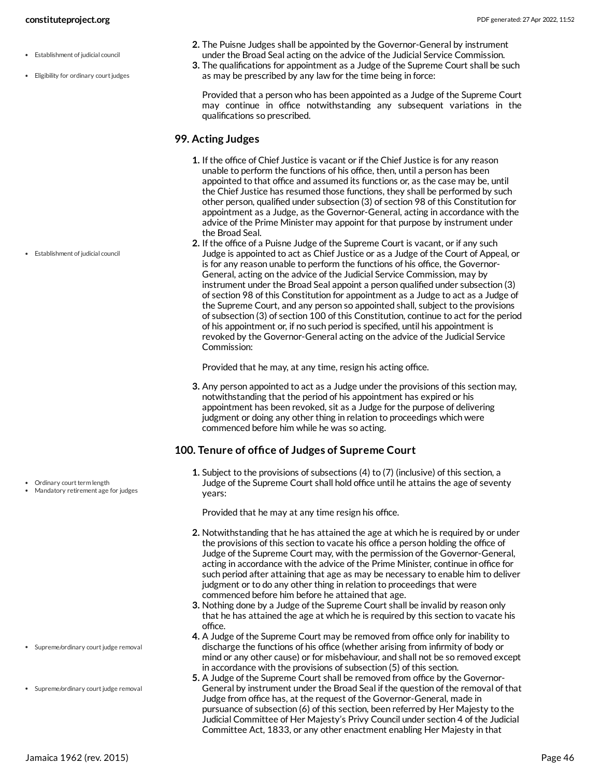- Establishment of judicial council
- Eligibility for ordinary court judges

**constituteproject.org** PDF generated: 27 Apr 2022, 11:52

- **2.** The Puisne Judges shall be appointed by the Governor-General by instrument under the Broad Seal acting on the advice of the Judicial Service Commission.
- **3.** The qualifications for appointment as a Judge of the Supreme Court shall be such as may be prescribed by any law for the time being in force:

Provided that a person who has been appointed as a Judge of the Supreme Court may continue in office notwithstanding any subsequent variations in the qualifications so prescribed.

#### <span id="page-45-0"></span>**99. Acting Judges**

- **1.** If the office of Chief Justice is vacant or if the Chief Justice is for any reason unable to perform the functions of his office, then, until a person has been appointed to that office and assumed its functions or, as the case may be, until the Chief Justice has resumed those functions, they shall be performed by such other person, qualified under subsection (3) of section 98 of this Constitution for appointment as a Judge, as the Governor-General, acting in accordance with the advice of the Prime Minister may appoint for that purpose by instrument under the Broad Seal.
- **2.** If the office of a Puisne Judge of the Supreme Court is vacant, or if any such Judge is appointed to act as Chief Justice or as a Judge of the Court of Appeal, or is for any reason unable to perform the functions of his office, the Governor-General, acting on the advice of the Judicial Service Commission, may by instrument under the Broad Seal appoint a person qualified under subsection (3) of section 98 of this Constitution for appointment as a Judge to act as a Judge of the Supreme Court, and any person so appointed shall, subject to the provisions of subsection (3) of section 100 of this Constitution, continue to act for the period of his appointment or, if no such period is specified, until his appointment is revoked by the Governor-General acting on the advice of the Judicial Service Commission:

Provided that he may, at any time, resign his acting office.

**3.** Any person appointed to act as a Judge under the provisions of this section may, notwithstanding that the period of his appointment has expired or his appointment has been revoked, sit as a Judge for the purpose of delivering judgment or doing any other thing in relation to proceedings which were commenced before him while he was so acting.

#### <span id="page-45-1"></span>**100. Tenure of office of Judges of Supreme Court**

**1.** Subject to the provisions of subsections (4) to (7) (inclusive) of this section, a Judge of the Supreme Court shall hold office until he attains the age of seventy years:

Provided that he may at any time resign his office.

- **2.** Notwithstanding that he has attained the age at which he is required by or under the provisions of this section to vacate his office a person holding the office of Judge of the Supreme Court may, with the permission of the Governor-General, acting in accordance with the advice of the Prime Minister, continue in office for such period after attaining that age as may be necessary to enable him to deliver judgment or to do any other thing in relation to proceedings that were commenced before him before he attained that age.
- **3.** Nothing done by a Judge of the Supreme Court shall be invalid by reason only that he has attained the age at which he is required by this section to vacate his office.
- **4.** A Judge of the Supreme Court may be removed from office only for inability to discharge the functions of his office (whether arising from infirmity of body or mind or any other cause) or for misbehaviour, and shall not be so removed except in accordance with the provisions of subsection (5) of this section.
- **5.** A Judge of the Supreme Court shall be removed from office by the Governor-General by instrument under the Broad Seal if the question of the removal of that Judge from office has, at the request of the Governor-General, made in pursuance of subsection (6) of this section, been referred by Her Majesty to the Judicial Committee of Her Majesty's Privy Council under section 4 of the Judicial Committee Act, 1833, or any other enactment enabling Her Majesty in that

Establishment of judicial council

Ordinary court term length Mandatory retirement age for judges

• Supreme/ordinary court judge removal

• Supreme/ordinary court judge removal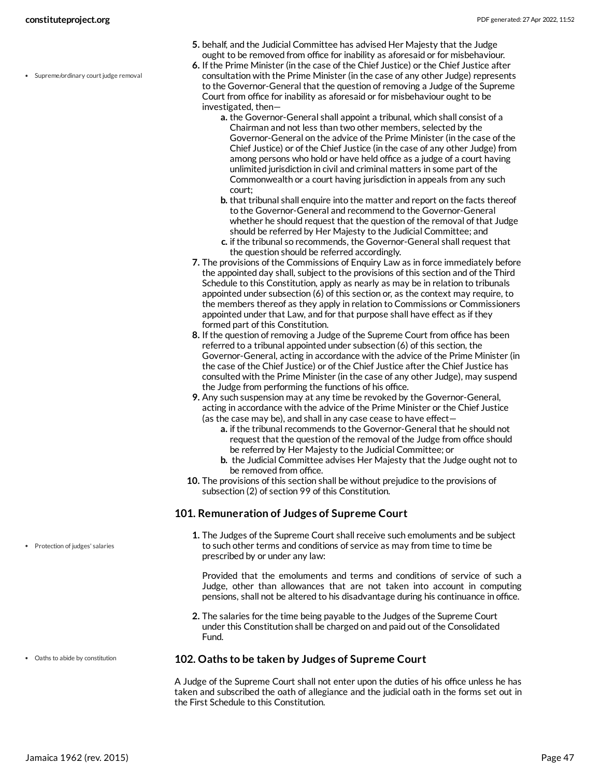- **5.** behalf, and the Judicial Committee has advised Her Majesty that the Judge ought to be removed from office for inability as aforesaid or for misbehaviour.
- **6.** If the Prime Minister (in the case of the Chief Justice) or the Chief Justice after consultation with the Prime Minister (in the case of any other Judge) represents to the Governor-General that the question of removing a Judge of the Supreme Court from office for inability as aforesaid or for misbehaviour ought to be investigated, then
	- **a.** the Governor-General shall appoint a tribunal, which shall consist of a Chairman and not less than two other members, selected by the Governor-General on the advice of the Prime Minister (in the case of the Chief Justice) or of the Chief Justice (in the case of any other Judge) from among persons who hold or have held office as a judge of a court having unlimited jurisdiction in civil and criminal matters in some part of the Commonwealth or a court having jurisdiction in appeals from any such court;
	- **b.** that tribunal shall enquire into the matter and report on the facts thereof to the Governor-General and recommend to the Governor-General whether he should request that the question of the removal of that Judge should be referred by Her Majesty to the Judicial Committee; and
	- **c.** if the tribunal so recommends, the Governor-General shall request that the question should be referred accordingly.
- **7.** The provisions of the Commissions of Enquiry Law as in force immediately before the appointed day shall, subject to the provisions of this section and of the Third Schedule to this Constitution, apply as nearly as may be in relation to tribunals appointed under subsection (6) of this section or, as the context may require, to the members thereof as they apply in relation to Commissions or Commissioners appointed under that Law, and for that purpose shall have effect as if they formed part of this Constitution.
- **8.** If the question of removing a Judge of the Supreme Court from office has been referred to a tribunal appointed under subsection (6) of this section, the Governor-General, acting in accordance with the advice of the Prime Minister (in the case of the Chief Justice) or of the Chief Justice after the Chief Justice has consulted with the Prime Minister (in the case of any other Judge), may suspend the Judge from performing the functions of his office.
- **9.** Any such suspension may at any time be revoked by the Governor-General, acting in accordance with the advice of the Prime Minister or the Chief Justice (as the case may be), and shall in any case cease to have effect
	- **a.** if the tribunal recommends to the Governor-General that he should not request that the question of the removal of the Judge from office should be referred by Her Majesty to the Judicial Committee; or
	- **b.** the Judicial Committee advises Her Majesty that the Judge ought not to be removed from office.
- **10.** The provisions of this section shall be without prejudice to the provisions of subsection (2) of section 99 of this Constitution.

#### <span id="page-46-1"></span>**101. Remuneration of Judges of Supreme Court**

**1.** The Judges of the Supreme Court shall receive such emoluments and be subject to such other terms and conditions of service as may from time to time be prescribed by or under any law:

Provided that the emoluments and terms and conditions of service of such a Judge, other than allowances that are not taken into account in computing pensions, shall not be altered to his disadvantage during his continuance in office.

**2.** The salaries for the time being payable to the Judges of the Supreme Court under this Constitution shall be charged on and paid out of the Consolidated Fund.

#### <span id="page-46-0"></span>**102. Oaths to be taken by Judges of Supreme Court**

A Judge of the Supreme Court shall not enter upon the duties of his office unless he has taken and subscribed the oath of allegiance and the judicial oath in the forms set out in the First Schedule to this Constitution.

• Protection of judges' salaries

Oaths to abide by constitution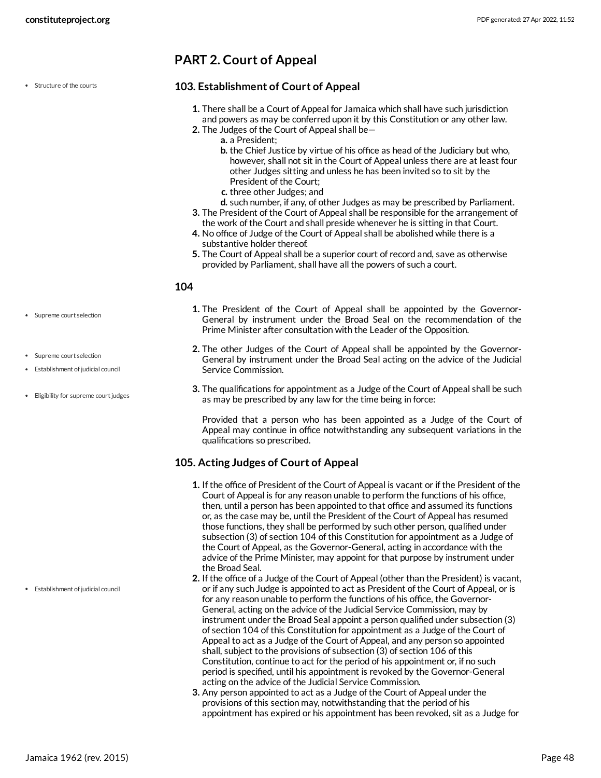Structure of the courts

### <span id="page-47-0"></span>**PART 2. Court of Appeal**

#### <span id="page-47-2"></span>**103. Establishment of Court of Appeal**

- **1.** There shall be a Court of Appeal for Jamaica which shall have such jurisdiction and powers as may be conferred upon it by this Constitution or any other law.
- **2.** The Judges of the Court of Appeal shall be
	- **a.** a President;
		- **b.** the Chief Justice by virtue of his office as head of the Judiciary but who, however, shall not sit in the Court of Appeal unless there are at least four other Judges sitting and unless he has been invited so to sit by the President of the Court;
	- **c.** three other Judges; and
	- **d.** such number, if any, of other Judges as may be prescribed by Parliament.
- **3.** The President of the Court of Appeal shall be responsible for the arrangement of the work of the Court and shall preside whenever he is sitting in that Court.
- **4.** No office of Judge of the Court of Appeal shall be abolished while there is a substantive holder thereof.
- **5.** The Court of Appeal shall be a superior court of record and, save as otherwise provided by Parliament, shall have all the powers of such a court.

#### **104**

- Supreme court selection
- Supreme court selection
- Establishment of judicial council
- Eligibility for supreme court judges
- <span id="page-47-1"></span>**1.** The President of the Court of Appeal shall be appointed by the Governor-General by instrument under the Broad Seal on the recommendation of the Prime Minister after consultation with the Leader of the Opposition.
- **2.** The other Judges of the Court of Appeal shall be appointed by the Governor-General by instrument under the Broad Seal acting on the advice of the Judicial Service Commission.
- **3.** The qualifications for appointment as a Judge of the Court of Appeal shall be such as may be prescribed by any law for the time being in force:

Provided that a person who has been appointed as a Judge of the Court of Appeal may continue in office notwithstanding any subsequent variations in the qualifications so prescribed.

#### **105. Acting Judges of Court of Appeal**

- **1.** If the office of President of the Court of Appeal is vacant or if the President of the Court of Appeal is for any reason unable to perform the functions of his office, then, until a person has been appointed to that office and assumed its functions or, as the case may be, until the President of the Court of Appeal has resumed those functions, they shall be performed by such other person, qualified under subsection (3) of section 104 of this Constitution for appointment as a Judge of the Court of Appeal, as the Governor-General, acting in accordance with the advice of the Prime Minister, may appoint for that purpose by instrument under the Broad Seal.
- **2.** If the office of a Judge of the Court of Appeal (other than the President) is vacant, or if any such Judge is appointed to act as President of the Court of Appeal, or is for any reason unable to perform the functions of his office, the Governor-General, acting on the advice of the Judicial Service Commission, may by instrument under the Broad Seal appoint a person qualified under subsection (3) of section 104 of this Constitution for appointment as a Judge of the Court of Appeal to act as a Judge of the Court of Appeal, and any person so appointed shall, subject to the provisions of subsection (3) of section 106 of this Constitution, continue to act for the period of his appointment or, if no such period is specified, until his appointment is revoked by the Governor-General acting on the advice of the Judicial Service Commission.
- **3.** Any person appointed to act as a Judge of the Court of Appeal under the provisions of this section may, notwithstanding that the period of his appointment has expired or his appointment has been revoked, sit as a Judge for

Establishment of judicial council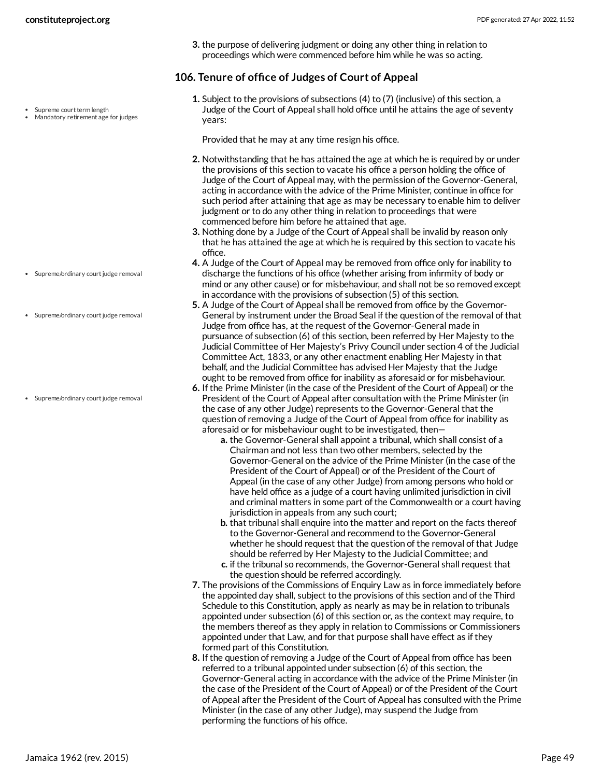Supreme court term length Mandatory retirement age for judges **3.** the purpose of delivering judgment or doing any other thing in relation to proceedings which were commenced before him while he was so acting.

#### <span id="page-48-0"></span>**106. Tenure of office of Judges of Court of Appeal**

**1.** Subject to the provisions of subsections (4) to (7) (inclusive) of this section, a Judge of the Court of Appeal shall hold office until he attains the age of seventy years:

Provided that he may at any time resign his office.

- **2.** Notwithstanding that he has attained the age at which he is required by or under the provisions of this section to vacate his office a person holding the office of Judge of the Court of Appeal may, with the permission of the Governor-General, acting in accordance with the advice of the Prime Minister, continue in office for such period after attaining that age as may be necessary to enable him to deliver judgment or to do any other thing in relation to proceedings that were commenced before him before he attained that age.
- **3.** Nothing done by a Judge of the Court of Appeal shall be invalid by reason only that he has attained the age at which he is required by this section to vacate his office.
- **4.** A Judge of the Court of Appeal may be removed from office only for inability to discharge the functions of his office (whether arising from infirmity of body or mind or any other cause) or for misbehaviour, and shall not be so removed except in accordance with the provisions of subsection (5) of this section.
- **5.** A Judge of the Court of Appeal shall be removed from office by the Governor-General by instrument under the Broad Seal if the question of the removal of that Judge from office has, at the request of the Governor-General made in pursuance of subsection (6) of this section, been referred by Her Majesty to the Judicial Committee of Her Majesty's Privy Council under section 4 of the Judicial Committee Act, 1833, or any other enactment enabling Her Majesty in that behalf, and the Judicial Committee has advised Her Majesty that the Judge ought to be removed from office for inability as aforesaid or for misbehaviour.
- **6.** If the Prime Minister (in the case of the President of the Court of Appeal) or the President of the Court of Appeal after consultation with the Prime Minister (in the case of any other Judge) represents to the Governor-General that the question of removing a Judge of the Court of Appeal from office for inability as aforesaid or for misbehaviour ought to be investigated, then
	- **a.** the Governor-General shall appoint a tribunal, which shall consist of a Chairman and not less than two other members, selected by the Governor-General on the advice of the Prime Minister (in the case of the President of the Court of Appeal) or of the President of the Court of Appeal (in the case of any other Judge) from among persons who hold or have held office as a judge of a court having unlimited jurisdiction in civil and criminal matters in some part of the Commonwealth or a court having jurisdiction in appeals from any such court;
	- **b.** that tribunal shall enquire into the matter and report on the facts thereof to the Governor-General and recommend to the Governor-General whether he should request that the question of the removal of that Judge should be referred by Her Majesty to the Judicial Committee; and
	- **c.** if the tribunal so recommends, the Governor-General shall request that the question should be referred accordingly.
- **7.** The provisions of the Commissions of Enquiry Law as in force immediately before the appointed day shall, subject to the provisions of this section and of the Third Schedule to this Constitution, apply as nearly as may be in relation to tribunals appointed under subsection (6) of this section or, as the context may require, to the members thereof as they apply in relation to Commissions or Commissioners appointed under that Law, and for that purpose shall have effect as if they formed part of this Constitution.
- **8.** If the question of removing a Judge of the Court of Appeal from office has been referred to a tribunal appointed under subsection (6) of this section, the Governor-General acting in accordance with the advice of the Prime Minister (in the case of the President of the Court of Appeal) or of the President of the Court of Appeal after the President of the Court of Appeal has consulted with the Prime Minister (in the case of any other Judge), may suspend the Judge from performing the functions of his office.

• Supreme/ordinary court judge removal

- Supreme/ordinary court judge removal
- Supreme/ordinary court judge removal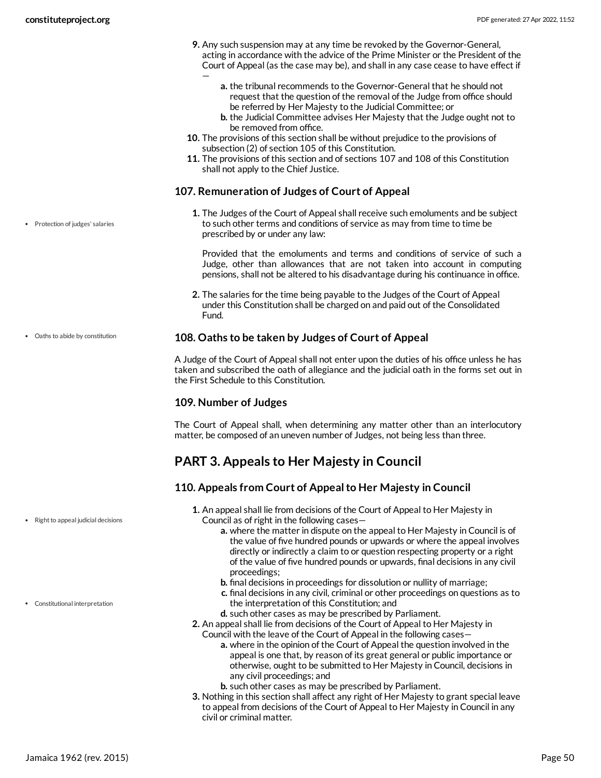- **9.** Any such suspension may at any time be revoked by the Governor-General, acting in accordance with the advice of the Prime Minister or the President of the Court of Appeal (as the case may be), and shall in any case cease to have effect if
	- **a.** the tribunal recommends to the Governor-General that he should not request that the question of the removal of the Judge from office should be referred by Her Majesty to the Judicial Committee; or
	- **b.** the Judicial Committee advises Her Majesty that the Judge ought not to be removed from office.
- **10.** The provisions of this section shall be without prejudice to the provisions of subsection (2) of section 105 of this Constitution.
- **11.** The provisions of this section and of sections 107 and 108 of this Constitution shall not apply to the Chief Justice.

#### <span id="page-49-3"></span>**107. Remuneration of Judges of Court of Appeal**

**1.** The Judges of the Court of Appeal shall receive such emoluments and be subject to such other terms and conditions of service as may from time to time be prescribed by or under any law:

Provided that the emoluments and terms and conditions of service of such a Judge, other than allowances that are not taken into account in computing pensions, shall not be altered to his disadvantage during his continuance in office.

**2.** The salaries for the time being payable to the Judges of the Court of Appeal under this Constitution shall be charged on and paid out of the Consolidated Fund.

#### **108. Oaths to be taken by Judges of Court of Appeal**

<span id="page-49-2"></span>A Judge of the Court of Appeal shall not enter upon the duties of his office unless he has taken and subscribed the oath of allegiance and the judicial oath in the forms set out in the First Schedule to this Constitution.

#### **109. Number of Judges**

The Court of Appeal shall, when determining any matter other than an interlocutory matter, be composed of an uneven number of Judges, not being less than three.

### <span id="page-49-0"></span>**PART 3. Appeals to Her Majesty in Council**

#### <span id="page-49-1"></span>**110. Appeals from Court of Appealto Her Majesty in Council**

- **1.** An appeal shall lie from decisions of the Court of Appeal to Her Majesty in Council as of right in the following cases
	- **a.** where the matter in dispute on the appeal to Her Majesty in Council is of the value of five hundred pounds or upwards or where the appeal involves directly or indirectly a claim to or question respecting property or a right of the value of five hundred pounds or upwards, final decisions in any civil proceedings;
	- **b.** final decisions in proceedings for dissolution or nullity of marriage;
	- **c.** final decisions in any civil, criminal or other proceedings on questions as to the interpretation of this Constitution; and
	- **d.** such other cases as may be prescribed by Parliament.
- **2.** An appeal shall lie from decisions of the Court of Appeal to Her Majesty in Council with the leave of the Court of Appeal in the following cases
	- **a.** where in the opinion of the Court of Appeal the question involved in the appeal is one that, by reason of its great general or public importance or otherwise, ought to be submitted to Her Majesty in Council, decisions in any civil proceedings; and
	- **b.** such other cases as may be prescribed by Parliament.
- **3.** Nothing in this section shall affect any right of Her Majesty to grant special leave to appeal from decisions of the Court of Appeal to Her Majesty in Council in any civil or criminal matter.

• Protection of judges' salaries

Oaths to abide by constitution

• Right to appeal judicial decisions

Constitutional interpretation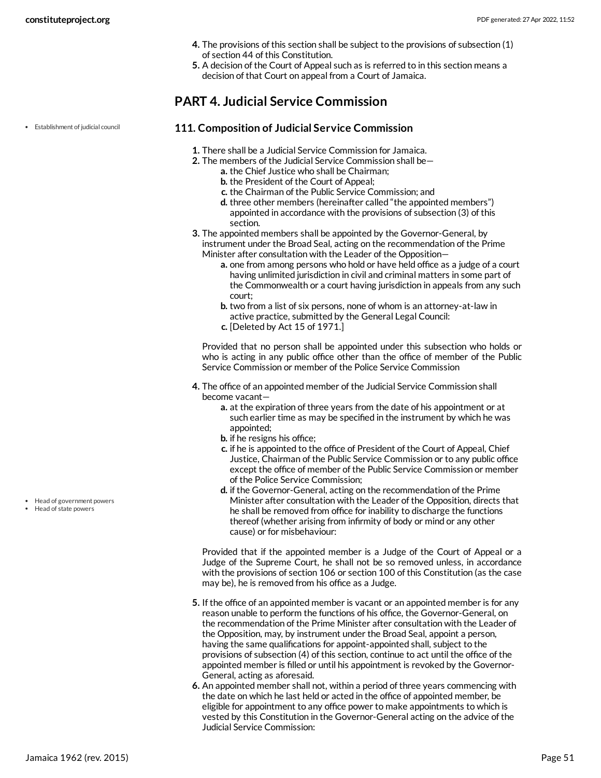- **4.** The provisions of this section shall be subject to the provisions of subsection (1) of section 44 of this Constitution.
- **5.** A decision of the Court of Appeal such as is referred to in this section means a decision of that Court on appeal from a Court of Jamaica.

### <span id="page-50-0"></span>**PART 4. Judicial Service Commission**

Establishment of judicial council

#### <span id="page-50-1"></span>**111. Composition of Judicial Service Commission**

- **1.** There shall be a Judicial Service Commission for Jamaica.
- **2.** The members of the Judicial Service Commission shall be
	- **a.** the Chief Justice who shall be Chairman;
	- **b.** the President of the Court of Appeal;
	- **c.** the Chairman of the Public Service Commission; and
	- **d.** three other members (hereinafter called "the appointed members") appointed in accordance with the provisions of subsection (3) of this section.
- **3.** The appointed members shall be appointed by the Governor-General, by instrument under the Broad Seal, acting on the recommendation of the Prime Minister after consultation with the Leader of the Opposition
	- **a.** one from among persons who hold or have held office as a judge of a court having unlimited jurisdiction in civil and criminal matters in some part of the Commonwealth or a court having jurisdiction in appeals from any such court;
	- **b.** two from a list of six persons, none of whom is an attorney-at-law in active practice, submitted by the General Legal Council:
	- **c.** [Deleted by Act 15 of 1971.]

Provided that no person shall be appointed under this subsection who holds or who is acting in any public office other than the office of member of the Public Service Commission or member of the Police Service Commission

- **4.** The office of an appointed member of the Judicial Service Commission shall become vacant
	- **a.** at the expiration of three years from the date of his appointment or at such earlier time as may be specified in the instrument by which he was appointed;
	- **b.** if he resigns his office;
	- **c.** if he is appointed to the office of President of the Court of Appeal, Chief Justice, Chairman of the Public Service Commission or to any public office except the office of member of the Public Service Commission or member of the Police Service Commission;
	- **d.** if the Governor-General, acting on the recommendation of the Prime Minister after consultation with the Leader of the Opposition, directs that he shall be removed from office for inability to discharge the functions thereof (whether arising from infirmity of body or mind or any other cause) or for misbehaviour:

Provided that if the appointed member is a Judge of the Court of Appeal or a Judge of the Supreme Court, he shall not be so removed unless, in accordance with the provisions of section 106 or section 100 of this Constitution (as the case may be), he is removed from his office as a Judge.

- **5.** If the office of an appointed member is vacant or an appointed member is for any reason unable to perform the functions of his office, the Governor-General, on the recommendation of the Prime Minister after consultation with the Leader of the Opposition, may, by instrument under the Broad Seal, appoint a person, having the same qualifications for appoint-appointed shall, subject to the provisions of subsection (4) of this section, continue to act until the office of the appointed member is filled or until his appointment is revoked by the Governor-General, acting as aforesaid.
- **6.** An appointed member shall not, within a period of three years commencing with the date on which he last held or acted in the office of appointed member, be eligible for appointment to any office power to make appointments to which is vested by this Constitution in the Governor-General acting on the advice of the Judicial Service Commission:
- Head of government powers
- Head of state powers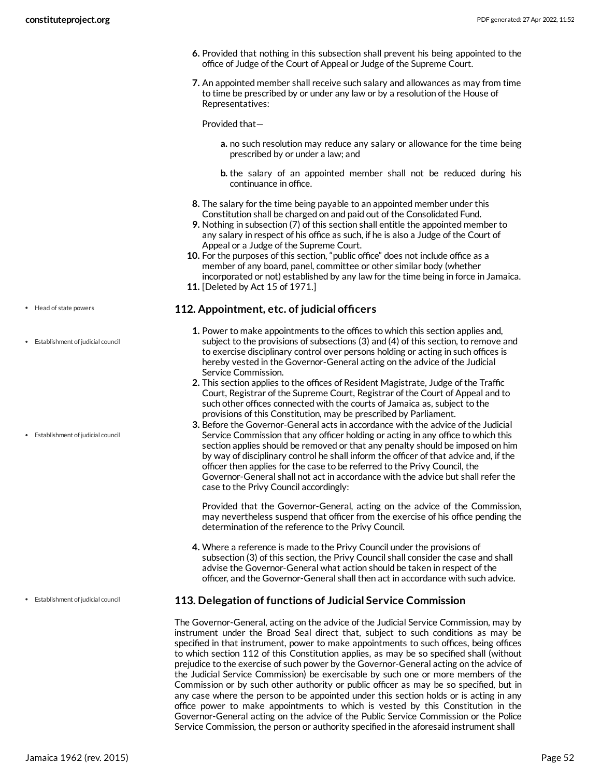- **6.** Provided that nothing in this subsection shall prevent his being appointed to the office of Judge of the Court of Appeal or Judge of the Supreme Court.
- **7.** An appointed member shall receive such salary and allowances as may from time to time be prescribed by or under any law or by a resolution of the House of Representatives:

- **a.** no such resolution may reduce any salary or allowance for the time being prescribed by or under a law; and
- **b.** the salary of an appointed member shall not be reduced during his continuance in office.
- **8.** The salary for the time being payable to an appointed member under this Constitution shall be charged on and paid out of the Consolidated Fund.
- **9.** Nothing in subsection (7) of this section shall entitle the appointed member to any salary in respect of his office as such, if he is also a Judge of the Court of Appeal or a Judge of the Supreme Court.
- **10.** For the purposes of this section, "public office" does not include office as a member of any board, panel, committee or other similar body (whether incorporated or not) established by any law for the time being in force in Jamaica.
- **11.** [Deleted by Act 15 of 1971.]

#### <span id="page-51-0"></span>**112. Appointment, etc. of judicial officers**

- **1.** Power to make appointments to the offices to which this section applies and, subject to the provisions of subsections (3) and (4) of this section, to remove and to exercise disciplinary control over persons holding or acting in such offices is hereby vested in the Governor-General acting on the advice of the Judicial Service Commission.
- **2.** This section applies to the offices of Resident Magistrate, Judge of the Traffic Court, Registrar of the Supreme Court, Registrar of the Court of Appeal and to such other offices connected with the courts of Jamaica as, subject to the provisions of this Constitution, may be prescribed by Parliament.
- **3.** Before the Governor-General acts in accordance with the advice of the Judicial Service Commission that any officer holding or acting in any office to which this section applies should be removed or that any penalty should be imposed on him by way of disciplinary control he shall inform the officer of that advice and, if the officer then applies for the case to be referred to the Privy Council, the Governor-General shall not act in accordance with the advice but shall refer the case to the Privy Council accordingly:

Provided that the Governor-General, acting on the advice of the Commission, may nevertheless suspend that officer from the exercise of his office pending the determination of the reference to the Privy Council.

**4.** Where a reference is made to the Privy Council under the provisions of subsection (3) of this section, the Privy Council shall consider the case and shall advise the Governor-General what action should be taken in respect of the officer, and the Governor-General shall then act in accordance with such advice.

#### **113. Delegation of functions of Judicial Service Commission**

The Governor-General, acting on the advice of the Judicial Service Commission, may by instrument under the Broad Seal direct that, subject to such conditions as may be specified in that instrument, power to make appointments to such offices, being offices to which section 112 of this Constitution applies, as may be so specified shall (without prejudice to the exercise of such power by the Governor-General acting on the advice of the Judicial Service Commission) be exercisable by such one or more members of the Commission or by such other authority or public officer as may be so specified, but in any case where the person to be appointed under this section holds or is acting in any office power to make appointments to which is vested by this Constitution in the Governor-General acting on the advice of the Public Service Commission or the Police Service Commission, the person or authority specified in the aforesaid instrument shall

Head of state powers

Establishment of judicial council

Establishment of judicial council

Establishment of judicial council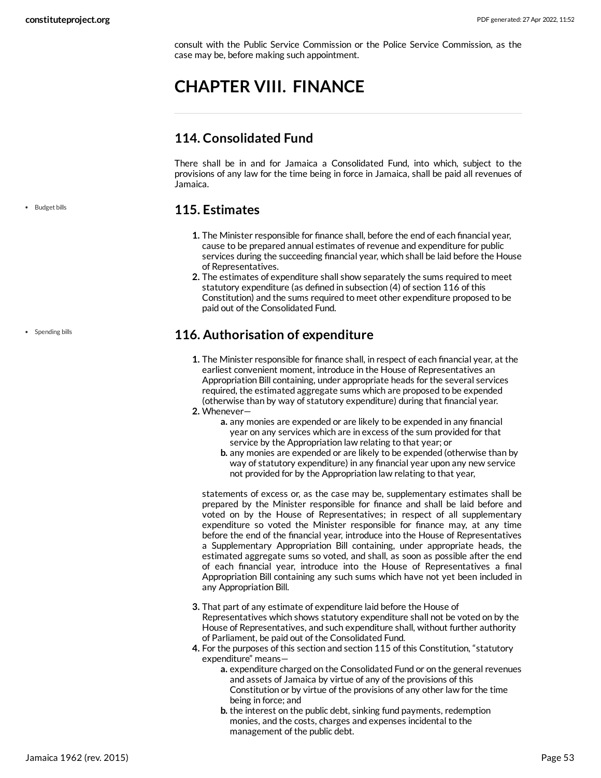consult with the Public Service Commission or the Police Service Commission, as the case may be, before making such appointment.

# <span id="page-52-0"></span>**CHAPTER VIII. FINANCE**

### <span id="page-52-1"></span>**114. Consolidated Fund**

There shall be in and for Jamaica a Consolidated Fund, into which, subject to the provisions of any law for the time being in force in Jamaica, shall be paid all revenues of Jamaica.

### <span id="page-52-2"></span>**115. Estimates**

- **1.** The Minister responsible for finance shall, before the end of each financial year, cause to be prepared annual estimates of revenue and expenditure for public services during the succeeding financial year, which shall be laid before the House of Representatives.
- **2.** The estimates of expenditure shall show separately the sums required to meet statutory expenditure (as defined in subsection (4) of section 116 of this Constitution) and the sums required to meet other expenditure proposed to be paid out of the Consolidated Fund.

### <span id="page-52-3"></span>**116. Authorisation of expenditure**

- **1.** The Minister responsible for finance shall, in respect of each financial year, at the earliest convenient moment, introduce in the House of Representatives an Appropriation Bill containing, under appropriate heads for the several services required, the estimated aggregate sums which are proposed to be expended (otherwise than by way of statutory expenditure) during that financial year.
- **2.** Whenever
	- **a.** any monies are expended or are likely to be expended in any financial year on any services which are in excess of the sum provided for that service by the Appropriation law relating to that year; or
	- **b.** any monies are expended or are likely to be expended (otherwise than by way of statutory expenditure) in any financial year upon any new service not provided for by the Appropriation law relating to that year,

statements of excess or, as the case may be, supplementary estimates shall be prepared by the Minister responsible for finance and shall be laid before and voted on by the House of Representatives; in respect of all supplementary expenditure so voted the Minister responsible for finance may, at any time before the end of the financial year, introduce into the House of Representatives a Supplementary Appropriation Bill containing, under appropriate heads, the estimated aggregate sums so voted, and shall, as soon as possible after the end of each financial year, introduce into the House of Representatives a final Appropriation Bill containing any such sums which have not yet been included in any Appropriation Bill.

- **3.** That part of any estimate of expenditure laid before the House of Representatives which shows statutory expenditure shall not be voted on by the House of Representatives, and such expenditure shall, without further authority of Parliament, be paid out of the Consolidated Fund.
- **4.** For the purposes of this section and section 115 of this Constitution, "statutory expenditure" means
	- **a.** expenditure charged on the Consolidated Fund or on the general revenues and assets of Jamaica by virtue of any of the provisions of this Constitution or by virtue of the provisions of any other law for the time being in force; and
	- **b.** the interest on the public debt, sinking fund payments, redemption monies, and the costs, charges and expenses incidental to the management of the public debt.

• Budget bills

• Spending bills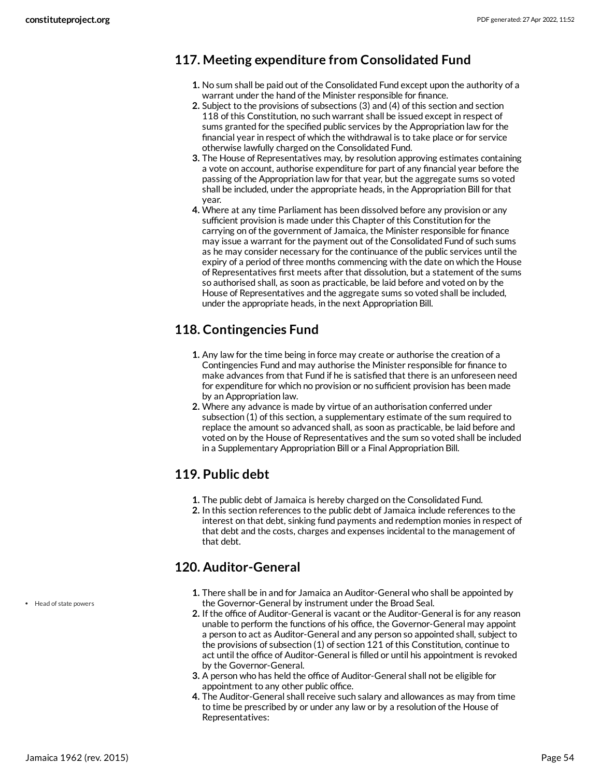### <span id="page-53-0"></span>**117. Meeting expenditure from Consolidated Fund**

- **1.** No sum shall be paid out of the Consolidated Fund except upon the authority of a warrant under the hand of the Minister responsible for finance.
- **2.** Subject to the provisions of subsections (3) and (4) of this section and section 118 of this Constitution, no such warrant shall be issued except in respect of sums granted for the specified public services by the Appropriation law for the financial year in respect of which the withdrawal is to take place or for service otherwise lawfully charged on the Consolidated Fund.
- **3.** The House of Representatives may, by resolution approving estimates containing a vote on account, authorise expenditure for part of any financial year before the passing of the Appropriation law for that year, but the aggregate sums so voted shall be included, under the appropriate heads, in the Appropriation Bill for that year.
- **4.** Where at any time Parliament has been dissolved before any provision or any sufficient provision is made under this Chapter of this Constitution for the carrying on of the government of Jamaica, the Minister responsible for finance may issue a warrant for the payment out of the Consolidated Fund of such sums as he may consider necessary for the continuance of the public services until the expiry of a period of three months commencing with the date on which the House of Representatives first meets after that dissolution, but a statement of the sums so authorised shall, as soon as practicable, be laid before and voted on by the House of Representatives and the aggregate sums so voted shall be included, under the appropriate heads, in the next Appropriation Bill.

### <span id="page-53-1"></span>**118. Contingencies Fund**

- **1.** Any law for the time being in force may create or authorise the creation of a Contingencies Fund and may authorise the Minister responsible for finance to make advances from that Fund if he is satisfied that there is an unforeseen need for expenditure for which no provision or no sufficient provision has been made by an Appropriation law.
- **2.** Where any advance is made by virtue of an authorisation conferred under subsection (1) of this section, a supplementary estimate of the sum required to replace the amount so advanced shall, as soon as practicable, be laid before and voted on by the House of Representatives and the sum so voted shall be included in a Supplementary Appropriation Bill or a Final Appropriation Bill.

### <span id="page-53-2"></span>**119. Public debt**

- **1.** The public debt of Jamaica is hereby charged on the Consolidated Fund.
- **2.** In this section references to the public debt of Jamaica include references to the interest on that debt, sinking fund payments and redemption monies in respect of that debt and the costs, charges and expenses incidental to the management of that debt.

### <span id="page-53-3"></span>**120. Auditor-General**

- **1.** There shall be in and for Jamaica an Auditor-General who shall be appointed by the Governor-General by instrument under the Broad Seal.
- **2.** If the office of Auditor-General is vacant or the Auditor-General is for any reason unable to perform the functions of his office, the Governor-General may appoint a person to act as Auditor-General and any person so appointed shall, subject to the provisions of subsection (1) of section 121 of this Constitution, continue to act until the office of Auditor-General is filled or until his appointment is revoked by the Governor-General.
- **3.** A person who has held the office of Auditor-General shall not be eligible for appointment to any other public office.
- **4.** The Auditor-General shall receive such salary and allowances as may from time to time be prescribed by or under any law or by a resolution of the House of Representatives:

• Head of state powers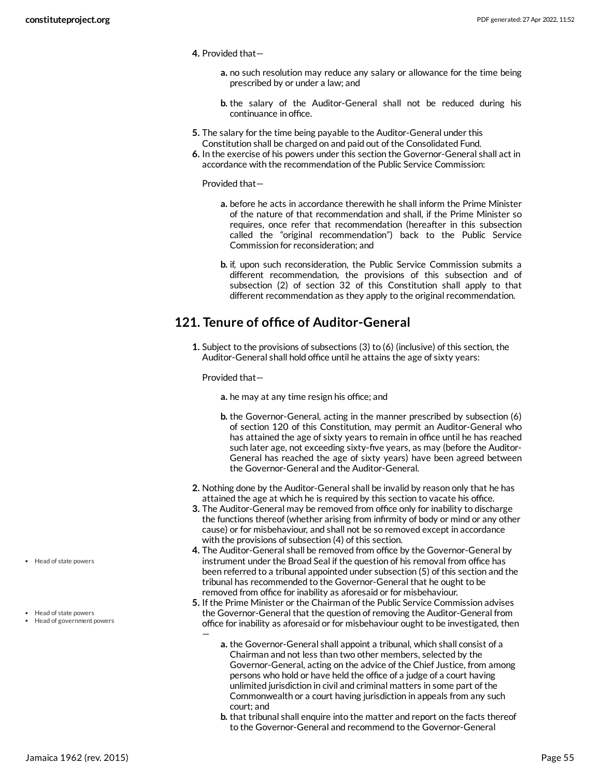- **4.** Provided that
	- **a.** no such resolution may reduce any salary or allowance for the time being prescribed by or under a law; and
	- **b.** the salary of the Auditor-General shall not be reduced during his continuance in office.
- **5.** The salary for the time being payable to the Auditor-General under this Constitution shall be charged on and paid out of the Consolidated Fund.
- **6.** In the exercise of his powers under this section the Governor-General shall act in accordance with the recommendation of the Public Service Commission:

- **a.** before he acts in accordance therewith he shall inform the Prime Minister of the nature of that recommendation and shall, if the Prime Minister so requires, once refer that recommendation (hereafter in this subsection called the "original recommendation") back to the Public Service Commission for reconsideration; and
- **b.** if, upon such reconsideration, the Public Service Commission submits a different recommendation, the provisions of this subsection and of subsection (2) of section 32 of this Constitution shall apply to that different recommendation as they apply to the original recommendation.

### <span id="page-54-0"></span>**121. Tenure of office of Auditor-General**

**1.** Subject to the provisions of subsections (3) to (6) (inclusive) of this section, the Auditor-General shall hold office until he attains the age of sixty years:

Provided that—

- **a.** he may at any time resign his office; and
- **b.** the Governor-General, acting in the manner prescribed by subsection (6) of section 120 of this Constitution, may permit an Auditor-General who has attained the age of sixty years to remain in office until he has reached such later age, not exceeding sixty-five years, as may (before the Auditor-General has reached the age of sixty years) have been agreed between the Governor-General and the Auditor-General.
- **2.** Nothing done by the Auditor-General shall be invalid by reason only that he has attained the age at which he is required by this section to vacate his office.
- **3.** The Auditor-General may be removed from office only for inability to discharge the functions thereof (whether arising from infirmity of body or mind or any other cause) or for misbehaviour, and shall not be so removed except in accordance with the provisions of subsection (4) of this section.
- **4.** The Auditor-General shall be removed from office by the Governor-General by instrument under the Broad Seal if the question of his removal from office has been referred to a tribunal appointed under subsection (5) of this section and the tribunal has recommended to the Governor-General that he ought to be removed from office for inability as aforesaid or for misbehaviour.
- **5.** If the Prime Minister or the Chairman of the Public Service Commission advises the Governor-General that the question of removing the Auditor-General from office for inability as aforesaid or for misbehaviour ought to be investigated, then
	- **a.** the Governor-General shall appoint a tribunal, which shall consist of a Chairman and not less than two other members, selected by the Governor-General, acting on the advice of the Chief Justice, from among persons who hold or have held the office of a judge of a court having unlimited jurisdiction in civil and criminal matters in some part of the Commonwealth or a court having jurisdiction in appeals from any such court; and
	- **b.** that tribunal shall enquire into the matter and report on the facts thereof to the Governor-General and recommend to the Governor-General
- Head of state powers
- Head of state powers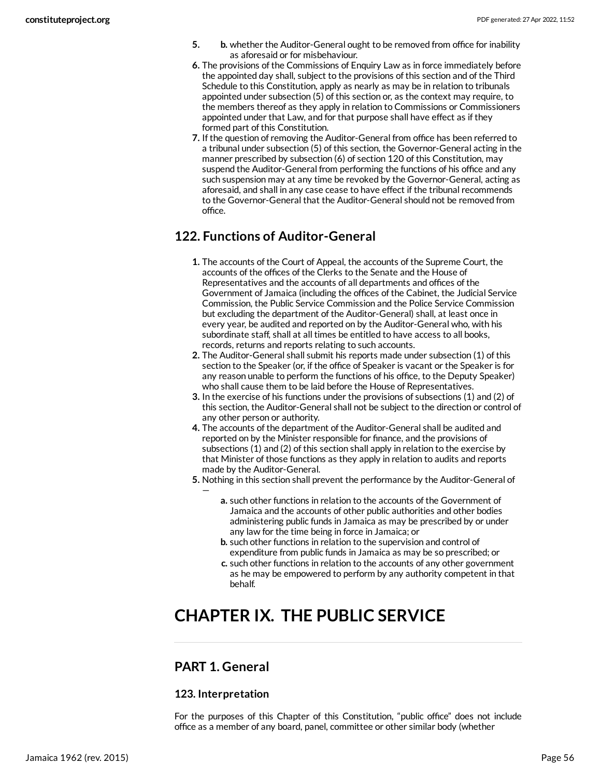- **5. b.** whether the Auditor-General ought to be removed from office for inability as aforesaid or for misbehaviour.
- **6.** The provisions of the Commissions of Enquiry Law as in force immediately before the appointed day shall, subject to the provisions of this section and of the Third Schedule to this Constitution, apply as nearly as may be in relation to tribunals appointed under subsection (5) of this section or, as the context may require, to the members thereof as they apply in relation to Commissions or Commissioners appointed under that Law, and for that purpose shall have effect as if they formed part of this Constitution.
- **7.** If the question of removing the Auditor-General from office has been referred to a tribunal under subsection (5) of this section, the Governor-General acting in the manner prescribed by subsection (6) of section 120 of this Constitution, may suspend the Auditor-General from performing the functions of his office and any such suspension may at any time be revoked by the Governor-General, acting as aforesaid, and shall in any case cease to have effect if the tribunal recommends to the Governor-General that the Auditor-General should not be removed from office.

### <span id="page-55-0"></span>**122. Functions of Auditor-General**

- **1.** The accounts of the Court of Appeal, the accounts of the Supreme Court, the accounts of the offices of the Clerks to the Senate and the House of Representatives and the accounts of all departments and offices of the Government of Jamaica (including the offices of the Cabinet, the Judicial Service Commission, the Public Service Commission and the Police Service Commission but excluding the department of the Auditor-General) shall, at least once in every year, be audited and reported on by the Auditor-General who, with his subordinate staff, shall at all times be entitled to have access to all books, records, returns and reports relating to such accounts.
- **2.** The Auditor-General shall submit his reports made under subsection (1) of this section to the Speaker (or, if the office of Speaker is vacant or the Speaker is for any reason unable to perform the functions of his office, to the Deputy Speaker) who shall cause them to be laid before the House of Representatives.
- **3.** In the exercise of his functions under the provisions of subsections (1) and (2) of this section, the Auditor-General shall not be subject to the direction or control of any other person or authority.
- **4.** The accounts of the department of the Auditor-General shall be audited and reported on by the Minister responsible for finance, and the provisions of subsections (1) and (2) of this section shall apply in relation to the exercise by that Minister of those functions as they apply in relation to audits and reports made by the Auditor-General.
- **5.** Nothing in this section shall prevent the performance by the Auditor-General of
	- **a.** such other functions in relation to the accounts of the Government of Jamaica and the accounts of other public authorities and other bodies administering public funds in Jamaica as may be prescribed by or under any law for the time being in force in Jamaica; or
	- **b.** such other functions in relation to the supervision and control of expenditure from public funds in Jamaica as may be so prescribed; or
	- **c.** such other functions in relation to the accounts of any other government as he may be empowered to perform by any authority competent in that behalf.

# <span id="page-55-1"></span>**CHAPTER IX. THE PUBLIC SERVICE**

### <span id="page-55-2"></span>**PART 1. General**

#### **123. Interpretation**

For the purposes of this Chapter of this Constitution, "public office" does not include office as a member of any board, panel, committee or other similar body (whether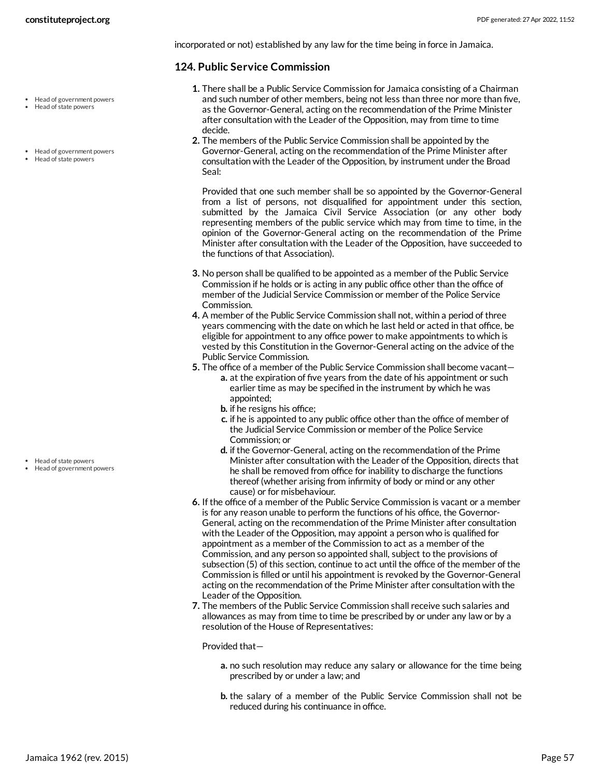incorporated or not) established by any law for the time being in force in Jamaica.

#### <span id="page-56-0"></span>**124. Public Service Commission**

- **1.** There shall be a Public Service Commission for Jamaica consisting of a Chairman and such number of other members, being not less than three nor more than five, as the Governor-General, acting on the recommendation of the Prime Minister after consultation with the Leader of the Opposition, may from time to time decide.
- **2.** The members of the Public Service Commission shall be appointed by the Governor-General, acting on the recommendation of the Prime Minister after consultation with the Leader of the Opposition, by instrument under the Broad Seal:

Provided that one such member shall be so appointed by the Governor-General from a list of persons, not disqualified for appointment under this section, submitted by the Jamaica Civil Service Association (or any other body representing members of the public service which may from time to time, in the opinion of the Governor-General acting on the recommendation of the Prime Minister after consultation with the Leader of the Opposition, have succeeded to the functions of that Association).

- **3.** No person shall be qualified to be appointed as a member of the Public Service Commission if he holds or is acting in any public office other than the office of member of the Judicial Service Commission or member of the Police Service Commission.
- **4.** A member of the Public Service Commission shall not, within a period of three years commencing with the date on which he last held or acted in that office, be eligible for appointment to any office power to make appointments to which is vested by this Constitution in the Governor-General acting on the advice of the Public Service Commission.
- **5.** The office of a member of the Public Service Commission shall become vacant **a.** at the expiration of five years from the date of his appointment or such earlier time as may be specified in the instrument by which he was appointed;
	- **b.** if he resigns his office;
	- **c.** if he is appointed to any public office other than the office of member of the Judicial Service Commission or member of the Police Service Commission; or
	- **d.** if the Governor-General, acting on the recommendation of the Prime Minister after consultation with the Leader of the Opposition, directs that he shall be removed from office for inability to discharge the functions thereof (whether arising from infirmity of body or mind or any other cause) or for misbehaviour.
- **6.** If the office of a member of the Public Service Commission is vacant or a member is for any reason unable to perform the functions of his office, the Governor-General, acting on the recommendation of the Prime Minister after consultation with the Leader of the Opposition, may appoint a person who is qualified for appointment as a member of the Commission to act as a member of the Commission, and any person so appointed shall, subject to the provisions of subsection (5) of this section, continue to act until the office of the member of the Commission is filled or until his appointment is revoked by the Governor-General acting on the recommendation of the Prime Minister after consultation with the Leader of the Opposition.
- **7.** The members of the Public Service Commission shall receive such salaries and allowances as may from time to time be prescribed by or under any law or by a resolution of the House of Representatives:

#### Provided that—

- **a.** no such resolution may reduce any salary or allowance for the time being prescribed by or under a law; and
- **b.** the salary of a member of the Public Service Commission shall not be reduced during his continuance in office.
- Head of government powers
- Head of state powers
- Head of government powers
- Head of state powers

- Head of state powers
- Head of government powers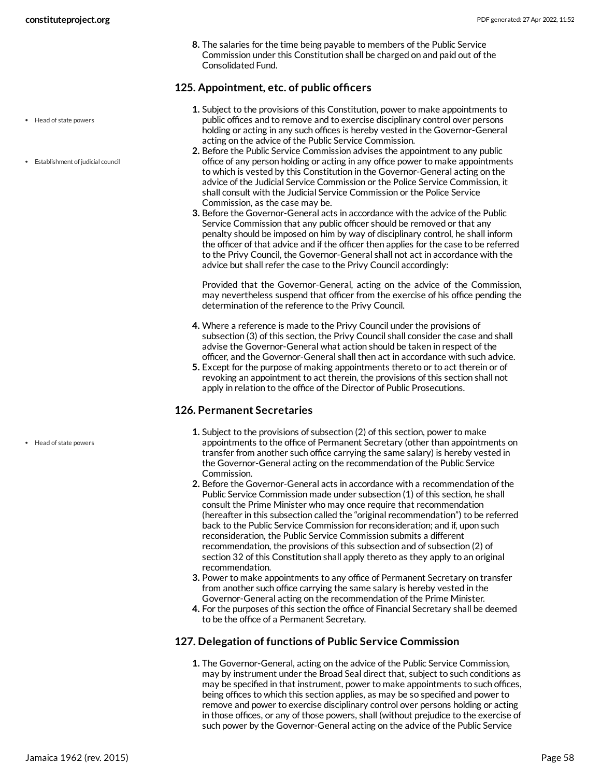**8.** The salaries for the time being payable to members of the Public Service Commission under this Constitution shall be charged on and paid out of the Consolidated Fund.

#### <span id="page-57-0"></span>**125. Appointment, etc. of public officers**

- **1.** Subject to the provisions of this Constitution, power to make appointments to public offices and to remove and to exercise disciplinary control over persons holding or acting in any such offices is hereby vested in the Governor-General acting on the advice of the Public Service Commission.
- **2.** Before the Public Service Commission advises the appointment to any public office of any person holding or acting in any office power to make appointments to which is vested by this Constitution in the Governor-General acting on the advice of the Judicial Service Commission or the Police Service Commission, it shall consult with the Judicial Service Commission or the Police Service Commission, as the case may be.
- **3.** Before the Governor-General acts in accordance with the advice of the Public Service Commission that any public officer should be removed or that any penalty should be imposed on him by way of disciplinary control, he shall inform the officer of that advice and if the officer then applies for the case to be referred to the Privy Council, the Governor-General shall not act in accordance with the advice but shall refer the case to the Privy Council accordingly:

Provided that the Governor-General, acting on the advice of the Commission, may nevertheless suspend that officer from the exercise of his office pending the determination of the reference to the Privy Council.

- **4.** Where a reference is made to the Privy Council under the provisions of subsection (3) of this section, the Privy Council shall consider the case and shall advise the Governor-General what action should be taken in respect of the officer, and the Governor-General shall then act in accordance with such advice.
- **5.** Except for the purpose of making appointments thereto or to act therein or of revoking an appointment to act therein, the provisions of this section shall not apply in relation to the office of the Director of Public Prosecutions.

#### **126. Permanent Secretaries**

- **1.** Subject to the provisions of subsection (2) of this section, power to make appointments to the office of Permanent Secretary (other than appointments on transfer from another such office carrying the same salary) is hereby vested in the Governor-General acting on the recommendation of the Public Service Commission.
- **2.** Before the Governor-General acts in accordance with a recommendation of the Public Service Commission made under subsection (1) of this section, he shall consult the Prime Minister who may once require that recommendation (hereafter in this subsection called the "original recommendation") to be referred back to the Public Service Commission for reconsideration; and if, upon such reconsideration, the Public Service Commission submits a different recommendation, the provisions of this subsection and of subsection (2) of section 32 of this Constitution shall apply thereto as they apply to an original recommendation.
- **3.** Power to make appointments to any office of Permanent Secretary on transfer from another such office carrying the same salary is hereby vested in the Governor-General acting on the recommendation of the Prime Minister.
- **4.** For the purposes of this section the office of Financial Secretary shall be deemed to be the office of a Permanent Secretary.

#### **127. Delegation of functions of Public Service Commission**

**1.** The Governor-General, acting on the advice of the Public Service Commission, may by instrument under the Broad Seal direct that, subject to such conditions as may be specified in that instrument, power to make appointments to such offices, being offices to which this section applies, as may be so specified and power to remove and power to exercise disciplinary control over persons holding or acting in those offices, or any of those powers, shall (without prejudice to the exercise of such power by the Governor-General acting on the advice of the Public Service

- Head of state powers
- Establishment of judicial council

• Head of state powers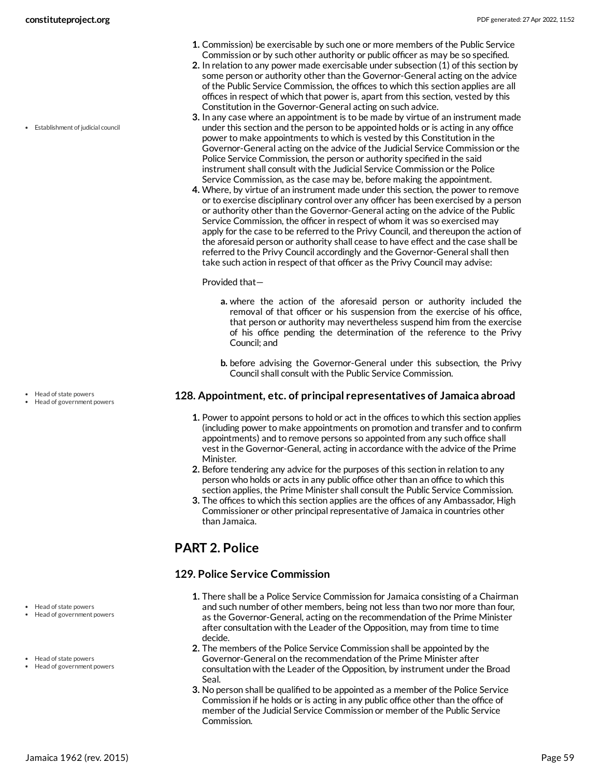- **1.** Commission) be exercisable by such one or more members of the Public Service Commission or by such other authority or public officer as may be so specified.
- **2.** In relation to any power made exercisable under subsection (1) of this section by some person or authority other than the Governor-General acting on the advice of the Public Service Commission, the offices to which this section applies are all offices in respect of which that power is, apart from this section, vested by this Constitution in the Governor-General acting on such advice.
- **3.** In any case where an appointment is to be made by virtue of an instrument made under this section and the person to be appointed holds or is acting in any office power to make appointments to which is vested by this Constitution in the Governor-General acting on the advice of the Judicial Service Commission or the Police Service Commission, the person or authority specified in the said instrument shall consult with the Judicial Service Commission or the Police Service Commission, as the case may be, before making the appointment.
- **4.** Where, by virtue of an instrument made under this section, the power to remove or to exercise disciplinary control over any officer has been exercised by a person or authority other than the Governor-General acting on the advice of the Public Service Commission, the officer in respect of whom it was so exercised may apply for the case to be referred to the Privy Council, and thereupon the action of the aforesaid person or authority shall cease to have effect and the case shall be referred to the Privy Council accordingly and the Governor-General shall then take such action in respect of that officer as the Privy Council may advise:

- **a.** where the action of the aforesaid person or authority included the removal of that officer or his suspension from the exercise of his office, that person or authority may nevertheless suspend him from the exercise of his office pending the determination of the reference to the Privy Council; and
- **b.** before advising the Governor-General under this subsection, the Privy Council shall consult with the Public Service Commission.

#### <span id="page-58-1"></span>**128. Appointment, etc. of principal representatives of Jamaica abroad**

- **1.** Power to appoint persons to hold or act in the offices to which this section applies (including power to make appointments on promotion and transfer and to confirm appointments) and to remove persons so appointed from any such office shall vest in the Governor-General, acting in accordance with the advice of the Prime Minister.
- **2.** Before tendering any advice for the purposes of this section in relation to any person who holds or acts in any public office other than an office to which this section applies, the Prime Minister shall consult the Public Service Commission.
- **3.** The offices to which this section applies are the offices of any Ambassador, High Commissioner or other principal representative of Jamaica in countries other than Jamaica.

### <span id="page-58-0"></span>**PART 2. Police**

#### **129. Police Service Commission**

- **1.** There shall be a Police Service Commission for Jamaica consisting of a Chairman and such number of other members, being not less than two nor more than four, as the Governor-General, acting on the recommendation of the Prime Minister after consultation with the Leader of the Opposition, may from time to time decide.
- **2.** The members of the Police Service Commission shall be appointed by the Governor-General on the recommendation of the Prime Minister after consultation with the Leader of the Opposition, by instrument under the Broad Seal.
- **3.** No person shall be qualified to be appointed as a member of the Police Service Commission if he holds or is acting in any public office other than the office of member of the Judicial Service Commission or member of the Public Service Commission.

Establishment of judicial council

- Head of state powers
- Head of government powers

- Head of state powers Head of government powers
- Head of state powers
- Head of government powers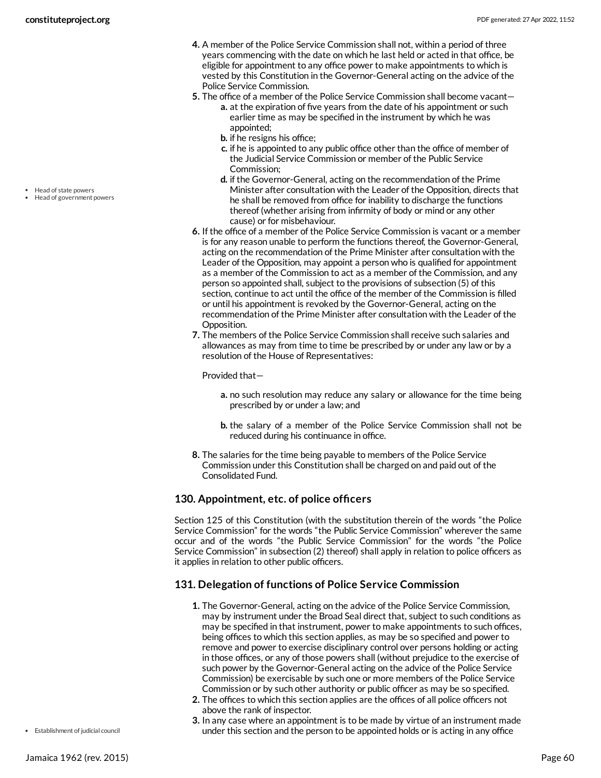- **4.** A member of the Police Service Commission shall not, within a period of three years commencing with the date on which he last held or acted in that office, be eligible for appointment to any office power to make appointments to which is vested by this Constitution in the Governor-General acting on the advice of the Police Service Commission.
- **5.** The office of a member of the Police Service Commission shall become vacant
	- **a.** at the expiration of five years from the date of his appointment or such earlier time as may be specified in the instrument by which he was appointed;
		- **b.** if he resigns his office;
		- **c.** if he is appointed to any public office other than the office of member of the Judicial Service Commission or member of the Public Service Commission;
		- **d.** if the Governor-General, acting on the recommendation of the Prime Minister after consultation with the Leader of the Opposition, directs that he shall be removed from office for inability to discharge the functions thereof (whether arising from infirmity of body or mind or any other cause) or for misbehaviour.
- **6.** If the office of a member of the Police Service Commission is vacant or a member is for any reason unable to perform the functions thereof, the Governor-General, acting on the recommendation of the Prime Minister after consultation with the Leader of the Opposition, may appoint a person who is qualified for appointment as a member of the Commission to act as a member of the Commission, and any person so appointed shall, subject to the provisions of subsection (5) of this section, continue to act until the office of the member of the Commission is filled or until his appointment is revoked by the Governor-General, acting on the recommendation of the Prime Minister after consultation with the Leader of the Opposition.
- **7.** The members of the Police Service Commission shall receive such salaries and allowances as may from time to time be prescribed by or under any law or by a resolution of the House of Representatives:

- **a.** no such resolution may reduce any salary or allowance for the time being prescribed by or under a law; and
- **b.** the salary of a member of the Police Service Commission shall not be reduced during his continuance in office.
- **8.** The salaries for the time being payable to members of the Police Service Commission under this Constitution shall be charged on and paid out of the Consolidated Fund.

#### **130. Appointment, etc. of police officers**

Section 125 of this Constitution (with the substitution therein of the words "the Police Service Commission" for the words "the Public Service Commission" wherever the same occur and of the words "the Public Service Commission" for the words "the Police Service Commission" in subsection (2) thereof) shall apply in relation to police officers as it applies in relation to other public officers.

#### <span id="page-59-0"></span>**131. Delegation of functions of Police Service Commission**

- **1.** The Governor-General, acting on the advice of the Police Service Commission, may by instrument under the Broad Seal direct that, subject to such conditions as may be specified in that instrument, power to make appointments to such offices, being offices to which this section applies, as may be so specified and power to remove and power to exercise disciplinary control over persons holding or acting in those offices, or any of those powers shall (without prejudice to the exercise of such power by the Governor-General acting on the advice of the Police Service Commission) be exercisable by such one or more members of the Police Service Commission or by such other authority or public officer as may be so specified.
- **2.** The offices to which this section applies are the offices of all police officers not above the rank of inspector.
- **3.** In any case where an appointment is to be made by virtue of an instrument made under this section and the person to be appointed holds or is acting in any office

• Head of state powers

Head of government powers

Establishment of judicial council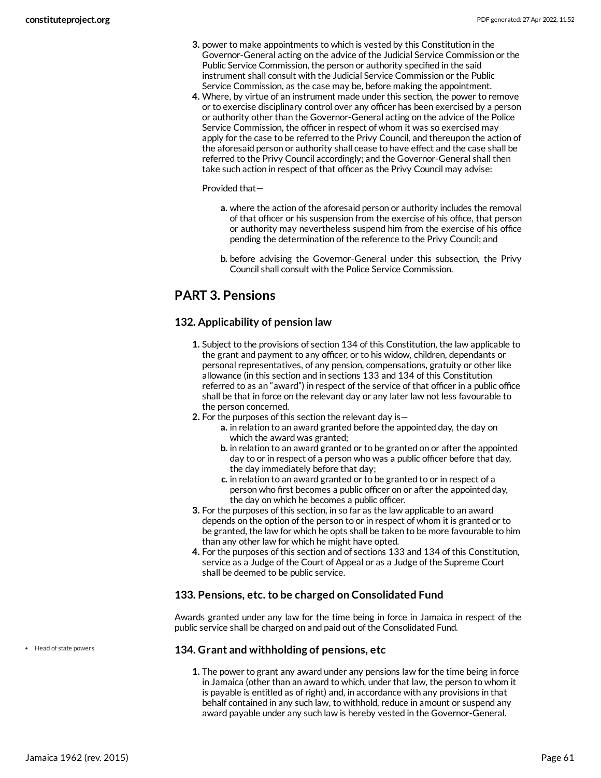- **3.** power to make appointments to which is vested by this Constitution in the Governor-General acting on the advice of the Judicial Service Commission or the Public Service Commission, the person or authority specified in the said instrument shall consult with the Judicial Service Commission or the Public Service Commission, as the case may be, before making the appointment.
- **4.** Where, by virtue of an instrument made under this section, the power to remove or to exercise disciplinary control over any officer has been exercised by a person or authority other than the Governor-General acting on the advice of the Police Service Commission, the officer in respect of whom it was so exercised may apply for the case to be referred to the Privy Council, and thereupon the action of the aforesaid person or authority shall cease to have effect and the case shall be referred to the Privy Council accordingly; and the Governor-General shall then take such action in respect of that officer as the Privy Council may advise:

- **a.** where the action of the aforesaid person or authority includes the removal of that officer or his suspension from the exercise of his office, that person or authority may nevertheless suspend him from the exercise of his office pending the determination of the reference to the Privy Council; and
- **b.** before advising the Governor-General under this subsection, the Privy Council shall consult with the Police Service Commission.

### <span id="page-60-0"></span>**PART 3. Pensions**

#### **132. Applicability of pension law**

- **1.** Subject to the provisions of section 134 of this Constitution, the law applicable to the grant and payment to any officer, or to his widow, children, dependants or personal representatives, of any pension, compensations, gratuity or other like allowance (in this section and in sections 133 and 134 of this Constitution referred to as an "award") in respect of the service of that officer in a public office shall be that in force on the relevant day or any later law not less favourable to the person concerned.
- **2.** For the purposes of this section the relevant day is
	- **a.** in relation to an award granted before the appointed day, the day on which the award was granted;
	- **b.** in relation to an award granted or to be granted on or after the appointed day to or in respect of a person who was a public officer before that day, the day immediately before that day;
	- **c.** in relation to an award granted or to be granted to or in respect of a person who first becomes a public officer on or after the appointed day, the day on which he becomes a public officer.
- **3.** For the purposes of this section, in so far as the law applicable to an award depends on the option of the person to or in respect of whom it is granted or to be granted, the law for which he opts shall be taken to be more favourable to him than any other law for which he might have opted.
- **4.** For the purposes of this section and of sections 133 and 134 of this Constitution, service as a Judge of the Court of Appeal or as a Judge of the Supreme Court shall be deemed to be public service.

#### **133. Pensions, etc. to be charged on Consolidated Fund**

Awards granted under any law for the time being in force in Jamaica in respect of the public service shall be charged on and paid out of the Consolidated Fund.

• Head of state powers

#### <span id="page-60-1"></span>**134. Grant and withholding of pensions, etc**

**1.** The power to grant any award under any pensions law for the time being in force in Jamaica (other than an award to which, under that law, the person to whom it is payable is entitled as of right) and, in accordance with any provisions in that behalf contained in any such law, to withhold, reduce in amount or suspend any award payable under any such law is hereby vested in the Governor-General.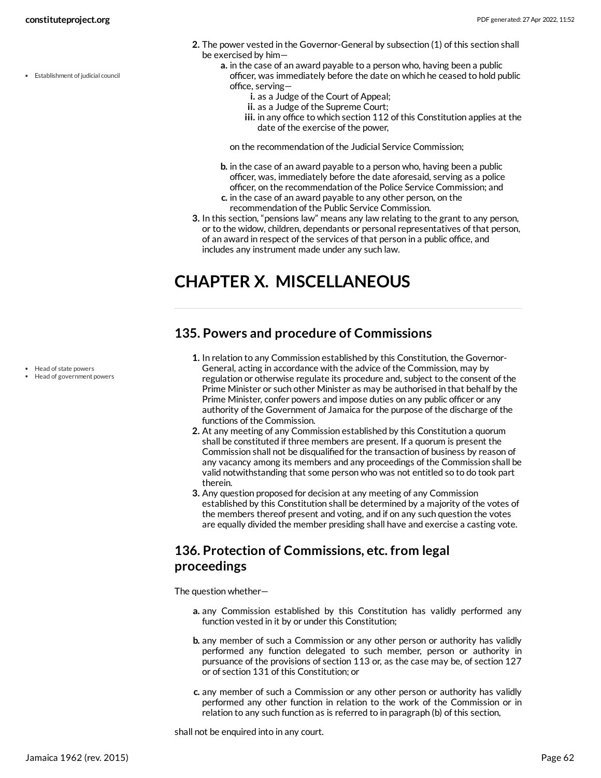Head of state powers Head of government powers

- **2.** The power vested in the Governor-General by subsection (1) of this section shall be exercised by him
	- **a.** in the case of an award payable to a person who, having been a public officer, was immediately before the date on which he ceased to hold public office, serving
		- **i.** as a Judge of the Court of Appeal;
		- **ii.** as a Judge of the Supreme Court;
		- **iii.** in any office to which section 112 of this Constitution applies at the date of the exercise of the power,

on the recommendation of the Judicial Service Commission;

- **b.** in the case of an award payable to a person who, having been a public officer, was, immediately before the date aforesaid, serving as a police officer, on the recommendation of the Police Service Commission; and
- **c.** in the case of an award payable to any other person, on the recommendation of the Public Service Commission.
- **3.** In this section, "pensions law" means any law relating to the grant to any person, or to the widow, children, dependants or personal representatives of that person, of an award in respect of the services of that person in a public office, and includes any instrument made under any such law.

# <span id="page-61-0"></span>**CHAPTER X. MISCELLANEOUS**

### <span id="page-61-1"></span>**135. Powers and procedure of Commissions**

- **1.** In relation to any Commission established by this Constitution, the Governor-General, acting in accordance with the advice of the Commission, may by regulation or otherwise regulate its procedure and, subject to the consent of the Prime Minister or such other Minister as may be authorised in that behalf by the Prime Minister, confer powers and impose duties on any public officer or any authority of the Government of Jamaica for the purpose of the discharge of the functions of the Commission.
- **2.** At any meeting of any Commission established by this Constitution a quorum shall be constituted if three members are present. If a quorum is present the Commission shall not be disqualified for the transaction of business by reason of any vacancy among its members and any proceedings of the Commission shall be valid notwithstanding that some person who was not entitled so to do took part therein.
- **3.** Any question proposed for decision at any meeting of any Commission established by this Constitution shall be determined by a majority of the votes of the members thereof present and voting, and if on any such question the votes are equally divided the member presiding shall have and exercise a casting vote.

### <span id="page-61-2"></span>**136. Protection of Commissions, etc. from legal proceedings**

The question whether—

- **a.** any Commission established by this Constitution has validly performed any function vested in it by or under this Constitution;
- **b.** any member of such a Commission or any other person or authority has validly performed any function delegated to such member, person or authority in pursuance of the provisions of section 113 or, as the case may be, of section 127 or of section 131 of this Constitution; or
- **c.** any member of such a Commission or any other person or authority has validly performed any other function in relation to the work of the Commission or in relation to any such function as is referred to in paragraph (b) of this section,

shall not be enquired into in any court.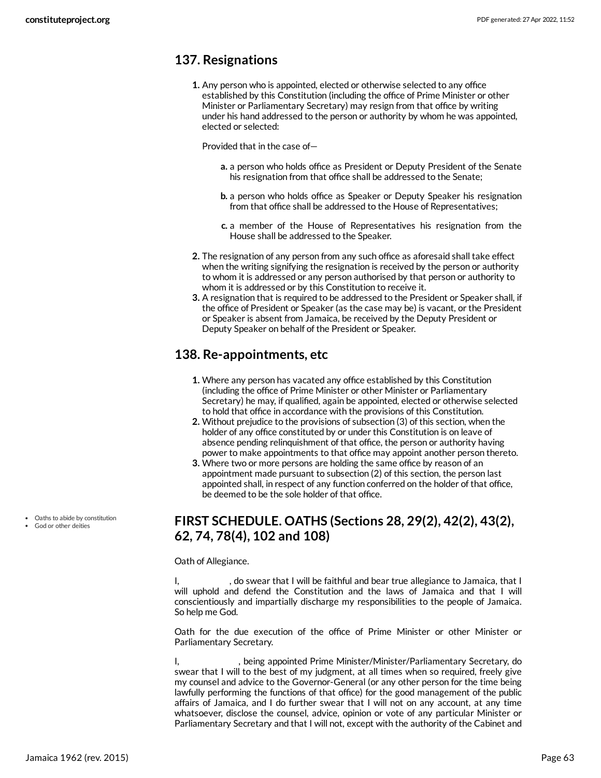### <span id="page-62-0"></span>**137. Resignations**

**1.** Any person who is appointed, elected or otherwise selected to any office established by this Constitution (including the office of Prime Minister or other Minister or Parliamentary Secretary) may resign from that office by writing under his hand addressed to the person or authority by whom he was appointed, elected or selected:

Provided that in the case of—

- **a.** a person who holds office as President or Deputy President of the Senate his resignation from that office shall be addressed to the Senate;
- **b.** a person who holds office as Speaker or Deputy Speaker his resignation from that office shall be addressed to the House of Representatives;
- **c.** a member of the House of Representatives his resignation from the House shall be addressed to the Speaker.
- **2.** The resignation of any person from any such office as aforesaid shall take effect when the writing signifying the resignation is received by the person or authority to whom it is addressed or any person authorised by that person or authority to whom it is addressed or by this Constitution to receive it.
- **3.** A resignation that is required to be addressed to the President or Speaker shall, if the office of President or Speaker (as the case may be) is vacant, or the President or Speaker is absent from Jamaica, be received by the Deputy President or Deputy Speaker on behalf of the President or Speaker.

### <span id="page-62-1"></span>**138. Re-appointments, etc**

- **1.** Where any person has vacated any office established by this Constitution (including the office of Prime Minister or other Minister or Parliamentary Secretary) he may, if qualified, again be appointed, elected or otherwise selected to hold that office in accordance with the provisions of this Constitution.
- **2.** Without prejudice to the provisions of subsection (3) of this section, when the holder of any office constituted by or under this Constitution is on leave of absence pending relinquishment of that office, the person or authority having power to make appointments to that office may appoint another person thereto.
- **3.** Where two or more persons are holding the same office by reason of an appointment made pursuant to subsection (2) of this section, the person last appointed shall, in respect of any function conferred on the holder of that office, be deemed to be the sole holder of that office.

### <span id="page-62-2"></span>**FIRST SCHEDULE. OATHS (Sections 28, 29(2), 42(2), 43(2), 62, 74, 78(4), 102 and 108)**

Oath of Allegiance.

I, do swear that I will be faithful and bear true allegiance to Jamaica, that I will uphold and defend the Constitution and the laws of Jamaica and that I will conscientiously and impartially discharge my responsibilities to the people of Jamaica. So help me God.

Oath for the due execution of the office of Prime Minister or other Minister or Parliamentary Secretary.

I, being appointed Prime Minister/Minister/Parliamentary Secretary, do swear that I will to the best of my judgment, at all times when so required, freely give my counsel and advice to the Governor-General (or any other person for the time being lawfully performing the functions of that office) for the good management of the public affairs of Jamaica, and I do further swear that I will not on any account, at any time whatsoever, disclose the counsel, advice, opinion or vote of any particular Minister or Parliamentary Secretary and that I will not, except with the authority of the Cabinet and

Oaths to abide by constitution God or other deities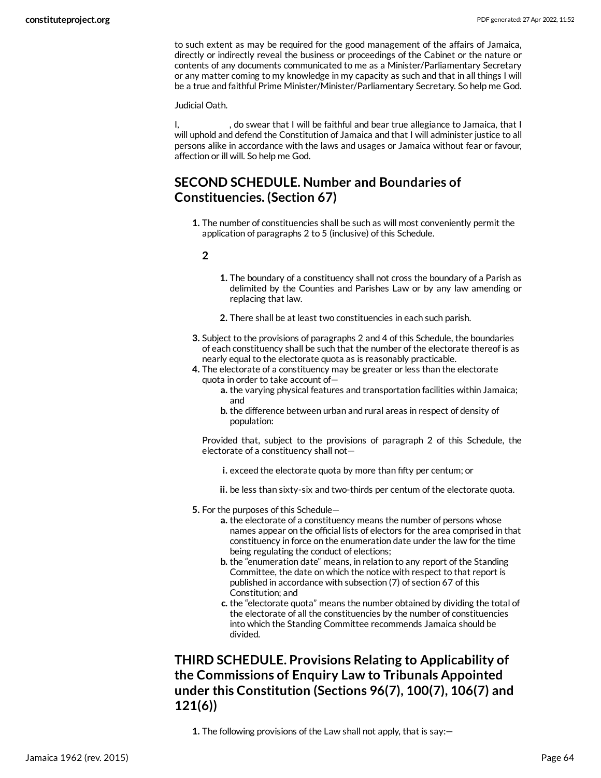to such extent as may be required for the good management of the affairs of Jamaica, directly or indirectly reveal the business or proceedings of the Cabinet or the nature or contents of any documents communicated to me as a Minister/Parliamentary Secretary or any matter coming to my knowledge in my capacity as such and that in all things I will be a true and faithful Prime Minister/Minister/Parliamentary Secretary. So help me God.

Judicial Oath.

I, do swear that I will be faithful and bear true allegiance to Jamaica, that I will uphold and defend the Constitution of Jamaica and that I will administer justice to all persons alike in accordance with the laws and usages or Jamaica without fear or favour, affection or ill will. So help me God.

### <span id="page-63-0"></span>**SECOND SCHEDULE. Number and Boundaries of Constituencies. (Section 67)**

**1.** The number of constituencies shall be such as will most conveniently permit the application of paragraphs 2 to 5 (inclusive) of this Schedule.

**2**

- **1.** The boundary of a constituency shall not cross the boundary of a Parish as delimited by the Counties and Parishes Law or by any law amending or replacing that law.
- **2.** There shall be at least two constituencies in each such parish.
- **3.** Subject to the provisions of paragraphs 2 and 4 of this Schedule, the boundaries of each constituency shall be such that the number of the electorate thereof is as nearly equal to the electorate quota as is reasonably practicable.
- **4.** The electorate of a constituency may be greater or less than the electorate quota in order to take account of
	- **a.** the varying physical features and transportation facilities within Jamaica; and
	- **b.** the difference between urban and rural areas in respect of density of population:

Provided that, subject to the provisions of paragraph 2 of this Schedule, the electorate of a constituency shall not—

- **i.** exceed the electorate quota by more than fifty per centum; or
- **ii.** be less than sixty-six and two-thirds per centum of the electorate quota.
- **5.** For the purposes of this Schedule
	- **a.** the electorate of a constituency means the number of persons whose names appear on the official lists of electors for the area comprised in that constituency in force on the enumeration date under the law for the time being regulating the conduct of elections;
	- **b.** the "enumeration date" means, in relation to any report of the Standing Committee, the date on which the notice with respect to that report is published in accordance with subsection (7) of section 67 of this Constitution; and
	- **c.** the "electorate quota" means the number obtained by dividing the total of the electorate of all the constituencies by the number of constituencies into which the Standing Committee recommends Jamaica should be divided.

<span id="page-63-1"></span>**THIRD SCHEDULE. Provisions Relating to Applicability of the Commissions of Enquiry Law to Tribunals Appointed under this Constitution (Sections 96(7), 100(7), 106(7) and 121(6))**

**1.** The following provisions of the Law shall not apply, that is say:—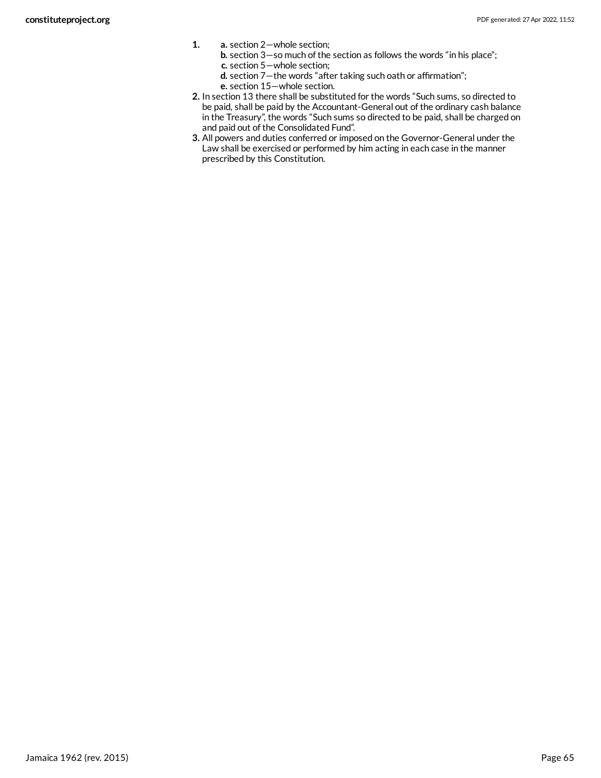- **1. a.** section 2—whole section;
	- **b.** section 3—so much of the section as follows the words "in his place";
	- **c.** section 5—whole section;
	- **d.** section 7—the words "after taking such oath or affirmation";
	- **e.** section 15—whole section.
- **2.** In section 13 there shall be substituted for the words "Such sums, so directed to be paid, shall be paid by the Accountant-General out of the ordinary cash balance in the Treasury", the words "Such sums so directed to be paid, shall be charged on and paid out of the Consolidated Fund".
- **3.** All powers and duties conferred or imposed on the Governor-General under the Law shall be exercised or performed by him acting in each case in the manner prescribed by this Constitution.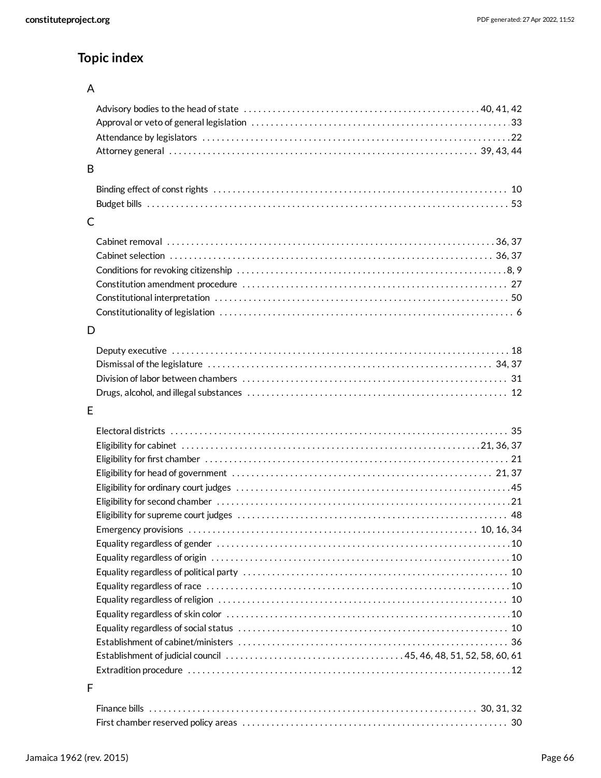# **Topic index**

### A

#### B

#### C

### D

### E

| Equality regardless of political party ……………………………………………………………………… 10 |  |
|-----------------------------------------------------------------------|--|
|                                                                       |  |
|                                                                       |  |
|                                                                       |  |
|                                                                       |  |
|                                                                       |  |
|                                                                       |  |
|                                                                       |  |

### F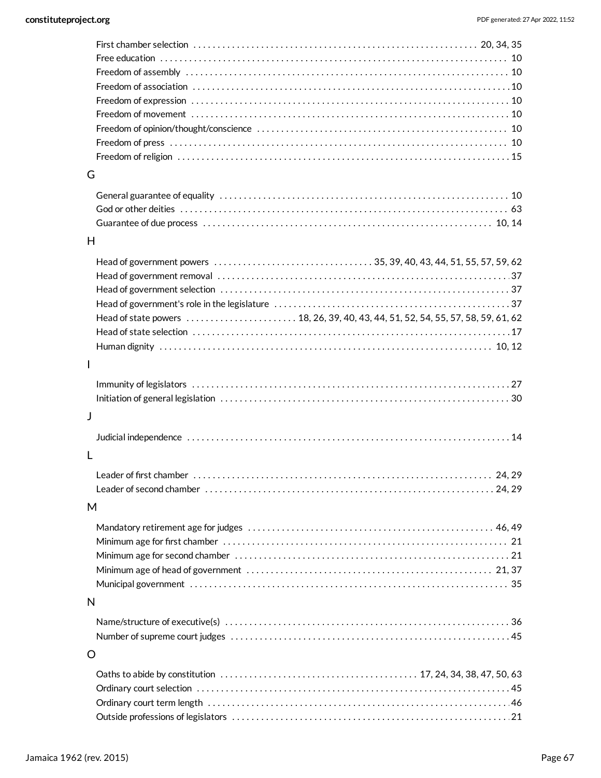| G                                                                                                                     |       |
|-----------------------------------------------------------------------------------------------------------------------|-------|
|                                                                                                                       |       |
|                                                                                                                       |       |
|                                                                                                                       |       |
| H                                                                                                                     |       |
|                                                                                                                       |       |
|                                                                                                                       |       |
|                                                                                                                       |       |
|                                                                                                                       |       |
|                                                                                                                       |       |
|                                                                                                                       |       |
|                                                                                                                       |       |
| J.                                                                                                                    |       |
|                                                                                                                       |       |
|                                                                                                                       |       |
| J                                                                                                                     |       |
|                                                                                                                       |       |
|                                                                                                                       |       |
| L                                                                                                                     |       |
| Leader of first chamber.                                                                                              | 24.29 |
| Leader of second chamber $\dots\dots\dots\dots\dots\dots\dots\dots\dots\dots\dots\dots\dots\dots\dots\dots\dots\dots$ |       |
| M                                                                                                                     |       |
|                                                                                                                       |       |
|                                                                                                                       |       |
|                                                                                                                       |       |
|                                                                                                                       |       |
|                                                                                                                       |       |
| N                                                                                                                     |       |
|                                                                                                                       |       |
|                                                                                                                       |       |
|                                                                                                                       |       |
| O                                                                                                                     |       |
|                                                                                                                       |       |
|                                                                                                                       |       |
|                                                                                                                       |       |
|                                                                                                                       |       |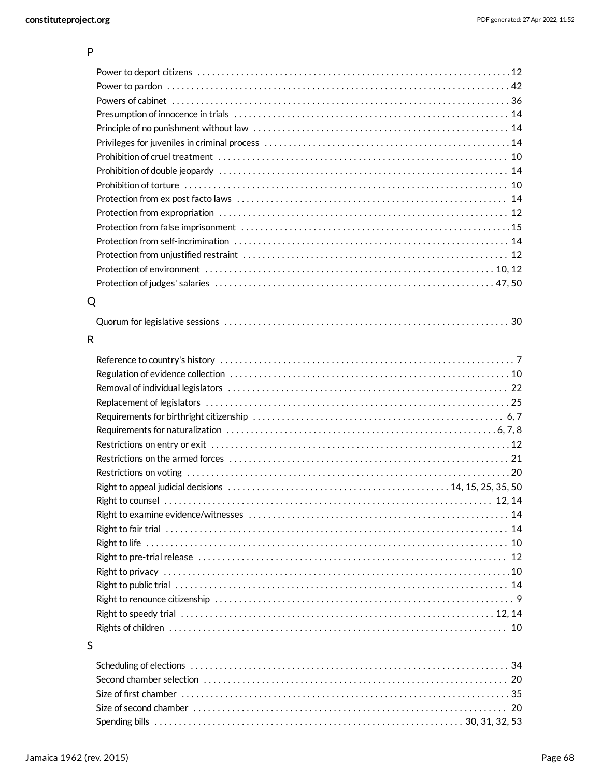#### P

|   | Q |  |
|---|---|--|
|   |   |  |
|   |   |  |
| R |   |  |
|   |   |  |
|   |   |  |
|   |   |  |
|   |   |  |
|   |   |  |
|   |   |  |
|   |   |  |
|   |   |  |
|   |   |  |
|   |   |  |
|   |   |  |
|   |   |  |
|   |   |  |
|   |   |  |
|   |   |  |
|   |   |  |
|   |   |  |
|   |   |  |
|   |   |  |
|   |   |  |
| S |   |  |
|   |   |  |
|   |   |  |